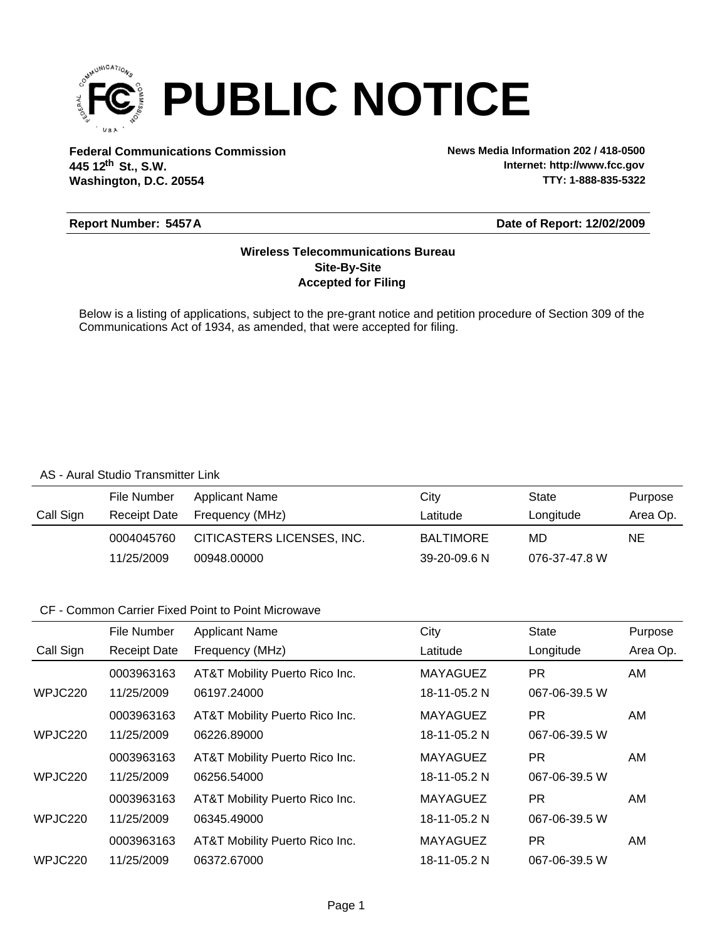

**Federal Communications Commission News Media Information 202 / 418-0500 Washington, D.C. 20554 th 445 12 St., S.W.**

**Internet: http://www.fcc.gov TTY: 1-888-835-5322**

### **Report Number: 5457A**

### **Date of Report: 12/02/2009**

### **Accepted for Filing Site-By-Site Wireless Telecommunications Bureau**

Below is a listing of applications, subject to the pre-grant notice and petition procedure of Section 309 of the Communications Act of 1934, as amended, that were accepted for filing.

#### AS - Aural Studio Transmitter Link

|           | File Number  | Applicant Name             | Citv             | State         | Purpose  |
|-----------|--------------|----------------------------|------------------|---------------|----------|
| Call Sign | Receipt Date | Frequency (MHz)            | Latitude         | Longitude     | Area Op. |
|           | 0004045760   | CITICASTERS LICENSES, INC. | <b>BALTIMORE</b> | MD            | NE       |
|           | 11/25/2009   | 00948.00000                | 39-20-09.6 N     | 076-37-47.8 W |          |

|           | File Number         | <b>Applicant Name</b>          | City            | <b>State</b>  | Purpose  |
|-----------|---------------------|--------------------------------|-----------------|---------------|----------|
| Call Sign | <b>Receipt Date</b> | Frequency (MHz)                | Latitude        | Longitude     | Area Op. |
|           | 0003963163          | AT&T Mobility Puerto Rico Inc. | <b>MAYAGUEZ</b> | <b>PR</b>     | AM       |
| WPJC220   | 11/25/2009          | 06197.24000                    | 18-11-05.2 N    | 067-06-39.5 W |          |
|           | 0003963163          | AT&T Mobility Puerto Rico Inc. | <b>MAYAGUEZ</b> | <b>PR</b>     | AM.      |
| WPJC220   | 11/25/2009          | 06226.89000                    | 18-11-05.2 N    | 067-06-39.5 W |          |
|           | 0003963163          | AT&T Mobility Puerto Rico Inc. | <b>MAYAGUEZ</b> | PR.           | AM       |
| WPJC220   | 11/25/2009          | 06256.54000                    | 18-11-05.2 N    | 067-06-39.5 W |          |
|           | 0003963163          | AT&T Mobility Puerto Rico Inc. | <b>MAYAGUEZ</b> | <b>PR</b>     | AM.      |
| WPJC220   | 11/25/2009          | 06345.49000                    | 18-11-05.2 N    | 067-06-39.5 W |          |
|           | 0003963163          | AT&T Mobility Puerto Rico Inc. | <b>MAYAGUEZ</b> | PR.           | AM.      |
| WPJC220   | 11/25/2009          | 06372.67000                    | 18-11-05.2 N    | 067-06-39.5 W |          |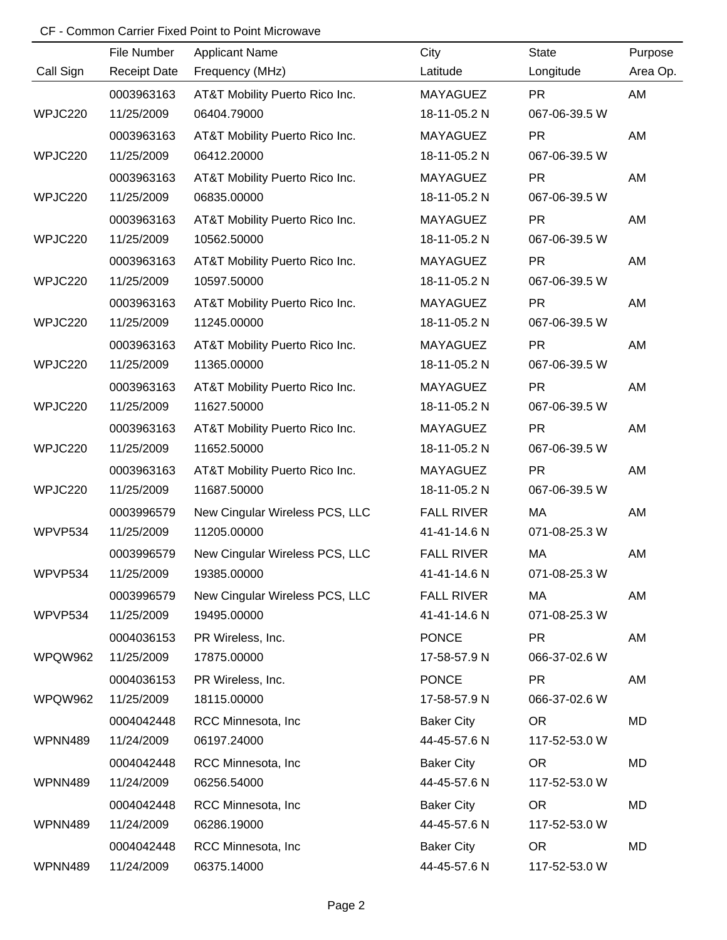|           | File Number         | <b>Applicant Name</b>          | City              | <b>State</b>  | Purpose  |
|-----------|---------------------|--------------------------------|-------------------|---------------|----------|
| Call Sign | <b>Receipt Date</b> | Frequency (MHz)                | Latitude          | Longitude     | Area Op. |
|           | 0003963163          | AT&T Mobility Puerto Rico Inc. | <b>MAYAGUEZ</b>   | <b>PR</b>     | AM       |
| WPJC220   | 11/25/2009          | 06404.79000                    | 18-11-05.2 N      | 067-06-39.5 W |          |
|           | 0003963163          | AT&T Mobility Puerto Rico Inc. | MAYAGUEZ          | <b>PR</b>     | AM       |
| WPJC220   | 11/25/2009          | 06412.20000                    | 18-11-05.2 N      | 067-06-39.5 W |          |
|           | 0003963163          | AT&T Mobility Puerto Rico Inc. | MAYAGUEZ          | <b>PR</b>     | AM       |
| WPJC220   | 11/25/2009          | 06835.00000                    | 18-11-05.2 N      | 067-06-39.5 W |          |
|           | 0003963163          | AT&T Mobility Puerto Rico Inc. | MAYAGUEZ          | <b>PR</b>     | AM       |
| WPJC220   | 11/25/2009          | 10562.50000                    | 18-11-05.2 N      | 067-06-39.5 W |          |
|           | 0003963163          | AT&T Mobility Puerto Rico Inc. | MAYAGUEZ          | <b>PR</b>     | AM       |
| WPJC220   | 11/25/2009          | 10597.50000                    | 18-11-05.2 N      | 067-06-39.5 W |          |
|           | 0003963163          | AT&T Mobility Puerto Rico Inc. | MAYAGUEZ          | <b>PR</b>     | AM       |
| WPJC220   | 11/25/2009          | 11245.00000                    | 18-11-05.2 N      | 067-06-39.5 W |          |
|           | 0003963163          | AT&T Mobility Puerto Rico Inc. | <b>MAYAGUEZ</b>   | <b>PR</b>     | AM       |
| WPJC220   | 11/25/2009          | 11365.00000                    | 18-11-05.2 N      | 067-06-39.5 W |          |
|           | 0003963163          | AT&T Mobility Puerto Rico Inc. | <b>MAYAGUEZ</b>   | <b>PR</b>     | AM       |
| WPJC220   | 11/25/2009          | 11627.50000                    | 18-11-05.2 N      | 067-06-39.5 W |          |
|           | 0003963163          | AT&T Mobility Puerto Rico Inc. | <b>MAYAGUEZ</b>   | <b>PR</b>     | AM       |
| WPJC220   | 11/25/2009          | 11652.50000                    | 18-11-05.2 N      | 067-06-39.5 W |          |
|           | 0003963163          | AT&T Mobility Puerto Rico Inc. | <b>MAYAGUEZ</b>   | <b>PR</b>     | AM       |
| WPJC220   | 11/25/2009          | 11687.50000                    | 18-11-05.2 N      | 067-06-39.5 W |          |
|           | 0003996579          | New Cingular Wireless PCS, LLC | <b>FALL RIVER</b> | MA            | AM       |
| WPVP534   | 11/25/2009          | 11205.00000                    | 41-41-14.6 N      | 071-08-25.3 W |          |
|           | 0003996579          | New Cingular Wireless PCS, LLC | <b>FALL RIVER</b> | MA            | AM       |
| WPVP534   | 11/25/2009          | 19385.00000                    | 41-41-14.6 N      | 071-08-25.3 W |          |
|           | 0003996579          | New Cingular Wireless PCS, LLC | <b>FALL RIVER</b> | МA            | AM       |
| WPVP534   | 11/25/2009          | 19495.00000                    | 41-41-14.6 N      | 071-08-25.3 W |          |
|           | 0004036153          | PR Wireless, Inc.              | <b>PONCE</b>      | <b>PR</b>     | AM       |
| WPQW962   | 11/25/2009          | 17875.00000                    | 17-58-57.9 N      | 066-37-02.6 W |          |
|           | 0004036153          | PR Wireless, Inc.              | <b>PONCE</b>      | <b>PR</b>     | AM       |
| WPQW962   | 11/25/2009          | 18115.00000                    | 17-58-57.9 N      | 066-37-02.6 W |          |
|           | 0004042448          | RCC Minnesota, Inc.            | <b>Baker City</b> | <b>OR</b>     | MD       |
| WPNN489   | 11/24/2009          | 06197.24000                    | 44-45-57.6 N      | 117-52-53.0 W |          |
|           | 0004042448          | RCC Minnesota, Inc             | <b>Baker City</b> | <b>OR</b>     | MD       |
| WPNN489   | 11/24/2009          | 06256.54000                    | 44-45-57.6 N      | 117-52-53.0 W |          |
|           | 0004042448          | RCC Minnesota, Inc             | <b>Baker City</b> | <b>OR</b>     | MD       |
| WPNN489   | 11/24/2009          | 06286.19000                    | 44-45-57.6 N      | 117-52-53.0 W |          |
|           | 0004042448          | RCC Minnesota, Inc             | <b>Baker City</b> | <b>OR</b>     | MD       |
| WPNN489   | 11/24/2009          | 06375.14000                    | 44-45-57.6 N      | 117-52-53.0 W |          |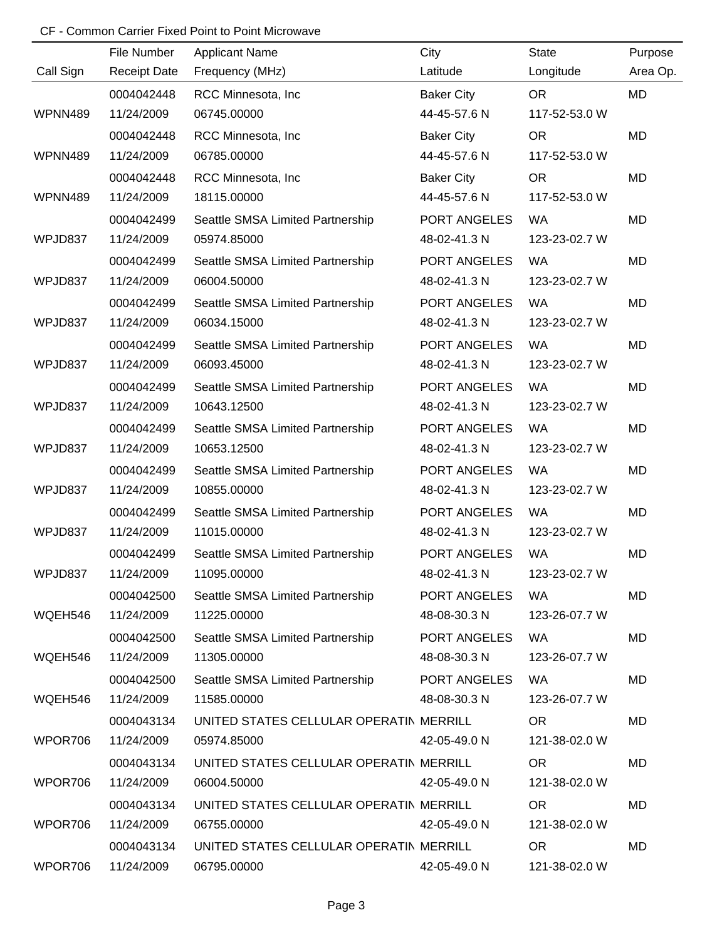|           | File Number         | <b>Applicant Name</b>                   | City              | <b>State</b>  | Purpose   |
|-----------|---------------------|-----------------------------------------|-------------------|---------------|-----------|
| Call Sign | <b>Receipt Date</b> | Frequency (MHz)                         | Latitude          | Longitude     | Area Op.  |
|           | 0004042448          | RCC Minnesota, Inc                      | <b>Baker City</b> | <b>OR</b>     | <b>MD</b> |
| WPNN489   | 11/24/2009          | 06745.00000                             | 44-45-57.6 N      | 117-52-53.0 W |           |
|           | 0004042448          | RCC Minnesota, Inc                      | <b>Baker City</b> | <b>OR</b>     | <b>MD</b> |
| WPNN489   | 11/24/2009          | 06785.00000                             | 44-45-57.6 N      | 117-52-53.0 W |           |
|           | 0004042448          | RCC Minnesota, Inc.                     | <b>Baker City</b> | <b>OR</b>     | MD        |
| WPNN489   | 11/24/2009          | 18115.00000                             | 44-45-57.6 N      | 117-52-53.0 W |           |
|           | 0004042499          | Seattle SMSA Limited Partnership        | PORT ANGELES      | <b>WA</b>     | MD        |
| WPJD837   | 11/24/2009          | 05974.85000                             | 48-02-41.3 N      | 123-23-02.7 W |           |
|           | 0004042499          | Seattle SMSA Limited Partnership        | PORT ANGELES      | <b>WA</b>     | MD        |
| WPJD837   | 11/24/2009          | 06004.50000                             | 48-02-41.3 N      | 123-23-02.7 W |           |
|           | 0004042499          | Seattle SMSA Limited Partnership        | PORT ANGELES      | <b>WA</b>     | MD        |
| WPJD837   | 11/24/2009          | 06034.15000                             | 48-02-41.3 N      | 123-23-02.7 W |           |
|           | 0004042499          | Seattle SMSA Limited Partnership        | PORT ANGELES      | <b>WA</b>     | MD        |
| WPJD837   | 11/24/2009          | 06093.45000                             | 48-02-41.3 N      | 123-23-02.7 W |           |
|           | 0004042499          | Seattle SMSA Limited Partnership        | PORT ANGELES      | <b>WA</b>     | MD        |
| WPJD837   | 11/24/2009          | 10643.12500                             | 48-02-41.3 N      | 123-23-02.7 W |           |
|           | 0004042499          | Seattle SMSA Limited Partnership        | PORT ANGELES      | <b>WA</b>     | MD        |
| WPJD837   | 11/24/2009          | 10653.12500                             | 48-02-41.3 N      | 123-23-02.7 W |           |
|           | 0004042499          | Seattle SMSA Limited Partnership        | PORT ANGELES      | <b>WA</b>     | MD        |
| WPJD837   | 11/24/2009          | 10855.00000                             | 48-02-41.3 N      | 123-23-02.7 W |           |
|           | 0004042499          | Seattle SMSA Limited Partnership        | PORT ANGELES      | <b>WA</b>     | MD        |
| WPJD837   | 11/24/2009          | 11015.00000                             | 48-02-41.3 N      | 123-23-02.7 W |           |
|           | 0004042499          | Seattle SMSA Limited Partnership        | PORT ANGELES      | <b>WA</b>     | MD        |
| WPJD837   | 11/24/2009          | 11095.00000                             | 48-02-41.3 N      | 123-23-02.7 W |           |
|           | 0004042500          | Seattle SMSA Limited Partnership        | PORT ANGELES      | <b>WA</b>     | MD        |
| WQEH546   | 11/24/2009          | 11225.00000                             | 48-08-30.3 N      | 123-26-07.7 W |           |
|           | 0004042500          | Seattle SMSA Limited Partnership        | PORT ANGELES      | WA            | <b>MD</b> |
| WQEH546   | 11/24/2009          | 11305.00000                             | 48-08-30.3 N      | 123-26-07.7 W |           |
|           | 0004042500          | Seattle SMSA Limited Partnership        | PORT ANGELES      | WA.           | MD        |
| WQEH546   | 11/24/2009          | 11585.00000                             | 48-08-30.3 N      | 123-26-07.7 W |           |
|           | 0004043134          | UNITED STATES CELLULAR OPERATIN MERRILL |                   | OR.           | <b>MD</b> |
| WPOR706   | 11/24/2009          | 05974.85000                             | 42-05-49.0 N      | 121-38-02.0 W |           |
|           | 0004043134          | UNITED STATES CELLULAR OPERATIN MERRILL |                   | <b>OR</b>     | MD        |
| WPOR706   | 11/24/2009          | 06004.50000                             | 42-05-49.0 N      | 121-38-02.0 W |           |
|           | 0004043134          | UNITED STATES CELLULAR OPERATIN MERRILL |                   | <b>OR</b>     | <b>MD</b> |
| WPOR706   | 11/24/2009          | 06755.00000                             | 42-05-49.0 N      | 121-38-02.0 W |           |
|           | 0004043134          | UNITED STATES CELLULAR OPERATIN MERRILL |                   | <b>OR</b>     | MD        |
| WPOR706   | 11/24/2009          | 06795.00000                             | 42-05-49.0 N      | 121-38-02.0 W |           |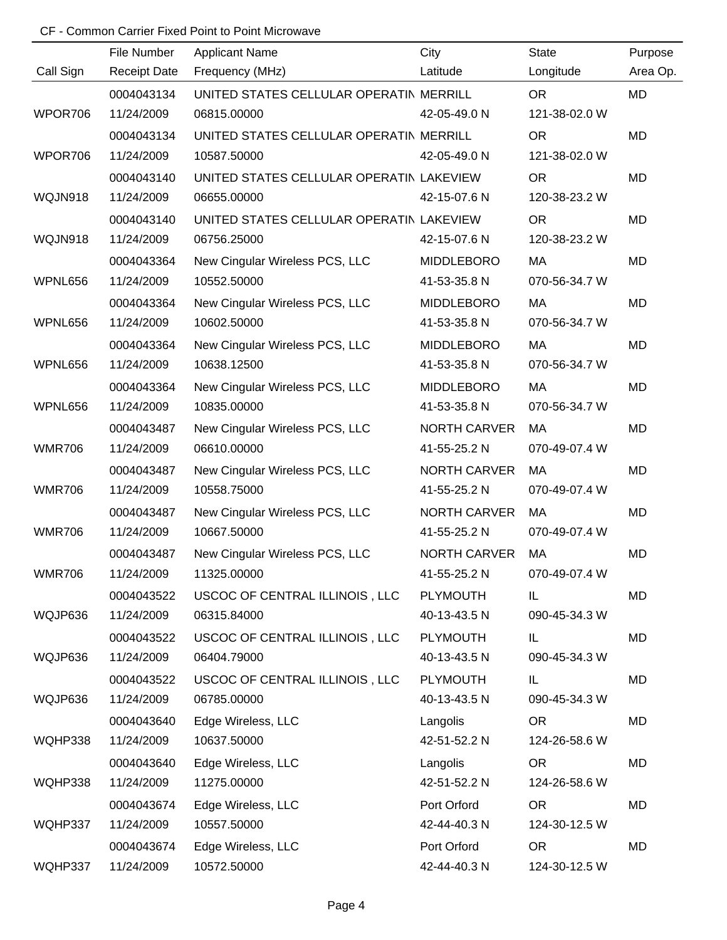|               | File Number         | <b>Applicant Name</b>                    | City                | <b>State</b>  | Purpose   |
|---------------|---------------------|------------------------------------------|---------------------|---------------|-----------|
| Call Sign     | <b>Receipt Date</b> | Frequency (MHz)                          | Latitude            | Longitude     | Area Op.  |
|               | 0004043134          | UNITED STATES CELLULAR OPERATIN MERRILL  |                     | OR            | <b>MD</b> |
| WPOR706       | 11/24/2009          | 06815.00000                              | 42-05-49.0 N        | 121-38-02.0 W |           |
|               | 0004043134          | UNITED STATES CELLULAR OPERATIN MERRILL  |                     | <b>OR</b>     | MD        |
| WPOR706       | 11/24/2009          | 10587.50000                              | 42-05-49.0 N        | 121-38-02.0 W |           |
|               | 0004043140          | UNITED STATES CELLULAR OPERATIN LAKEVIEW |                     | <b>OR</b>     | MD        |
| WQJN918       | 11/24/2009          | 06655.00000                              | 42-15-07.6 N        | 120-38-23.2 W |           |
|               | 0004043140          | UNITED STATES CELLULAR OPERATIN LAKEVIEW |                     | <b>OR</b>     | MD        |
| WQJN918       | 11/24/2009          | 06756.25000                              | 42-15-07.6 N        | 120-38-23.2 W |           |
|               | 0004043364          | New Cingular Wireless PCS, LLC           | <b>MIDDLEBORO</b>   | MA            | MD        |
| WPNL656       | 11/24/2009          | 10552.50000                              | 41-53-35.8 N        | 070-56-34.7 W |           |
|               | 0004043364          | New Cingular Wireless PCS, LLC           | <b>MIDDLEBORO</b>   | MA            | <b>MD</b> |
| WPNL656       | 11/24/2009          | 10602.50000                              | 41-53-35.8 N        | 070-56-34.7 W |           |
|               | 0004043364          | New Cingular Wireless PCS, LLC           | <b>MIDDLEBORO</b>   | MA            | MD        |
| WPNL656       | 11/24/2009          | 10638.12500                              | 41-53-35.8 N        | 070-56-34.7 W |           |
|               | 0004043364          | New Cingular Wireless PCS, LLC           | <b>MIDDLEBORO</b>   | MA            | <b>MD</b> |
| WPNL656       | 11/24/2009          | 10835.00000                              | 41-53-35.8 N        | 070-56-34.7 W |           |
|               | 0004043487          | New Cingular Wireless PCS, LLC           | <b>NORTH CARVER</b> | MA            | <b>MD</b> |
| <b>WMR706</b> | 11/24/2009          | 06610.00000                              | 41-55-25.2 N        | 070-49-07.4 W |           |
|               | 0004043487          | New Cingular Wireless PCS, LLC           | <b>NORTH CARVER</b> | MA            | <b>MD</b> |
| <b>WMR706</b> | 11/24/2009          | 10558.75000                              | 41-55-25.2 N        | 070-49-07.4 W |           |
|               | 0004043487          | New Cingular Wireless PCS, LLC           | <b>NORTH CARVER</b> | MA            | <b>MD</b> |
| <b>WMR706</b> | 11/24/2009          | 10667.50000                              | 41-55-25.2 N        | 070-49-07.4 W |           |
|               | 0004043487          | New Cingular Wireless PCS, LLC           | <b>NORTH CARVER</b> | MA            | <b>MD</b> |
| <b>WMR706</b> | 11/24/2009          | 11325.00000                              | 41-55-25.2 N        | 070-49-07.4 W |           |
|               | 0004043522          | USCOC OF CENTRAL ILLINOIS, LLC           | <b>PLYMOUTH</b>     | IL.           | MD        |
| WQJP636       | 11/24/2009          | 06315.84000                              | 40-13-43.5 N        | 090-45-34.3 W |           |
|               | 0004043522          | USCOC OF CENTRAL ILLINOIS, LLC           | <b>PLYMOUTH</b>     | IL.           | MD        |
| WQJP636       | 11/24/2009          | 06404.79000                              | 40-13-43.5 N        | 090-45-34.3 W |           |
|               | 0004043522          | USCOC OF CENTRAL ILLINOIS, LLC           | PLYMOUTH            | IL            | MD        |
| WQJP636       | 11/24/2009          | 06785.00000                              | 40-13-43.5 N        | 090-45-34.3 W |           |
|               | 0004043640          | Edge Wireless, LLC                       | Langolis            | <b>OR</b>     | MD        |
| WQHP338       | 11/24/2009          | 10637.50000                              | 42-51-52.2 N        | 124-26-58.6 W |           |
|               | 0004043640          | Edge Wireless, LLC                       | Langolis            | <b>OR</b>     | MD        |
| WQHP338       | 11/24/2009          | 11275.00000                              | 42-51-52.2 N        | 124-26-58.6 W |           |
|               | 0004043674          | Edge Wireless, LLC                       | Port Orford         | <b>OR</b>     | MD        |
| WQHP337       | 11/24/2009          | 10557.50000                              | 42-44-40.3 N        | 124-30-12.5 W |           |
|               | 0004043674          | Edge Wireless, LLC                       | Port Orford         | <b>OR</b>     | MD        |
| WQHP337       | 11/24/2009          | 10572.50000                              | 42-44-40.3 N        | 124-30-12.5 W |           |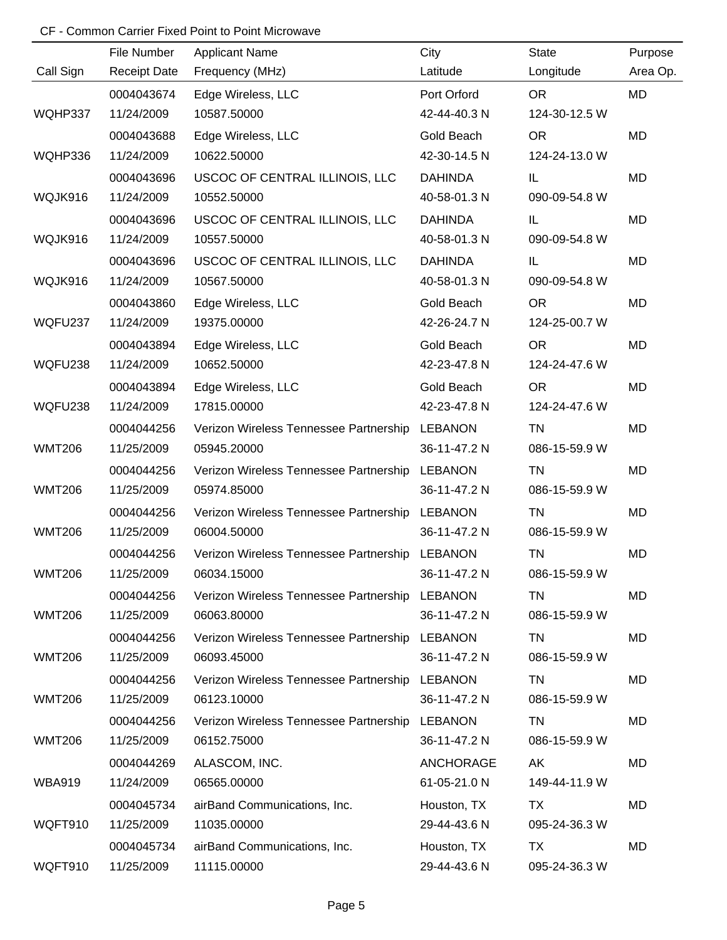|               | File Number         | <b>Applicant Name</b>                          | City             | <b>State</b>  | Purpose   |
|---------------|---------------------|------------------------------------------------|------------------|---------------|-----------|
| Call Sign     | <b>Receipt Date</b> | Frequency (MHz)                                | Latitude         | Longitude     | Area Op.  |
|               | 0004043674          | Edge Wireless, LLC                             | Port Orford      | <b>OR</b>     | <b>MD</b> |
| WQHP337       | 11/24/2009          | 10587.50000                                    | 42-44-40.3 N     | 124-30-12.5 W |           |
|               | 0004043688          | Edge Wireless, LLC                             | Gold Beach       | <b>OR</b>     | <b>MD</b> |
| WQHP336       | 11/24/2009          | 10622.50000                                    | 42-30-14.5 N     | 124-24-13.0 W |           |
|               | 0004043696          | USCOC OF CENTRAL ILLINOIS, LLC                 | <b>DAHINDA</b>   | IL            | MD        |
| WQJK916       | 11/24/2009          | 10552.50000                                    | 40-58-01.3 N     | 090-09-54.8 W |           |
|               | 0004043696          | USCOC OF CENTRAL ILLINOIS, LLC                 | <b>DAHINDA</b>   | IL            | MD        |
| WQJK916       | 11/24/2009          | 10557.50000                                    | 40-58-01.3 N     | 090-09-54.8 W |           |
|               | 0004043696          | USCOC OF CENTRAL ILLINOIS, LLC                 | <b>DAHINDA</b>   | IL            | MD        |
| WQJK916       | 11/24/2009          | 10567.50000                                    | 40-58-01.3 N     | 090-09-54.8 W |           |
|               | 0004043860          | Edge Wireless, LLC                             | Gold Beach       | <b>OR</b>     | MD        |
| WQFU237       | 11/24/2009          | 19375.00000                                    | 42-26-24.7 N     | 124-25-00.7 W |           |
|               | 0004043894          | Edge Wireless, LLC                             | Gold Beach       | <b>OR</b>     | MD        |
| WQFU238       | 11/24/2009          | 10652.50000                                    | 42-23-47.8 N     | 124-24-47.6 W |           |
|               | 0004043894          | Edge Wireless, LLC                             | Gold Beach       | <b>OR</b>     | MD        |
| WQFU238       | 11/24/2009          | 17815.00000                                    | 42-23-47.8 N     | 124-24-47.6 W |           |
|               | 0004044256          | Verizon Wireless Tennessee Partnership         | <b>LEBANON</b>   | TN            | MD        |
| <b>WMT206</b> | 11/25/2009          | 05945.20000                                    | 36-11-47.2 N     | 086-15-59.9 W |           |
|               | 0004044256          | Verizon Wireless Tennessee Partnership         | <b>LEBANON</b>   | <b>TN</b>     | MD        |
| <b>WMT206</b> | 11/25/2009          | 05974.85000                                    | 36-11-47.2 N     | 086-15-59.9 W |           |
|               | 0004044256          | Verizon Wireless Tennessee Partnership         | <b>LEBANON</b>   | <b>TN</b>     | MD        |
| <b>WMT206</b> | 11/25/2009          | 06004.50000                                    | 36-11-47.2 N     | 086-15-59.9 W |           |
|               | 0004044256          | Verizon Wireless Tennessee Partnership LEBANON |                  | <b>TN</b>     | MD        |
| <b>WMT206</b> | 11/25/2009          | 06034.15000                                    | 36-11-47.2 N     | 086-15-59.9 W |           |
|               | 0004044256          | Verizon Wireless Tennessee Partnership         | <b>LEBANON</b>   | TN            | MD        |
| <b>WMT206</b> | 11/25/2009          | 06063.80000                                    | 36-11-47.2 N     | 086-15-59.9 W |           |
|               | 0004044256          | Verizon Wireless Tennessee Partnership         | <b>LEBANON</b>   | TN            | MD        |
| <b>WMT206</b> | 11/25/2009          | 06093.45000                                    | 36-11-47.2 N     | 086-15-59.9 W |           |
|               | 0004044256          | Verizon Wireless Tennessee Partnership         | <b>LEBANON</b>   | TN            | MD        |
| <b>WMT206</b> | 11/25/2009          | 06123.10000                                    | 36-11-47.2 N     | 086-15-59.9 W |           |
|               | 0004044256          | Verizon Wireless Tennessee Partnership         | <b>LEBANON</b>   | TN            | MD        |
| <b>WMT206</b> | 11/25/2009          | 06152.75000                                    | 36-11-47.2 N     | 086-15-59.9 W |           |
|               | 0004044269          | ALASCOM, INC.                                  | <b>ANCHORAGE</b> | AK            | MD        |
| <b>WBA919</b> | 11/24/2009          | 06565.00000                                    | 61-05-21.0 N     | 149-44-11.9 W |           |
|               | 0004045734          | airBand Communications, Inc.                   | Houston, TX      | <b>TX</b>     | MD        |
| WQFT910       | 11/25/2009          | 11035.00000                                    | 29-44-43.6 N     | 095-24-36.3 W |           |
|               | 0004045734          | airBand Communications, Inc.                   | Houston, TX      | TX            | MD        |
| WQFT910       | 11/25/2009          | 11115.00000                                    | 29-44-43.6 N     | 095-24-36.3 W |           |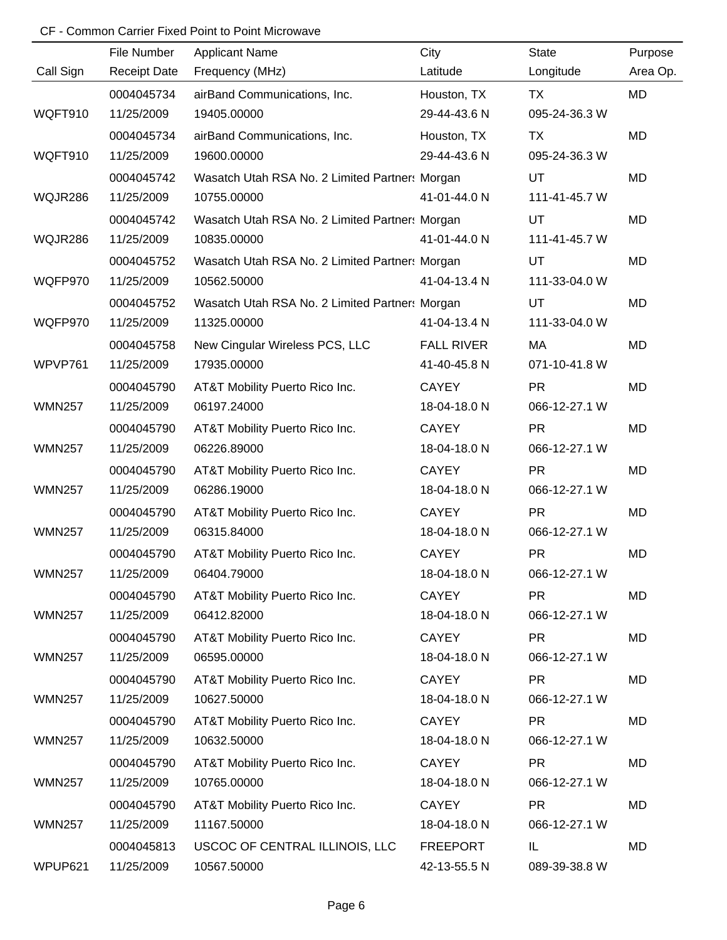|               | File Number         | <b>Applicant Name</b>                          | City              | <b>State</b>  | Purpose   |
|---------------|---------------------|------------------------------------------------|-------------------|---------------|-----------|
| Call Sign     | <b>Receipt Date</b> | Frequency (MHz)                                | Latitude          | Longitude     | Area Op.  |
|               | 0004045734          | airBand Communications, Inc.                   | Houston, TX       | <b>TX</b>     | MD        |
| WQFT910       | 11/25/2009          | 19405.00000                                    | 29-44-43.6 N      | 095-24-36.3 W |           |
|               | 0004045734          | airBand Communications, Inc.                   | Houston, TX       | TX            | <b>MD</b> |
| WQFT910       | 11/25/2009          | 19600.00000                                    | 29-44-43.6 N      | 095-24-36.3 W |           |
|               | 0004045742          | Wasatch Utah RSA No. 2 Limited Partner: Morgan |                   | UT            | MD        |
| WQJR286       | 11/25/2009          | 10755.00000                                    | 41-01-44.0 N      | 111-41-45.7 W |           |
|               | 0004045742          | Wasatch Utah RSA No. 2 Limited Partner: Morgan |                   | UT            | MD        |
| WQJR286       | 11/25/2009          | 10835.00000                                    | 41-01-44.0 N      | 111-41-45.7 W |           |
|               | 0004045752          | Wasatch Utah RSA No. 2 Limited Partner: Morgan |                   | UT            | MD        |
| WQFP970       | 11/25/2009          | 10562.50000                                    | 41-04-13.4 N      | 111-33-04.0 W |           |
|               | 0004045752          | Wasatch Utah RSA No. 2 Limited Partner: Morgan |                   | UT            | MD        |
| WQFP970       | 11/25/2009          | 11325.00000                                    | 41-04-13.4 N      | 111-33-04.0 W |           |
|               | 0004045758          | New Cingular Wireless PCS, LLC                 | <b>FALL RIVER</b> | MA            | MD        |
| WPVP761       | 11/25/2009          | 17935.00000                                    | 41-40-45.8 N      | 071-10-41.8 W |           |
|               | 0004045790          | AT&T Mobility Puerto Rico Inc.                 | <b>CAYEY</b>      | <b>PR</b>     | MD        |
| <b>WMN257</b> | 11/25/2009          | 06197.24000                                    | 18-04-18.0 N      | 066-12-27.1 W |           |
|               | 0004045790          | AT&T Mobility Puerto Rico Inc.                 | <b>CAYEY</b>      | <b>PR</b>     | MD        |
| <b>WMN257</b> | 11/25/2009          | 06226.89000                                    | 18-04-18.0 N      | 066-12-27.1 W |           |
|               | 0004045790          | AT&T Mobility Puerto Rico Inc.                 | <b>CAYEY</b>      | <b>PR</b>     | MD        |
| <b>WMN257</b> | 11/25/2009          | 06286.19000                                    | 18-04-18.0 N      | 066-12-27.1 W |           |
|               | 0004045790          | AT&T Mobility Puerto Rico Inc.                 | <b>CAYEY</b>      | <b>PR</b>     | <b>MD</b> |
| <b>WMN257</b> | 11/25/2009          | 06315.84000                                    | 18-04-18.0 N      | 066-12-27.1 W |           |
|               | 0004045790          | AT&T Mobility Puerto Rico Inc.                 | <b>CAYEY</b>      | <b>PR</b>     | MD        |
| <b>WMN257</b> | 11/25/2009          | 06404.79000                                    | 18-04-18.0 N      | 066-12-27.1 W |           |
|               | 0004045790          | AT&T Mobility Puerto Rico Inc.                 | <b>CAYEY</b>      | <b>PR</b>     | MD        |
| <b>WMN257</b> | 11/25/2009          | 06412.82000                                    | 18-04-18.0 N      | 066-12-27.1 W |           |
|               | 0004045790          | AT&T Mobility Puerto Rico Inc.                 | <b>CAYEY</b>      | <b>PR</b>     | MD        |
| <b>WMN257</b> | 11/25/2009          | 06595.00000                                    | 18-04-18.0 N      | 066-12-27.1 W |           |
|               | 0004045790          | AT&T Mobility Puerto Rico Inc.                 | <b>CAYEY</b>      | <b>PR</b>     | MD        |
| <b>WMN257</b> | 11/25/2009          | 10627.50000                                    | 18-04-18.0 N      | 066-12-27.1 W |           |
|               | 0004045790          | AT&T Mobility Puerto Rico Inc.                 | <b>CAYEY</b>      | <b>PR</b>     | MD        |
| <b>WMN257</b> | 11/25/2009          | 10632.50000                                    | 18-04-18.0 N      | 066-12-27.1 W |           |
|               | 0004045790          | AT&T Mobility Puerto Rico Inc.                 | <b>CAYEY</b>      | <b>PR</b>     | MD        |
| <b>WMN257</b> | 11/25/2009          | 10765.00000                                    | 18-04-18.0 N      | 066-12-27.1 W |           |
|               | 0004045790          | AT&T Mobility Puerto Rico Inc.                 | <b>CAYEY</b>      | <b>PR</b>     | MD        |
| <b>WMN257</b> | 11/25/2009          | 11167.50000                                    | 18-04-18.0 N      | 066-12-27.1 W |           |
|               | 0004045813          | USCOC OF CENTRAL ILLINOIS, LLC                 | <b>FREEPORT</b>   | IL            | MD        |
| WPUP621       | 11/25/2009          | 10567.50000                                    | 42-13-55.5 N      | 089-39-38.8 W |           |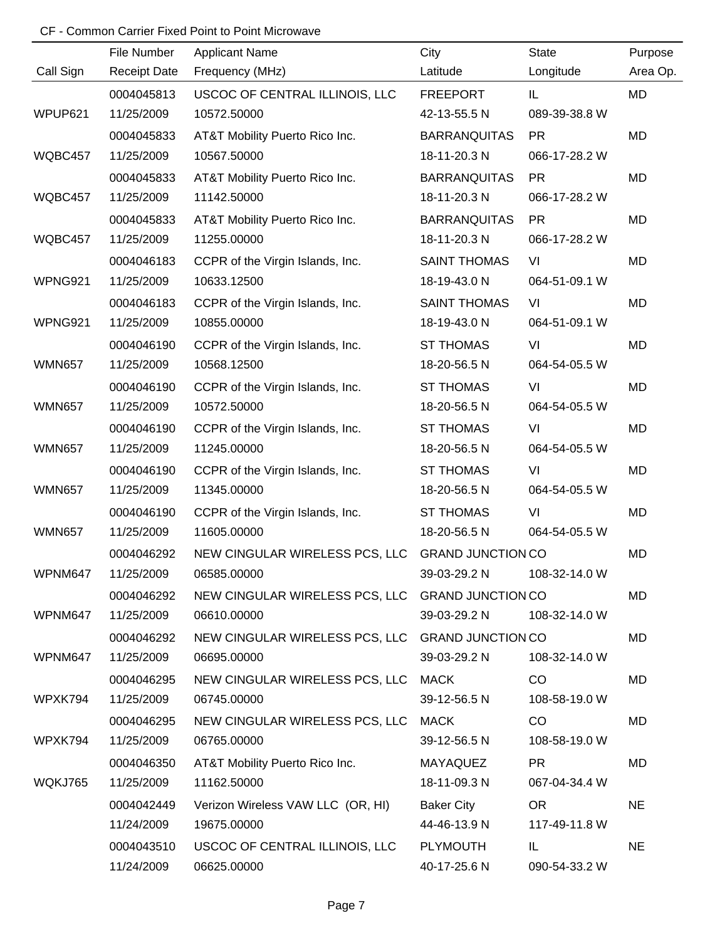|               | File Number         | <b>Applicant Name</b>                            | City                | <b>State</b>  | Purpose   |
|---------------|---------------------|--------------------------------------------------|---------------------|---------------|-----------|
| Call Sign     | <b>Receipt Date</b> | Frequency (MHz)                                  | Latitude            | Longitude     | Area Op.  |
|               | 0004045813          | USCOC OF CENTRAL ILLINOIS, LLC                   | <b>FREEPORT</b>     | IL            | MD        |
| WPUP621       | 11/25/2009          | 10572.50000                                      | 42-13-55.5 N        | 089-39-38.8 W |           |
|               | 0004045833          | AT&T Mobility Puerto Rico Inc.                   | <b>BARRANQUITAS</b> | <b>PR</b>     | MD        |
| WQBC457       | 11/25/2009          | 10567.50000                                      | 18-11-20.3 N        | 066-17-28.2 W |           |
|               | 0004045833          | AT&T Mobility Puerto Rico Inc.                   | <b>BARRANQUITAS</b> | <b>PR</b>     | MD        |
| WQBC457       | 11/25/2009          | 11142.50000                                      | 18-11-20.3 N        | 066-17-28.2 W |           |
|               | 0004045833          | AT&T Mobility Puerto Rico Inc.                   | <b>BARRANQUITAS</b> | <b>PR</b>     | MD        |
| WQBC457       | 11/25/2009          | 11255.00000                                      | 18-11-20.3 N        | 066-17-28.2 W |           |
|               | 0004046183          | CCPR of the Virgin Islands, Inc.                 | <b>SAINT THOMAS</b> | VI            | MD        |
| WPNG921       | 11/25/2009          | 10633.12500                                      | 18-19-43.0 N        | 064-51-09.1 W |           |
|               | 0004046183          | CCPR of the Virgin Islands, Inc.                 | <b>SAINT THOMAS</b> | VI            | MD        |
| WPNG921       | 11/25/2009          | 10855.00000                                      | 18-19-43.0 N        | 064-51-09.1 W |           |
|               | 0004046190          | CCPR of the Virgin Islands, Inc.                 | <b>ST THOMAS</b>    | VI            | MD        |
| <b>WMN657</b> | 11/25/2009          | 10568.12500                                      | 18-20-56.5 N        | 064-54-05.5 W |           |
|               | 0004046190          | CCPR of the Virgin Islands, Inc.                 | <b>ST THOMAS</b>    | VI            | MD        |
| <b>WMN657</b> | 11/25/2009          | 10572.50000                                      | 18-20-56.5 N        | 064-54-05.5 W |           |
|               | 0004046190          | CCPR of the Virgin Islands, Inc.                 | <b>ST THOMAS</b>    | VI            | MD        |
| <b>WMN657</b> | 11/25/2009          | 11245.00000                                      | 18-20-56.5 N        | 064-54-05.5 W |           |
|               | 0004046190          | CCPR of the Virgin Islands, Inc.                 | <b>ST THOMAS</b>    | VI            | MD        |
| <b>WMN657</b> | 11/25/2009          | 11345.00000                                      | 18-20-56.5 N        | 064-54-05.5 W |           |
|               | 0004046190          | CCPR of the Virgin Islands, Inc.                 | <b>ST THOMAS</b>    | VI            | MD        |
| <b>WMN657</b> | 11/25/2009          | 11605.00000                                      | 18-20-56.5 N        | 064-54-05.5 W |           |
|               | 0004046292          | NEW CINGULAR WIRELESS PCS, LLC GRAND JUNCTION CO |                     |               | <b>MD</b> |
| WPNM647       | 11/25/2009          | 06585.00000                                      | 39-03-29.2 N        | 108-32-14.0 W |           |
|               | 0004046292          | NEW CINGULAR WIRELESS PCS, LLC GRAND JUNCTION CO |                     |               | MD        |
| WPNM647       | 11/25/2009          | 06610.00000                                      | 39-03-29.2 N        | 108-32-14.0 W |           |
|               | 0004046292          | NEW CINGULAR WIRELESS PCS, LLC GRAND JUNCTION CO |                     |               | MD        |
| WPNM647       | 11/25/2009          | 06695.00000                                      | 39-03-29.2 N        | 108-32-14.0 W |           |
|               | 0004046295          | NEW CINGULAR WIRELESS PCS, LLC MACK              |                     | CO            | MD        |
| WPXK794       | 11/25/2009          | 06745.00000                                      | 39-12-56.5 N        | 108-58-19.0 W |           |
|               | 0004046295          | NEW CINGULAR WIRELESS PCS, LLC                   | <b>MACK</b>         | CO            | MD        |
| WPXK794       | 11/25/2009          | 06765.00000                                      | 39-12-56.5 N        | 108-58-19.0 W |           |
|               | 0004046350          | AT&T Mobility Puerto Rico Inc.                   | MAYAQUEZ            | <b>PR</b>     | MD        |
| WQKJ765       | 11/25/2009          | 11162.50000                                      | 18-11-09.3 N        | 067-04-34.4 W |           |
|               | 0004042449          | Verizon Wireless VAW LLC (OR, HI)                | <b>Baker City</b>   | <b>OR</b>     | <b>NE</b> |
|               | 11/24/2009          | 19675.00000                                      | 44-46-13.9 N        | 117-49-11.8 W |           |
|               | 0004043510          | USCOC OF CENTRAL ILLINOIS, LLC                   | <b>PLYMOUTH</b>     | IL            | <b>NE</b> |
|               | 11/24/2009          | 06625.00000                                      | 40-17-25.6 N        | 090-54-33.2 W |           |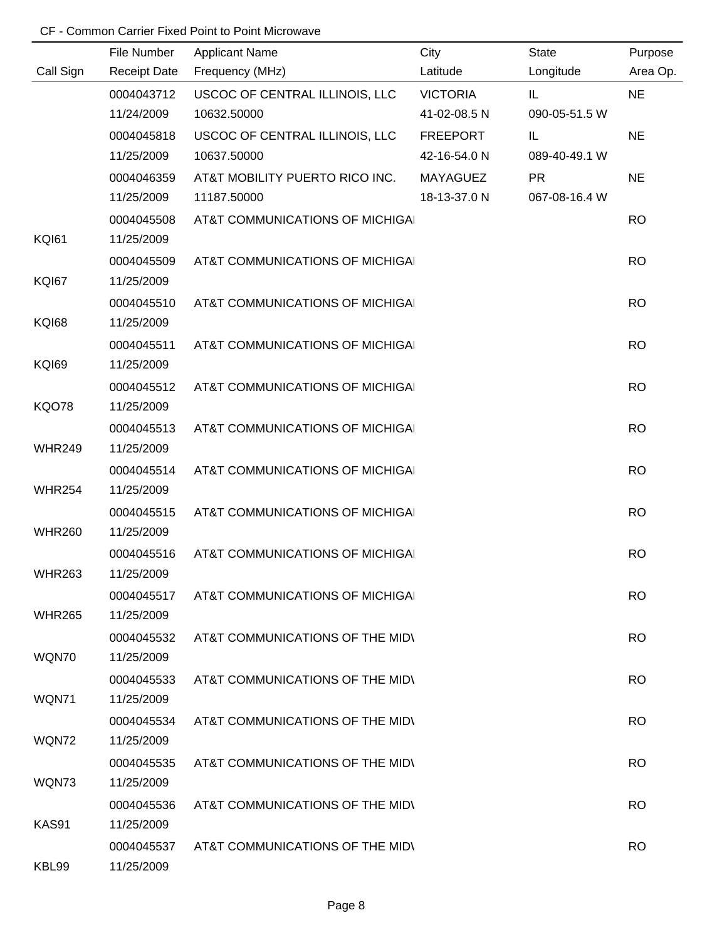|               | File Number         | <b>Applicant Name</b>           | City            | <b>State</b>  | Purpose   |
|---------------|---------------------|---------------------------------|-----------------|---------------|-----------|
| Call Sign     | <b>Receipt Date</b> | Frequency (MHz)                 | Latitude        | Longitude     | Area Op.  |
|               | 0004043712          | USCOC OF CENTRAL ILLINOIS, LLC  | <b>VICTORIA</b> | IL            | <b>NE</b> |
|               | 11/24/2009          | 10632.50000                     | 41-02-08.5 N    | 090-05-51.5 W |           |
|               | 0004045818          | USCOC OF CENTRAL ILLINOIS, LLC  | <b>FREEPORT</b> | IL            | <b>NE</b> |
|               | 11/25/2009          | 10637.50000                     | 42-16-54.0 N    | 089-40-49.1 W |           |
|               | 0004046359          | AT&T MOBILITY PUERTO RICO INC.  | <b>MAYAGUEZ</b> | <b>PR</b>     | <b>NE</b> |
|               | 11/25/2009          | 11187.50000                     | 18-13-37.0 N    | 067-08-16.4 W |           |
|               | 0004045508          | AT&T COMMUNICATIONS OF MICHIGAL |                 |               | <b>RO</b> |
| <b>KQI61</b>  | 11/25/2009          |                                 |                 |               |           |
|               | 0004045509          | AT&T COMMUNICATIONS OF MICHIGAL |                 |               | <b>RO</b> |
| <b>KQI67</b>  | 11/25/2009          |                                 |                 |               |           |
|               | 0004045510          | AT&T COMMUNICATIONS OF MICHIGAL |                 |               | <b>RO</b> |
| <b>KQI68</b>  | 11/25/2009          |                                 |                 |               |           |
|               | 0004045511          | AT&T COMMUNICATIONS OF MICHIGAL |                 |               | <b>RO</b> |
| <b>KQI69</b>  | 11/25/2009          |                                 |                 |               |           |
|               | 0004045512          | AT&T COMMUNICATIONS OF MICHIGAL |                 |               | <b>RO</b> |
| <b>KQO78</b>  | 11/25/2009          |                                 |                 |               |           |
|               | 0004045513          | AT&T COMMUNICATIONS OF MICHIGAL |                 |               | <b>RO</b> |
| <b>WHR249</b> | 11/25/2009          |                                 |                 |               |           |
|               | 0004045514          | AT&T COMMUNICATIONS OF MICHIGAL |                 |               | <b>RO</b> |
| <b>WHR254</b> | 11/25/2009          |                                 |                 |               |           |
|               | 0004045515          | AT&T COMMUNICATIONS OF MICHIGAL |                 |               | <b>RO</b> |
| <b>WHR260</b> | 11/25/2009          |                                 |                 |               |           |
|               | 0004045516          | AT&T COMMUNICATIONS OF MICHIGAL |                 |               | <b>RO</b> |
| <b>WHR263</b> | 11/25/2009          |                                 |                 |               |           |
|               | 0004045517          | AT&T COMMUNICATIONS OF MICHIGAL |                 |               | <b>RO</b> |
| <b>WHR265</b> | 11/25/2009          |                                 |                 |               |           |
|               | 0004045532          | AT&T COMMUNICATIONS OF THE MIDI |                 |               | <b>RO</b> |
| WQN70         | 11/25/2009          |                                 |                 |               |           |
|               | 0004045533          | AT&T COMMUNICATIONS OF THE MIDI |                 |               | <b>RO</b> |
| WQN71         | 11/25/2009          |                                 |                 |               |           |
|               | 0004045534          | AT&T COMMUNICATIONS OF THE MIDI |                 |               | <b>RO</b> |
| WQN72         | 11/25/2009          |                                 |                 |               |           |
|               | 0004045535          | AT&T COMMUNICATIONS OF THE MIDI |                 |               | RO.       |
| WQN73         | 11/25/2009          |                                 |                 |               |           |
|               | 0004045536          | AT&T COMMUNICATIONS OF THE MID\ |                 |               | <b>RO</b> |
| KAS91         | 11/25/2009          |                                 |                 |               |           |
|               | 0004045537          | AT&T COMMUNICATIONS OF THE MIDI |                 |               | <b>RO</b> |
| KBL99         | 11/25/2009          |                                 |                 |               |           |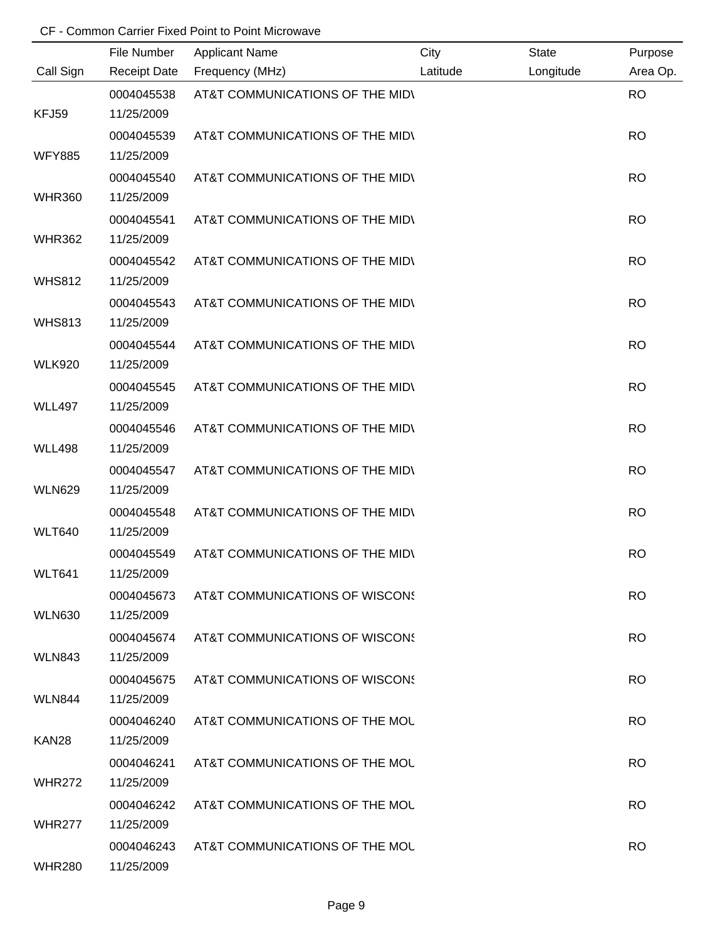|                   | File Number              | <b>Applicant Name</b>           | City     | <b>State</b> | Purpose   |
|-------------------|--------------------------|---------------------------------|----------|--------------|-----------|
| Call Sign         | <b>Receipt Date</b>      | Frequency (MHz)                 | Latitude | Longitude    | Area Op.  |
| KFJ59             | 0004045538<br>11/25/2009 | AT&T COMMUNICATIONS OF THE MIDI |          |              | <b>RO</b> |
|                   |                          |                                 |          |              |           |
| <b>WFY885</b>     | 0004045539<br>11/25/2009 | AT&T COMMUNICATIONS OF THE MIDY |          |              | <b>RO</b> |
|                   |                          |                                 |          |              | <b>RO</b> |
| <b>WHR360</b>     | 0004045540<br>11/25/2009 | AT&T COMMUNICATIONS OF THE MIDY |          |              |           |
|                   |                          |                                 |          |              |           |
| <b>WHR362</b>     | 0004045541<br>11/25/2009 | AT&T COMMUNICATIONS OF THE MIDI |          |              | <b>RO</b> |
|                   |                          |                                 |          |              |           |
| <b>WHS812</b>     | 0004045542<br>11/25/2009 | AT&T COMMUNICATIONS OF THE MIDY |          |              | <b>RO</b> |
|                   |                          |                                 |          |              |           |
| <b>WHS813</b>     | 0004045543<br>11/25/2009 | AT&T COMMUNICATIONS OF THE MIDV |          |              | <b>RO</b> |
|                   | 0004045544               | AT&T COMMUNICATIONS OF THE MIDV |          |              | <b>RO</b> |
| <b>WLK920</b>     | 11/25/2009               |                                 |          |              |           |
|                   | 0004045545               | AT&T COMMUNICATIONS OF THE MIDI |          |              | <b>RO</b> |
| <b>WLL497</b>     | 11/25/2009               |                                 |          |              |           |
|                   | 0004045546               | AT&T COMMUNICATIONS OF THE MIDI |          |              | <b>RO</b> |
| <b>WLL498</b>     | 11/25/2009               |                                 |          |              |           |
|                   | 0004045547               | AT&T COMMUNICATIONS OF THE MIDV |          |              | <b>RO</b> |
| <b>WLN629</b>     | 11/25/2009               |                                 |          |              |           |
|                   | 0004045548               | AT&T COMMUNICATIONS OF THE MIDV |          |              | <b>RO</b> |
| <b>WLT640</b>     | 11/25/2009               |                                 |          |              |           |
|                   | 0004045549               | AT&T COMMUNICATIONS OF THE MIDI |          |              | <b>RO</b> |
| <b>WLT641</b>     | 11/25/2009               |                                 |          |              |           |
|                   | 0004045673               | AT&T COMMUNICATIONS OF WISCONS  |          |              | <b>RO</b> |
| <b>WLN630</b>     | 11/25/2009               |                                 |          |              |           |
|                   | 0004045674               | AT&T COMMUNICATIONS OF WISCONS  |          |              | <b>RO</b> |
| <b>WLN843</b>     | 11/25/2009               |                                 |          |              |           |
|                   | 0004045675               | AT&T COMMUNICATIONS OF WISCONS  |          |              | <b>RO</b> |
| <b>WLN844</b>     | 11/25/2009               |                                 |          |              |           |
|                   | 0004046240               | AT&T COMMUNICATIONS OF THE MOL  |          |              | <b>RO</b> |
| KAN <sub>28</sub> | 11/25/2009               |                                 |          |              |           |
|                   | 0004046241               | AT&T COMMUNICATIONS OF THE MOL  |          |              | <b>RO</b> |
| <b>WHR272</b>     | 11/25/2009               |                                 |          |              |           |
|                   | 0004046242               | AT&T COMMUNICATIONS OF THE MOL  |          |              | <b>RO</b> |
| <b>WHR277</b>     | 11/25/2009               |                                 |          |              |           |
|                   | 0004046243               | AT&T COMMUNICATIONS OF THE MOL  |          |              | <b>RO</b> |
| <b>WHR280</b>     | 11/25/2009               |                                 |          |              |           |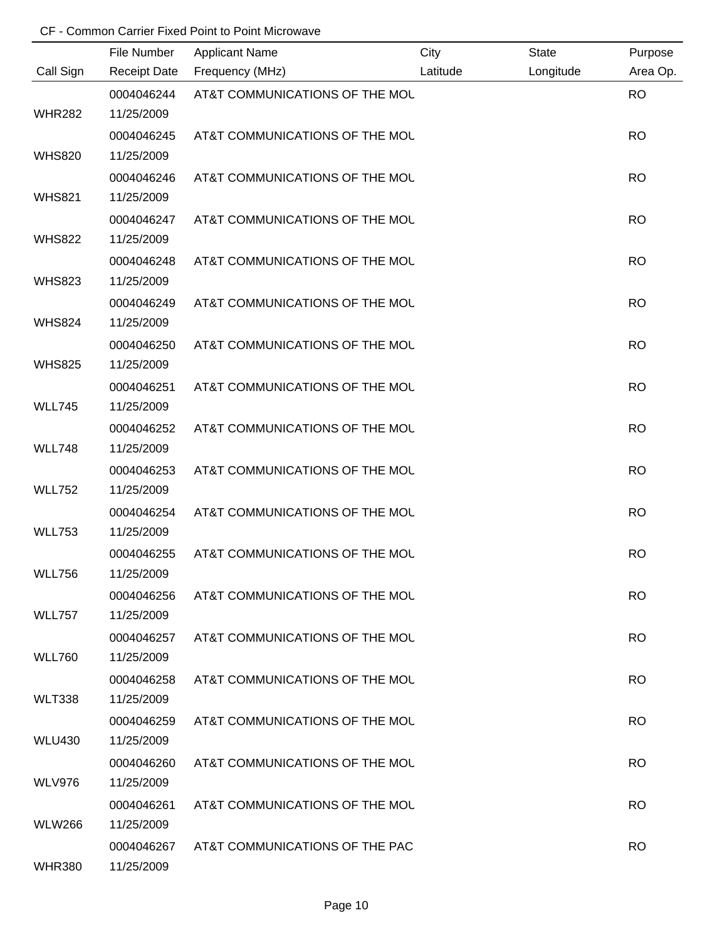|               | File Number         | <b>Applicant Name</b>          | City     | <b>State</b> | Purpose   |
|---------------|---------------------|--------------------------------|----------|--------------|-----------|
| Call Sign     | <b>Receipt Date</b> | Frequency (MHz)                | Latitude | Longitude    | Area Op.  |
|               | 0004046244          | AT&T COMMUNICATIONS OF THE MOL |          |              | <b>RO</b> |
| <b>WHR282</b> | 11/25/2009          |                                |          |              |           |
|               | 0004046245          | AT&T COMMUNICATIONS OF THE MOL |          |              | <b>RO</b> |
| <b>WHS820</b> | 11/25/2009          |                                |          |              |           |
|               | 0004046246          | AT&T COMMUNICATIONS OF THE MOL |          |              | <b>RO</b> |
| <b>WHS821</b> | 11/25/2009          |                                |          |              |           |
|               | 0004046247          | AT&T COMMUNICATIONS OF THE MOL |          |              | <b>RO</b> |
| <b>WHS822</b> | 11/25/2009          |                                |          |              |           |
|               | 0004046248          | AT&T COMMUNICATIONS OF THE MOL |          |              | <b>RO</b> |
| <b>WHS823</b> | 11/25/2009          |                                |          |              |           |
|               | 0004046249          | AT&T COMMUNICATIONS OF THE MOL |          |              | <b>RO</b> |
| <b>WHS824</b> | 11/25/2009          |                                |          |              |           |
|               | 0004046250          | AT&T COMMUNICATIONS OF THE MOL |          |              | <b>RO</b> |
| <b>WHS825</b> | 11/25/2009          |                                |          |              |           |
|               | 0004046251          | AT&T COMMUNICATIONS OF THE MOL |          |              | <b>RO</b> |
| <b>WLL745</b> | 11/25/2009          |                                |          |              |           |
|               | 0004046252          | AT&T COMMUNICATIONS OF THE MOL |          |              | <b>RO</b> |
| <b>WLL748</b> | 11/25/2009          |                                |          |              |           |
|               | 0004046253          | AT&T COMMUNICATIONS OF THE MOL |          |              | <b>RO</b> |
| <b>WLL752</b> | 11/25/2009          |                                |          |              |           |
|               | 0004046254          | AT&T COMMUNICATIONS OF THE MOL |          |              | <b>RO</b> |
| <b>WLL753</b> | 11/25/2009          |                                |          |              |           |
|               | 0004046255          | AT&T COMMUNICATIONS OF THE MOL |          |              | <b>RO</b> |
| <b>WLL756</b> | 11/25/2009          |                                |          |              |           |
|               | 0004046256          | AT&T COMMUNICATIONS OF THE MOL |          |              | <b>RO</b> |
| <b>WLL757</b> | 11/25/2009          |                                |          |              |           |
|               | 0004046257          | AT&T COMMUNICATIONS OF THE MOL |          |              | <b>RO</b> |
| <b>WLL760</b> | 11/25/2009          |                                |          |              |           |
|               | 0004046258          | AT&T COMMUNICATIONS OF THE MOL |          |              | <b>RO</b> |
| <b>WLT338</b> | 11/25/2009          |                                |          |              |           |
|               | 0004046259          | AT&T COMMUNICATIONS OF THE MOL |          |              | <b>RO</b> |
| <b>WLU430</b> | 11/25/2009          |                                |          |              |           |
|               | 0004046260          | AT&T COMMUNICATIONS OF THE MOL |          |              | RO.       |
| <b>WLV976</b> | 11/25/2009          |                                |          |              |           |
|               | 0004046261          | AT&T COMMUNICATIONS OF THE MOL |          |              | <b>RO</b> |
| <b>WLW266</b> | 11/25/2009          |                                |          |              |           |
|               | 0004046267          | AT&T COMMUNICATIONS OF THE PAC |          |              | <b>RO</b> |
| <b>WHR380</b> | 11/25/2009          |                                |          |              |           |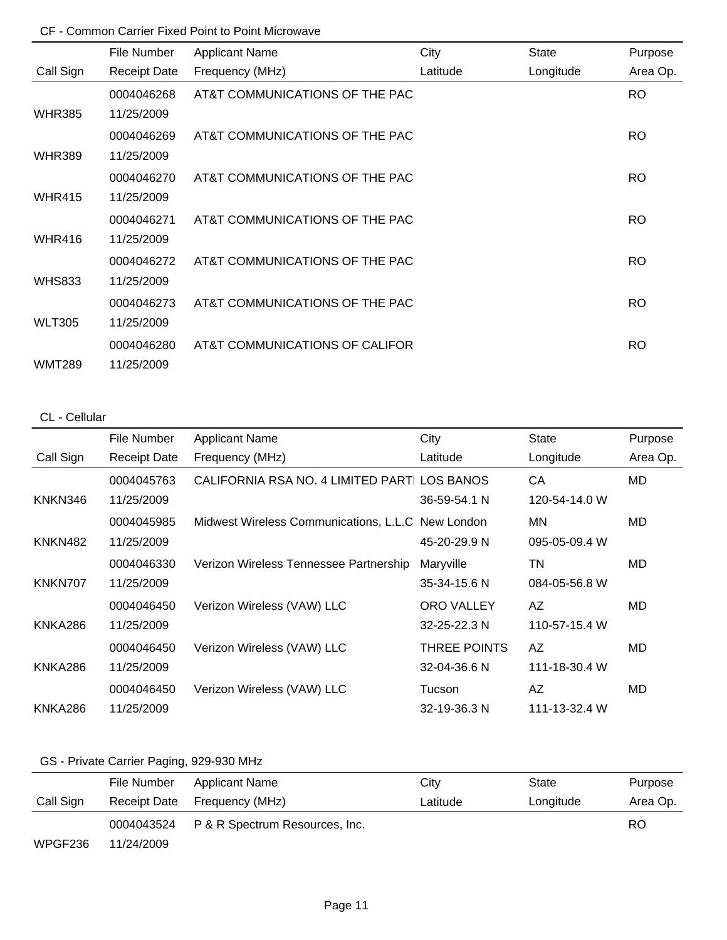|               | File Number         | <b>Applicant Name</b>          | City     | <b>State</b> | Purpose   |
|---------------|---------------------|--------------------------------|----------|--------------|-----------|
| Call Sign     | <b>Receipt Date</b> | Frequency (MHz)                | Latitude | Longitude    | Area Op.  |
|               | 0004046268          | AT&T COMMUNICATIONS OF THE PAC |          |              | RO.       |
| <b>WHR385</b> | 11/25/2009          |                                |          |              |           |
|               | 0004046269          | AT&T COMMUNICATIONS OF THE PAC |          |              | RO.       |
| <b>WHR389</b> | 11/25/2009          |                                |          |              |           |
|               | 0004046270          | AT&T COMMUNICATIONS OF THE PAC |          |              | RO.       |
| <b>WHR415</b> | 11/25/2009          |                                |          |              |           |
|               | 0004046271          | AT&T COMMUNICATIONS OF THE PAC |          |              | <b>RO</b> |
| <b>WHR416</b> | 11/25/2009          |                                |          |              |           |
|               | 0004046272          | AT&T COMMUNICATIONS OF THE PAC |          |              | <b>RO</b> |
| <b>WHS833</b> | 11/25/2009          |                                |          |              |           |
|               | 0004046273          | AT&T COMMUNICATIONS OF THE PAC |          |              | <b>RO</b> |
| <b>WLT305</b> | 11/25/2009          |                                |          |              |           |
|               | 0004046280          | AT&T COMMUNICATIONS OF CALIFOR |          |              | RO.       |
| <b>WMT289</b> | 11/25/2009          |                                |          |              |           |

## CL - Cellular

|                | File Number         | <b>Applicant Name</b>                             | City               | <b>State</b>  | Purpose  |
|----------------|---------------------|---------------------------------------------------|--------------------|---------------|----------|
| Call Sign      | <b>Receipt Date</b> | Frequency (MHz)                                   | Latitude           | Longitude     | Area Op. |
|                | 0004045763          | CALIFORNIA RSA NO. 4 LIMITED PARTI LOS BANOS      |                    | СA            | MD       |
| KNKN346        | 11/25/2009          |                                                   | 36-59-54.1 N       | 120-54-14.0 W |          |
|                | 0004045985          | Midwest Wireless Communications, L.L.C New London |                    | MN            | MD.      |
| <b>KNKN482</b> | 11/25/2009          |                                                   | 45-20-29.9 N       | 095-05-09.4 W |          |
|                | 0004046330          | Verizon Wireless Tennessee Partnership            | Maryville          | ΤN            | MD.      |
| KNKN707        | 11/25/2009          |                                                   | 35-34-15.6 N       | 084-05-56.8 W |          |
|                | 0004046450          | Verizon Wireless (VAW) LLC                        | <b>ORO VALLEY</b>  | AZ            | MD.      |
| KNKA286        | 11/25/2009          |                                                   | $32 - 25 - 22.3$ N | 110-57-15.4 W |          |
|                | 0004046450          | Verizon Wireless (VAW) LLC                        | THREE POINTS       | AZ.           | MD.      |
| KNKA286        | 11/25/2009          |                                                   | 32-04-36.6 N       | 111-18-30.4 W |          |
|                | 0004046450          | Verizon Wireless (VAW) LLC                        | Tucson             | AZ            | MD       |
| KNKA286        | 11/25/2009          |                                                   | 32-19-36.3 N       | 111-13-32.4 W |          |

# GS - Private Carrier Paging, 929-930 MHz

|           | File Number  | <b>Applicant Name</b>          | City     | State     | Purpose  |
|-----------|--------------|--------------------------------|----------|-----------|----------|
| Call Sign | Receipt Date | Frequency (MHz)                | Latitude | Longitude | Area Op. |
|           | 0004043524   | P & R Spectrum Resources, Inc. |          |           | RO.      |
| WPGF236   | 11/24/2009   |                                |          |           |          |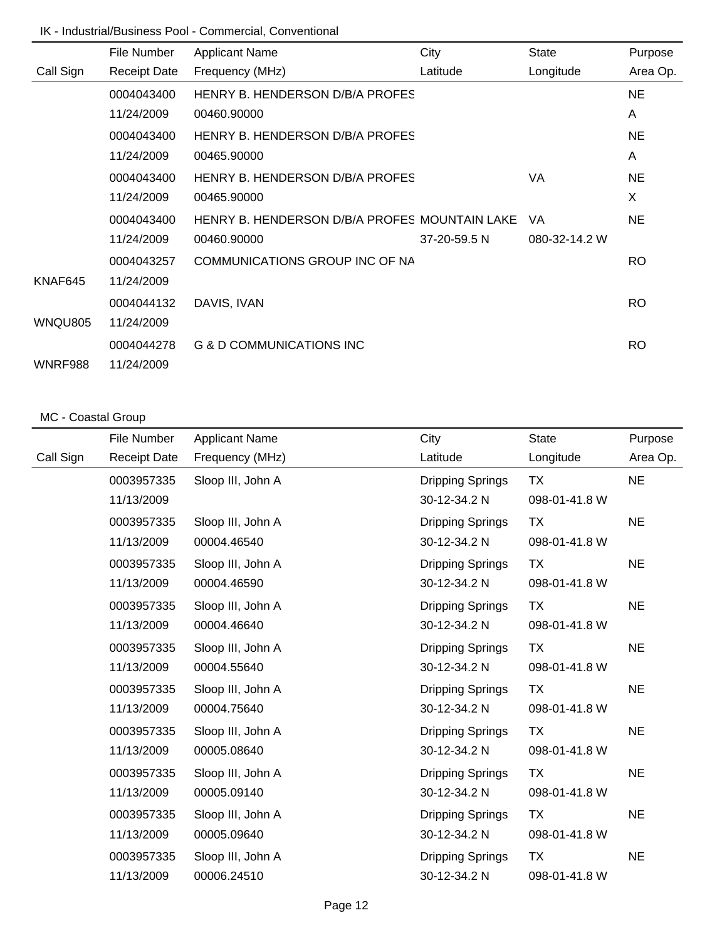## IK - Industrial/Business Pool - Commercial, Conventional

|           | File Number         | <b>Applicant Name</b>                         | City         | <b>State</b>  | Purpose   |
|-----------|---------------------|-----------------------------------------------|--------------|---------------|-----------|
| Call Sign | <b>Receipt Date</b> | Frequency (MHz)                               | Latitude     | Longitude     | Area Op.  |
|           | 0004043400          | HENRY B. HENDERSON D/B/A PROFES               |              |               | <b>NE</b> |
|           | 11/24/2009          | 00460.90000                                   |              |               | A         |
|           | 0004043400          | HENRY B. HENDERSON D/B/A PROFES               |              |               | <b>NE</b> |
|           | 11/24/2009          | 00465.90000                                   |              |               | A         |
|           | 0004043400          | HENRY B. HENDERSON D/B/A PROFES               |              | VA            | <b>NE</b> |
|           | 11/24/2009          | 00465.90000                                   |              |               | X         |
|           | 0004043400          | HENRY B. HENDERSON D/B/A PROFES MOUNTAIN LAKE |              | <b>VA</b>     | <b>NE</b> |
|           | 11/24/2009          | 00460.90000                                   | 37-20-59.5 N | 080-32-14.2 W |           |
|           | 0004043257          | COMMUNICATIONS GROUP INC OF NA                |              |               | RO.       |
| KNAF645   | 11/24/2009          |                                               |              |               |           |
|           | 0004044132          | DAVIS, IVAN                                   |              |               | <b>RO</b> |
| WNQU805   | 11/24/2009          |                                               |              |               |           |
|           | 0004044278          | G & D COMMUNICATIONS INC                      |              |               | RO.       |
| WNRF988   | 11/24/2009          |                                               |              |               |           |

### MC - Coastal Group

|           | File Number         | <b>Applicant Name</b> | City                    | <b>State</b>  | Purpose   |
|-----------|---------------------|-----------------------|-------------------------|---------------|-----------|
| Call Sign | <b>Receipt Date</b> | Frequency (MHz)       | Latitude                | Longitude     | Area Op.  |
|           | 0003957335          | Sloop III, John A     | <b>Dripping Springs</b> | TX            | <b>NE</b> |
|           | 11/13/2009          |                       | 30-12-34.2 N            | 098-01-41.8 W |           |
|           | 0003957335          | Sloop III, John A     | <b>Dripping Springs</b> | <b>TX</b>     | <b>NE</b> |
|           | 11/13/2009          | 00004.46540           | 30-12-34.2 N            | 098-01-41.8 W |           |
|           | 0003957335          | Sloop III, John A     | <b>Dripping Springs</b> | <b>TX</b>     | <b>NE</b> |
|           | 11/13/2009          | 00004.46590           | 30-12-34.2 N            | 098-01-41.8 W |           |
|           | 0003957335          | Sloop III, John A     | <b>Dripping Springs</b> | ТX            | <b>NE</b> |
|           | 11/13/2009          | 00004.46640           | 30-12-34.2 N            | 098-01-41.8 W |           |
|           | 0003957335          | Sloop III, John A     | Dripping Springs        | <b>TX</b>     | <b>NE</b> |
|           | 11/13/2009          | 00004.55640           | 30-12-34.2 N            | 098-01-41.8 W |           |
|           | 0003957335          | Sloop III, John A     | <b>Dripping Springs</b> | <b>TX</b>     | <b>NE</b> |
|           | 11/13/2009          | 00004.75640           | 30-12-34.2 N            | 098-01-41.8 W |           |
|           | 0003957335          | Sloop III, John A     | <b>Dripping Springs</b> | <b>TX</b>     | <b>NE</b> |
|           | 11/13/2009          | 00005.08640           | 30-12-34.2 N            | 098-01-41.8 W |           |
|           | 0003957335          | Sloop III, John A     | Dripping Springs        | <b>TX</b>     | <b>NE</b> |
|           | 11/13/2009          | 00005.09140           | 30-12-34.2 N            | 098-01-41.8 W |           |
|           | 0003957335          | Sloop III, John A     | <b>Dripping Springs</b> | ТX            | <b>NE</b> |
|           | 11/13/2009          | 00005.09640           | 30-12-34.2 N            | 098-01-41.8 W |           |
|           | 0003957335          | Sloop III, John A     | <b>Dripping Springs</b> | <b>TX</b>     | <b>NE</b> |
|           | 11/13/2009          | 00006.24510           | 30-12-34.2 N            | 098-01-41.8 W |           |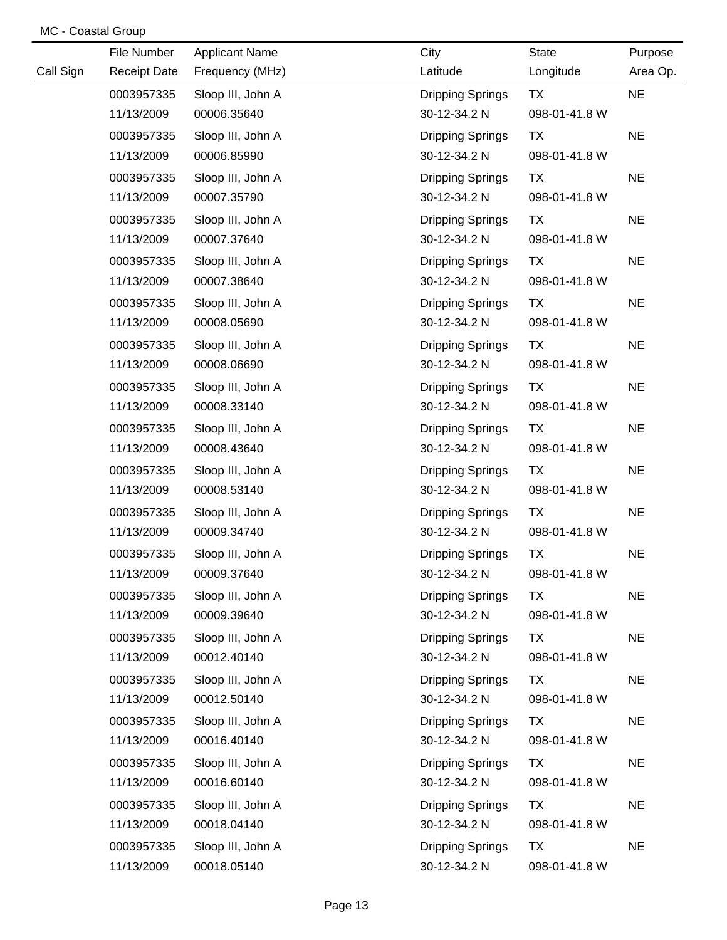|           | File Number         | <b>Applicant Name</b> | City                    | <b>State</b>  | Purpose   |
|-----------|---------------------|-----------------------|-------------------------|---------------|-----------|
| Call Sign | <b>Receipt Date</b> | Frequency (MHz)       | Latitude                | Longitude     | Area Op.  |
|           | 0003957335          | Sloop III, John A     | <b>Dripping Springs</b> | <b>TX</b>     | <b>NE</b> |
|           | 11/13/2009          | 00006.35640           | 30-12-34.2 N            | 098-01-41.8 W |           |
|           | 0003957335          | Sloop III, John A     | <b>Dripping Springs</b> | <b>TX</b>     | <b>NE</b> |
|           | 11/13/2009          | 00006.85990           | 30-12-34.2 N            | 098-01-41.8 W |           |
|           | 0003957335          | Sloop III, John A     | <b>Dripping Springs</b> | TX            | <b>NE</b> |
|           | 11/13/2009          | 00007.35790           | 30-12-34.2 N            | 098-01-41.8 W |           |
|           | 0003957335          | Sloop III, John A     | <b>Dripping Springs</b> | <b>TX</b>     | <b>NE</b> |
|           | 11/13/2009          | 00007.37640           | 30-12-34.2 N            | 098-01-41.8 W |           |
|           | 0003957335          | Sloop III, John A     | <b>Dripping Springs</b> | <b>TX</b>     | <b>NE</b> |
|           | 11/13/2009          | 00007.38640           | 30-12-34.2 N            | 098-01-41.8 W |           |
|           | 0003957335          | Sloop III, John A     | <b>Dripping Springs</b> | <b>TX</b>     | <b>NE</b> |
|           | 11/13/2009          | 00008.05690           | 30-12-34.2 N            | 098-01-41.8 W |           |
|           | 0003957335          | Sloop III, John A     | <b>Dripping Springs</b> | <b>TX</b>     | <b>NE</b> |
|           | 11/13/2009          | 00008.06690           | 30-12-34.2 N            | 098-01-41.8 W |           |
|           | 0003957335          | Sloop III, John A     | <b>Dripping Springs</b> | <b>TX</b>     | <b>NE</b> |
|           | 11/13/2009          | 00008.33140           | 30-12-34.2 N            | 098-01-41.8 W |           |
|           | 0003957335          | Sloop III, John A     | <b>Dripping Springs</b> | <b>TX</b>     | <b>NE</b> |
|           | 11/13/2009          | 00008.43640           | 30-12-34.2 N            | 098-01-41.8 W |           |
|           | 0003957335          | Sloop III, John A     | <b>Dripping Springs</b> | <b>TX</b>     | <b>NE</b> |
|           | 11/13/2009          | 00008.53140           | 30-12-34.2 N            | 098-01-41.8 W |           |
|           | 0003957335          | Sloop III, John A     | <b>Dripping Springs</b> | TX            | <b>NE</b> |
|           | 11/13/2009          | 00009.34740           | 30-12-34.2 N            | 098-01-41.8 W |           |
|           | 0003957335          | Sloop III, John A     | <b>Dripping Springs</b> | TX            | <b>NE</b> |
|           | 11/13/2009          | 00009.37640           | 30-12-34.2 N            | 098-01-41.8 W |           |
|           | 0003957335          | Sloop III, John A     | <b>Dripping Springs</b> | TX            | <b>NE</b> |
|           | 11/13/2009          | 00009.39640           | 30-12-34.2 N            | 098-01-41.8 W |           |
|           | 0003957335          | Sloop III, John A     | <b>Dripping Springs</b> | <b>TX</b>     | <b>NE</b> |
|           | 11/13/2009          | 00012.40140           | 30-12-34.2 N            | 098-01-41.8 W |           |
|           | 0003957335          | Sloop III, John A     | <b>Dripping Springs</b> | <b>TX</b>     | <b>NE</b> |
|           | 11/13/2009          | 00012.50140           | 30-12-34.2 N            | 098-01-41.8 W |           |
|           | 0003957335          | Sloop III, John A     | <b>Dripping Springs</b> | <b>TX</b>     | <b>NE</b> |
|           | 11/13/2009          | 00016.40140           | 30-12-34.2 N            | 098-01-41.8 W |           |
|           | 0003957335          | Sloop III, John A     | <b>Dripping Springs</b> | <b>TX</b>     | <b>NE</b> |
|           | 11/13/2009          | 00016.60140           | 30-12-34.2 N            | 098-01-41.8 W |           |
|           | 0003957335          | Sloop III, John A     | <b>Dripping Springs</b> | TX            | <b>NE</b> |
|           | 11/13/2009          | 00018.04140           | 30-12-34.2 N            | 098-01-41.8 W |           |
|           | 0003957335          | Sloop III, John A     | <b>Dripping Springs</b> | TX            | <b>NE</b> |
|           | 11/13/2009          | 00018.05140           | 30-12-34.2 N            | 098-01-41.8 W |           |

MC - Coastal Group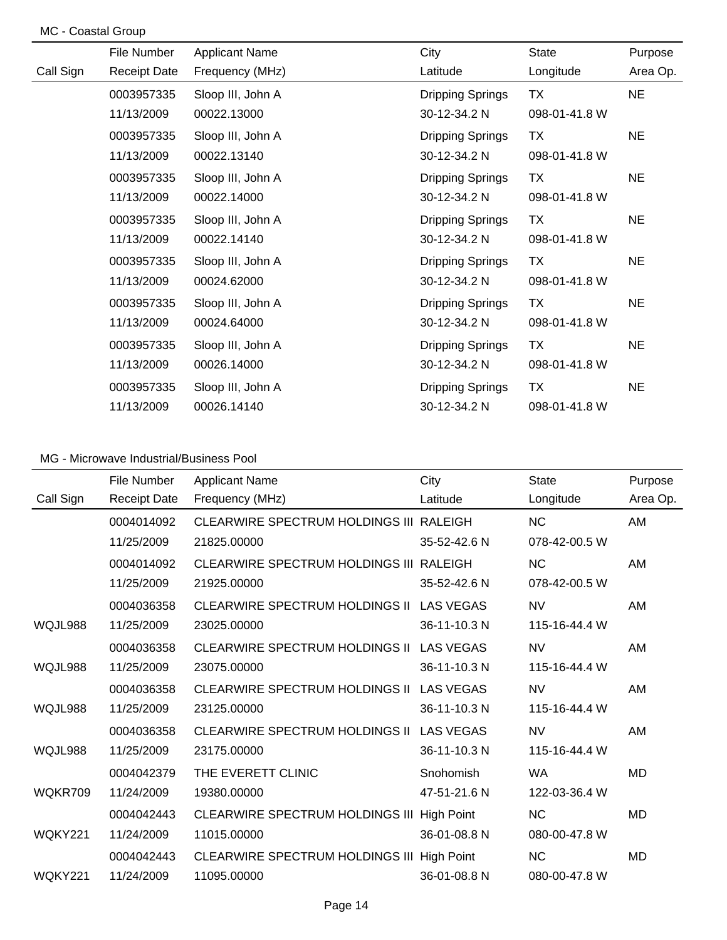| MC - Coastal Group |                     |                       |                         |               |           |
|--------------------|---------------------|-----------------------|-------------------------|---------------|-----------|
|                    | File Number         | <b>Applicant Name</b> | City                    | <b>State</b>  | Purpose   |
| Call Sign          | <b>Receipt Date</b> | Frequency (MHz)       | Latitude                | Longitude     | Area Op.  |
|                    | 0003957335          | Sloop III, John A     | Dripping Springs        | <b>TX</b>     | <b>NE</b> |
|                    | 11/13/2009          | 00022.13000           | 30-12-34.2 N            | 098-01-41.8 W |           |
|                    | 0003957335          | Sloop III, John A     | Dripping Springs        | <b>TX</b>     | <b>NE</b> |
|                    | 11/13/2009          | 00022.13140           | 30-12-34.2 N            | 098-01-41.8 W |           |
|                    | 0003957335          | Sloop III, John A     | Dripping Springs        | <b>TX</b>     | <b>NE</b> |
|                    | 11/13/2009          | 00022.14000           | 30-12-34.2 N            | 098-01-41.8 W |           |
|                    | 0003957335          | Sloop III, John A     | Dripping Springs        | <b>TX</b>     | <b>NE</b> |
|                    | 11/13/2009          | 00022.14140           | 30-12-34.2 N            | 098-01-41.8 W |           |
|                    | 0003957335          | Sloop III, John A     | Dripping Springs        | <b>TX</b>     | <b>NE</b> |
|                    | 11/13/2009          | 00024.62000           | 30-12-34.2 N            | 098-01-41.8 W |           |
|                    | 0003957335          | Sloop III, John A     | Dripping Springs        | <b>TX</b>     | <b>NE</b> |
|                    | 11/13/2009          | 00024.64000           | 30-12-34.2 N            | 098-01-41.8 W |           |
|                    | 0003957335          | Sloop III, John A     | Dripping Springs        | <b>TX</b>     | <b>NE</b> |
|                    | 11/13/2009          | 00026.14000           | 30-12-34.2 N            | 098-01-41.8 W |           |
|                    | 0003957335          | Sloop III, John A     | <b>Dripping Springs</b> | <b>TX</b>     | <b>NE</b> |
|                    | 11/13/2009          | 00026.14140           | 30-12-34.2 N            | 098-01-41.8 W |           |

|           | File Number         | <b>Applicant Name</b>                      | City              | <b>State</b>  | Purpose   |
|-----------|---------------------|--------------------------------------------|-------------------|---------------|-----------|
| Call Sign | <b>Receipt Date</b> | Frequency (MHz)                            | Latitude          | Longitude     | Area Op.  |
|           | 0004014092          | CLEARWIRE SPECTRUM HOLDINGS III RALEIGH    |                   | <b>NC</b>     | AM        |
|           | 11/25/2009          | 21825.00000                                | 35-52-42.6 N      | 078-42-00.5 W |           |
|           | 0004014092          | CLEARWIRE SPECTRUM HOLDINGS III RALEIGH    |                   | <b>NC</b>     | AM        |
|           | 11/25/2009          | 21925.00000                                | 35-52-42.6 N      | 078-42-00.5 W |           |
|           | 0004036358          | <b>CLEARWIRE SPECTRUM HOLDINGS II</b>      | <b>LAS VEGAS</b>  | <b>NV</b>     | AM        |
| WQJL988   | 11/25/2009          | 23025.00000                                | 36-11-10.3 N      | 115-16-44.4 W |           |
|           | 0004036358          | <b>CLEARWIRE SPECTRUM HOLDINGS II</b>      | <b>LAS VEGAS</b>  | <b>NV</b>     | AM        |
| WQJL988   | 11/25/2009          | 23075.00000                                | 36-11-10.3 N      | 115-16-44.4 W |           |
|           | 0004036358          | CLEARWIRE SPECTRUM HOLDINGS II LAS VEGAS   |                   | <b>NV</b>     | AM        |
| WQJL988   | 11/25/2009          | 23125.00000                                | 36-11-10.3 N      | 115-16-44.4 W |           |
|           | 0004036358          | <b>CLEARWIRE SPECTRUM HOLDINGS II</b>      | <b>LAS VEGAS</b>  | <b>NV</b>     | AM        |
| WQJL988   | 11/25/2009          | 23175.00000                                | 36-11-10.3 N      | 115-16-44.4 W |           |
|           | 0004042379          | THE EVERETT CLINIC                         | Snohomish         | <b>WA</b>     | MD        |
| WQKR709   | 11/24/2009          | 19380.00000                                | 47-51-21.6 N      | 122-03-36.4 W |           |
|           | 0004042443          | CLEARWIRE SPECTRUM HOLDINGS III            | <b>High Point</b> | <b>NC</b>     | <b>MD</b> |
| WQKY221   | 11/24/2009          | 11015.00000                                | 36-01-08.8 N      | 080-00-47.8 W |           |
|           | 0004042443          | CLEARWIRE SPECTRUM HOLDINGS III High Point |                   | <b>NC</b>     | <b>MD</b> |
| WQKY221   | 11/24/2009          | 11095.00000                                | 36-01-08.8 N      | 080-00-47.8 W |           |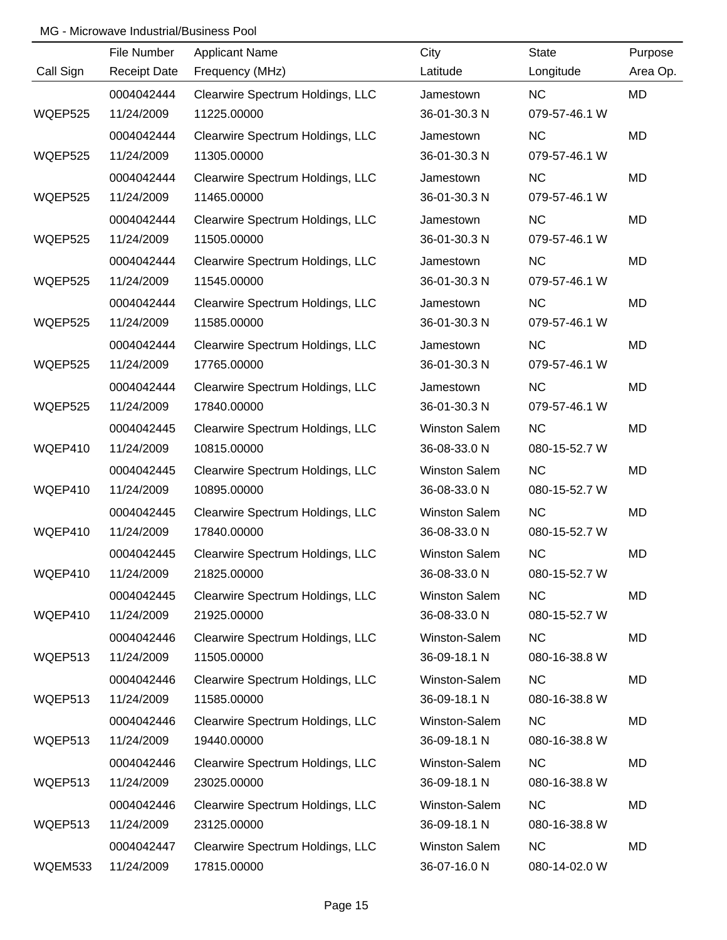|                | File Number         | <b>Applicant Name</b>            | City                 | <b>State</b>  | Purpose   |
|----------------|---------------------|----------------------------------|----------------------|---------------|-----------|
| Call Sign      | <b>Receipt Date</b> | Frequency (MHz)                  | Latitude             | Longitude     | Area Op.  |
|                | 0004042444          | Clearwire Spectrum Holdings, LLC | Jamestown            | NC            | <b>MD</b> |
| WQEP525        | 11/24/2009          | 11225.00000                      | 36-01-30.3 N         | 079-57-46.1 W |           |
|                | 0004042444          | Clearwire Spectrum Holdings, LLC | Jamestown            | NC            | MD        |
| WQEP525        | 11/24/2009          | 11305.00000                      | 36-01-30.3 N         | 079-57-46.1 W |           |
|                | 0004042444          | Clearwire Spectrum Holdings, LLC | Jamestown            | <b>NC</b>     | MD        |
| WQEP525        | 11/24/2009          | 11465.00000                      | 36-01-30.3 N         | 079-57-46.1 W |           |
|                | 0004042444          | Clearwire Spectrum Holdings, LLC | Jamestown            | <b>NC</b>     | MD        |
| <b>WQEP525</b> | 11/24/2009          | 11505.00000                      | 36-01-30.3 N         | 079-57-46.1 W |           |
|                | 0004042444          | Clearwire Spectrum Holdings, LLC | Jamestown            | <b>NC</b>     | MD        |
| WQEP525        | 11/24/2009          | 11545.00000                      | 36-01-30.3 N         | 079-57-46.1 W |           |
|                | 0004042444          | Clearwire Spectrum Holdings, LLC | Jamestown            | <b>NC</b>     | MD        |
| WQEP525        | 11/24/2009          | 11585.00000                      | 36-01-30.3 N         | 079-57-46.1 W |           |
|                | 0004042444          | Clearwire Spectrum Holdings, LLC | Jamestown            | <b>NC</b>     | MD        |
| WQEP525        | 11/24/2009          | 17765.00000                      | 36-01-30.3 N         | 079-57-46.1 W |           |
|                | 0004042444          | Clearwire Spectrum Holdings, LLC | Jamestown            | <b>NC</b>     | MD        |
| WQEP525        | 11/24/2009          | 17840.00000                      | 36-01-30.3 N         | 079-57-46.1 W |           |
|                | 0004042445          | Clearwire Spectrum Holdings, LLC | <b>Winston Salem</b> | <b>NC</b>     | MD        |
| WQEP410        | 11/24/2009          | 10815.00000                      | 36-08-33.0 N         | 080-15-52.7 W |           |
|                | 0004042445          | Clearwire Spectrum Holdings, LLC | <b>Winston Salem</b> | <b>NC</b>     | MD        |
| WQEP410        | 11/24/2009          | 10895.00000                      | 36-08-33.0 N         | 080-15-52.7 W |           |
|                | 0004042445          | Clearwire Spectrum Holdings, LLC | <b>Winston Salem</b> | <b>NC</b>     | MD        |
| WQEP410        | 11/24/2009          | 17840.00000                      | 36-08-33.0 N         | 080-15-52.7 W |           |
|                | 0004042445          | Clearwire Spectrum Holdings, LLC | <b>Winston Salem</b> | <b>NC</b>     | MD        |
| WQEP410        | 11/24/2009          | 21825.00000                      | 36-08-33.0 N         | 080-15-52.7 W |           |
|                | 0004042445          | Clearwire Spectrum Holdings, LLC | <b>Winston Salem</b> | <b>NC</b>     | MD        |
| WQEP410        | 11/24/2009          | 21925.00000                      | 36-08-33.0 N         | 080-15-52.7 W |           |
|                | 0004042446          | Clearwire Spectrum Holdings, LLC | Winston-Salem        | <b>NC</b>     | MD        |
| WQEP513        | 11/24/2009          | 11505.00000                      | 36-09-18.1 N         | 080-16-38.8 W |           |
|                | 0004042446          | Clearwire Spectrum Holdings, LLC | Winston-Salem        | <b>NC</b>     | MD        |
| WQEP513        | 11/24/2009          | 11585.00000                      | 36-09-18.1 N         | 080-16-38.8 W |           |
|                | 0004042446          | Clearwire Spectrum Holdings, LLC | Winston-Salem        | <b>NC</b>     | MD        |
| WQEP513        | 11/24/2009          | 19440.00000                      | 36-09-18.1 N         | 080-16-38.8 W |           |
|                | 0004042446          | Clearwire Spectrum Holdings, LLC | Winston-Salem        | <b>NC</b>     | MD        |
| WQEP513        | 11/24/2009          | 23025.00000                      | 36-09-18.1 N         | 080-16-38.8 W |           |
|                | 0004042446          | Clearwire Spectrum Holdings, LLC | Winston-Salem        | <b>NC</b>     | MD        |
| WQEP513        | 11/24/2009          | 23125.00000                      | 36-09-18.1 N         | 080-16-38.8 W |           |
|                | 0004042447          | Clearwire Spectrum Holdings, LLC | Winston Salem        | <b>NC</b>     | MD        |
| WQEM533        | 11/24/2009          | 17815.00000                      | 36-07-16.0 N         | 080-14-02.0 W |           |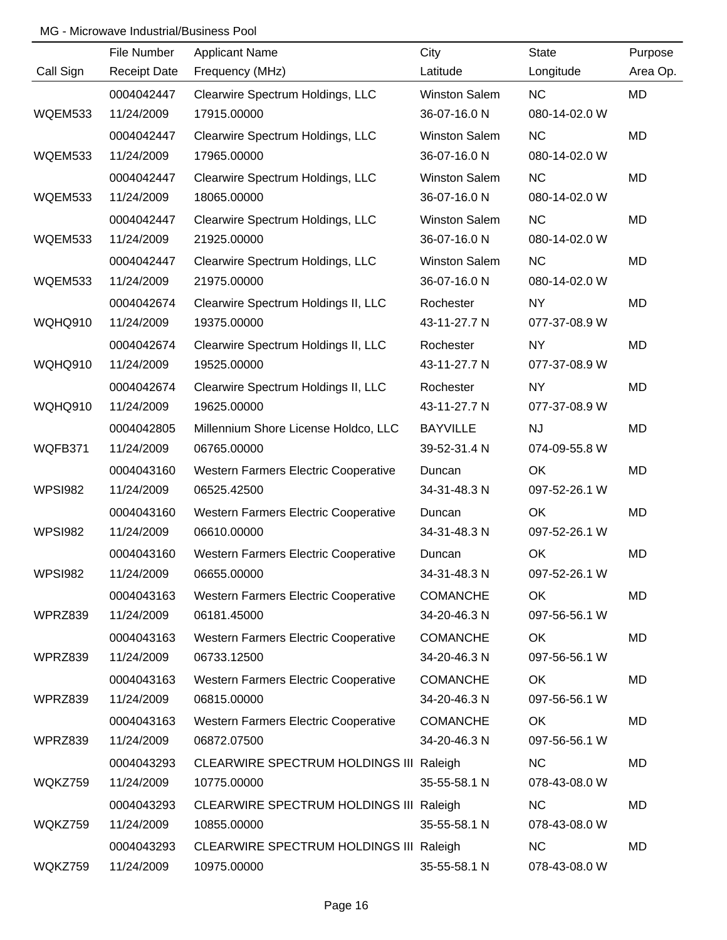|                | File Number         | <b>Applicant Name</b>                       | City                 | <b>State</b>  | Purpose   |
|----------------|---------------------|---------------------------------------------|----------------------|---------------|-----------|
| Call Sign      | <b>Receipt Date</b> | Frequency (MHz)                             | Latitude             | Longitude     | Area Op.  |
|                | 0004042447          | Clearwire Spectrum Holdings, LLC            | <b>Winston Salem</b> | NC            | MD        |
| WQEM533        | 11/24/2009          | 17915.00000                                 | 36-07-16.0 N         | 080-14-02.0 W |           |
|                | 0004042447          | Clearwire Spectrum Holdings, LLC            | <b>Winston Salem</b> | <b>NC</b>     | <b>MD</b> |
| WQEM533        | 11/24/2009          | 17965.00000                                 | 36-07-16.0 N         | 080-14-02.0 W |           |
|                | 0004042447          | Clearwire Spectrum Holdings, LLC            | <b>Winston Salem</b> | <b>NC</b>     | MD        |
| WQEM533        | 11/24/2009          | 18065.00000                                 | 36-07-16.0 N         | 080-14-02.0 W |           |
|                | 0004042447          | Clearwire Spectrum Holdings, LLC            | <b>Winston Salem</b> | <b>NC</b>     | MD        |
| WQEM533        | 11/24/2009          | 21925.00000                                 | 36-07-16.0 N         | 080-14-02.0 W |           |
|                | 0004042447          | Clearwire Spectrum Holdings, LLC            | <b>Winston Salem</b> | NC            | MD        |
| WQEM533        | 11/24/2009          | 21975.00000                                 | 36-07-16.0 N         | 080-14-02.0 W |           |
|                | 0004042674          | Clearwire Spectrum Holdings II, LLC         | Rochester            | <b>NY</b>     | MD        |
| WQHQ910        | 11/24/2009          | 19375.00000                                 | 43-11-27.7 N         | 077-37-08.9 W |           |
|                | 0004042674          | Clearwire Spectrum Holdings II, LLC         | Rochester            | <b>NY</b>     | MD        |
| <b>WQHQ910</b> | 11/24/2009          | 19525.00000                                 | 43-11-27.7 N         | 077-37-08.9 W |           |
|                | 0004042674          | Clearwire Spectrum Holdings II, LLC         | Rochester            | <b>NY</b>     | MD        |
| <b>WQHQ910</b> | 11/24/2009          | 19625.00000                                 | 43-11-27.7 N         | 077-37-08.9 W |           |
|                | 0004042805          | Millennium Shore License Holdco, LLC        | <b>BAYVILLE</b>      | <b>NJ</b>     | MD        |
| WQFB371        | 11/24/2009          | 06765.00000                                 | 39-52-31.4 N         | 074-09-55.8 W |           |
|                | 0004043160          | Western Farmers Electric Cooperative        | Duncan               | OK            | MD        |
| <b>WPSI982</b> | 11/24/2009          | 06525.42500                                 | 34-31-48.3 N         | 097-52-26.1 W |           |
|                | 0004043160          | Western Farmers Electric Cooperative        | Duncan               | OK            | MD        |
| <b>WPSI982</b> | 11/24/2009          | 06610.00000                                 | 34-31-48.3 N         | 097-52-26.1 W |           |
|                | 0004043160          | <b>Western Farmers Electric Cooperative</b> | Duncan               | OK            | MD        |
| <b>WPSI982</b> | 11/24/2009          | 06655.00000                                 | 34-31-48.3 N         | 097-52-26.1 W |           |
|                | 0004043163          | Western Farmers Electric Cooperative        | <b>COMANCHE</b>      | OK            | MD        |
| WPRZ839        | 11/24/2009          | 06181.45000                                 | 34-20-46.3 N         | 097-56-56.1 W |           |
|                | 0004043163          | Western Farmers Electric Cooperative        | <b>COMANCHE</b>      | OK            | MD        |
| WPRZ839        | 11/24/2009          | 06733.12500                                 | 34-20-46.3 N         | 097-56-56.1 W |           |
|                | 0004043163          | <b>Western Farmers Electric Cooperative</b> | <b>COMANCHE</b>      | OK            | MD        |
| WPRZ839        | 11/24/2009          | 06815.00000                                 | 34-20-46.3 N         | 097-56-56.1 W |           |
|                | 0004043163          | Western Farmers Electric Cooperative        | <b>COMANCHE</b>      | OK            | MD        |
| WPRZ839        | 11/24/2009          | 06872.07500                                 | 34-20-46.3 N         | 097-56-56.1 W |           |
|                | 0004043293          | CLEARWIRE SPECTRUM HOLDINGS III Raleigh     |                      | <b>NC</b>     | MD        |
| WQKZ759        | 11/24/2009          | 10775.00000                                 | 35-55-58.1 N         | 078-43-08.0 W |           |
|                | 0004043293          | CLEARWIRE SPECTRUM HOLDINGS III Raleigh     |                      | <b>NC</b>     | MD        |
| WQKZ759        | 11/24/2009          | 10855.00000                                 | 35-55-58.1 N         | 078-43-08.0 W |           |
|                | 0004043293          | CLEARWIRE SPECTRUM HOLDINGS III Raleigh     |                      | <b>NC</b>     | MD        |
| WQKZ759        | 11/24/2009          | 10975.00000                                 | 35-55-58.1 N         | 078-43-08.0 W |           |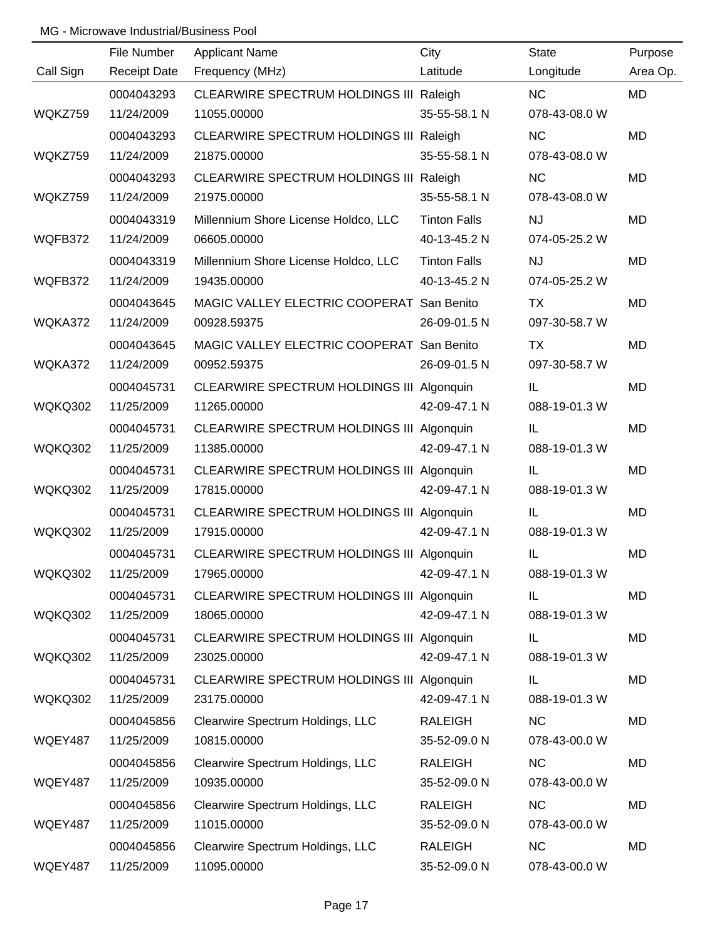|                | File Number         | <b>Applicant Name</b>                     | City                | <b>State</b>  | Purpose   |
|----------------|---------------------|-------------------------------------------|---------------------|---------------|-----------|
| Call Sign      | <b>Receipt Date</b> | Frequency (MHz)                           | Latitude            | Longitude     | Area Op.  |
|                | 0004043293          | CLEARWIRE SPECTRUM HOLDINGS III Raleigh   |                     | NC            | <b>MD</b> |
| WQKZ759        | 11/24/2009          | 11055.00000                               | 35-55-58.1 N        | 078-43-08.0 W |           |
|                | 0004043293          | CLEARWIRE SPECTRUM HOLDINGS III Raleigh   |                     | <b>NC</b>     | <b>MD</b> |
| WQKZ759        | 11/24/2009          | 21875.00000                               | 35-55-58.1 N        | 078-43-08.0 W |           |
|                | 0004043293          | CLEARWIRE SPECTRUM HOLDINGS III Raleigh   |                     | <b>NC</b>     | <b>MD</b> |
| WQKZ759        | 11/24/2009          | 21975.00000                               | 35-55-58.1 N        | 078-43-08.0 W |           |
|                | 0004043319          | Millennium Shore License Holdco, LLC      | <b>Tinton Falls</b> | <b>NJ</b>     | <b>MD</b> |
| WQFB372        | 11/24/2009          | 06605.00000                               | 40-13-45.2 N        | 074-05-25.2 W |           |
|                | 0004043319          | Millennium Shore License Holdco, LLC      | <b>Tinton Falls</b> | <b>NJ</b>     | MD        |
| WQFB372        | 11/24/2009          | 19435.00000                               | 40-13-45.2 N        | 074-05-25.2 W |           |
|                | 0004043645          | MAGIC VALLEY ELECTRIC COOPERAT San Benito |                     | TX            | MD        |
| WQKA372        | 11/24/2009          | 00928.59375                               | 26-09-01.5 N        | 097-30-58.7 W |           |
|                | 0004043645          | MAGIC VALLEY ELECTRIC COOPERAT San Benito |                     | TX            | MD        |
| WQKA372        | 11/24/2009          | 00952.59375                               | 26-09-01.5 N        | 097-30-58.7 W |           |
|                | 0004045731          | CLEARWIRE SPECTRUM HOLDINGS III Algonquin |                     | IL            | MD        |
| <b>WQKQ302</b> | 11/25/2009          | 11265.00000                               | 42-09-47.1 N        | 088-19-01.3 W |           |
|                | 0004045731          | CLEARWIRE SPECTRUM HOLDINGS III Algonquin |                     | IL            | MD        |
| WQKQ302        | 11/25/2009          | 11385.00000                               | 42-09-47.1 N        | 088-19-01.3 W |           |
|                | 0004045731          | CLEARWIRE SPECTRUM HOLDINGS III Algonquin |                     | IL            | MD        |
| WQKQ302        | 11/25/2009          | 17815.00000                               | 42-09-47.1 N        | 088-19-01.3 W |           |
|                | 0004045731          | CLEARWIRE SPECTRUM HOLDINGS III Algonquin |                     | IL            | MD        |
| WQKQ302        | 11/25/2009          | 17915.00000                               | 42-09-47.1 N        | 088-19-01.3 W |           |
|                | 0004045731          | CLEARWIRE SPECTRUM HOLDINGS III Algonquin |                     | IL            | <b>MD</b> |
| <b>WQKQ302</b> | 11/25/2009          | 17965.00000                               | 42-09-47.1 N        | 088-19-01.3 W |           |
|                | 0004045731          | CLEARWIRE SPECTRUM HOLDINGS III Algonquin |                     | IL.           | MD        |
| <b>WQKQ302</b> | 11/25/2009          | 18065.00000                               | 42-09-47.1 N        | 088-19-01.3 W |           |
|                | 0004045731          | CLEARWIRE SPECTRUM HOLDINGS III Algonquin |                     | IL            | MD        |
| WQKQ302        | 11/25/2009          | 23025.00000                               | 42-09-47.1 N        | 088-19-01.3 W |           |
|                | 0004045731          | CLEARWIRE SPECTRUM HOLDINGS III Algonquin |                     | IL            | MD        |
| <b>WQKQ302</b> | 11/25/2009          | 23175.00000                               | 42-09-47.1 N        | 088-19-01.3 W |           |
|                | 0004045856          | Clearwire Spectrum Holdings, LLC          | <b>RALEIGH</b>      | <b>NC</b>     | MD        |
| WQEY487        | 11/25/2009          | 10815.00000                               | 35-52-09.0 N        | 078-43-00.0 W |           |
|                | 0004045856          | Clearwire Spectrum Holdings, LLC          | <b>RALEIGH</b>      | NC            | MD        |
| WQEY487        | 11/25/2009          | 10935.00000                               | 35-52-09.0 N        | 078-43-00.0 W |           |
|                | 0004045856          | Clearwire Spectrum Holdings, LLC          | <b>RALEIGH</b>      | NC            | MD        |
| WQEY487        | 11/25/2009          | 11015.00000                               | 35-52-09.0 N        | 078-43-00.0 W |           |
|                | 0004045856          | Clearwire Spectrum Holdings, LLC          | <b>RALEIGH</b>      | NC            | MD        |
| WQEY487        | 11/25/2009          | 11095.00000                               | 35-52-09.0 N        | 078-43-00.0 W |           |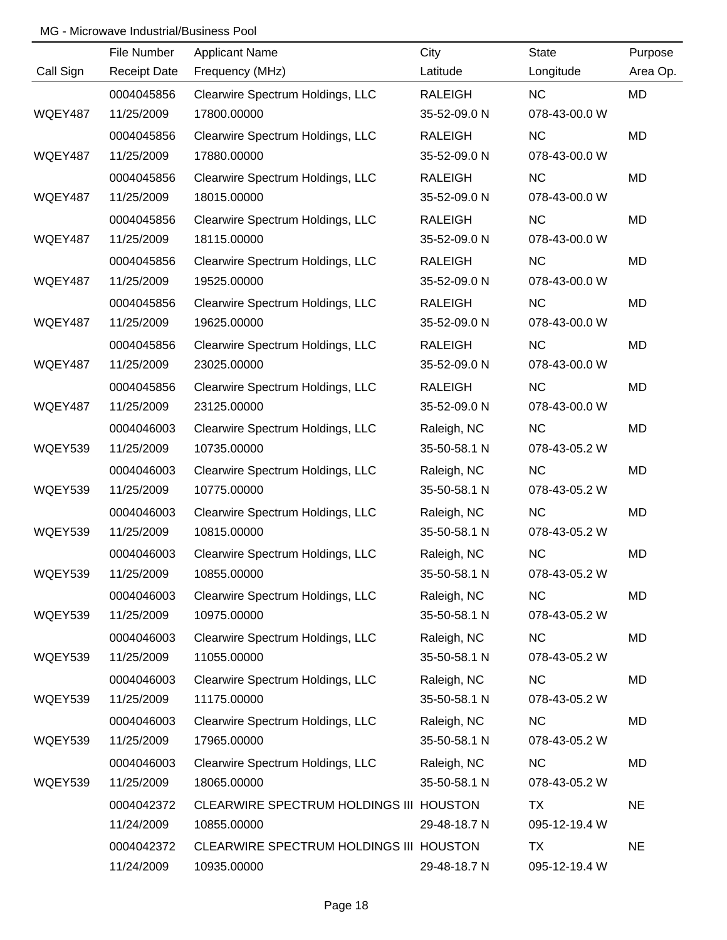|                | File Number         | <b>Applicant Name</b>                   | City           | <b>State</b>  | Purpose   |
|----------------|---------------------|-----------------------------------------|----------------|---------------|-----------|
| Call Sign      | <b>Receipt Date</b> | Frequency (MHz)                         | Latitude       | Longitude     | Area Op.  |
|                | 0004045856          | Clearwire Spectrum Holdings, LLC        | <b>RALEIGH</b> | NC            | MD        |
| <b>WQEY487</b> | 11/25/2009          | 17800.00000                             | 35-52-09.0 N   | 078-43-00.0 W |           |
|                | 0004045856          | Clearwire Spectrum Holdings, LLC        | <b>RALEIGH</b> | <b>NC</b>     | <b>MD</b> |
| WQEY487        | 11/25/2009          | 17880.00000                             | 35-52-09.0 N   | 078-43-00.0 W |           |
|                | 0004045856          | Clearwire Spectrum Holdings, LLC        | <b>RALEIGH</b> | NC            | <b>MD</b> |
| WQEY487        | 11/25/2009          | 18015.00000                             | 35-52-09.0 N   | 078-43-00.0 W |           |
|                | 0004045856          | Clearwire Spectrum Holdings, LLC        | <b>RALEIGH</b> | <b>NC</b>     | MD        |
| WQEY487        | 11/25/2009          | 18115.00000                             | 35-52-09.0 N   | 078-43-00.0 W |           |
|                | 0004045856          | Clearwire Spectrum Holdings, LLC        | <b>RALEIGH</b> | <b>NC</b>     | MD        |
| WQEY487        | 11/25/2009          | 19525.00000                             | 35-52-09.0 N   | 078-43-00.0 W |           |
|                | 0004045856          | Clearwire Spectrum Holdings, LLC        | <b>RALEIGH</b> | <b>NC</b>     | MD        |
| WQEY487        | 11/25/2009          | 19625.00000                             | 35-52-09.0 N   | 078-43-00.0 W |           |
|                | 0004045856          | Clearwire Spectrum Holdings, LLC        | <b>RALEIGH</b> | <b>NC</b>     | MD        |
| WQEY487        | 11/25/2009          | 23025.00000                             | 35-52-09.0 N   | 078-43-00.0 W |           |
|                | 0004045856          | Clearwire Spectrum Holdings, LLC        | <b>RALEIGH</b> | <b>NC</b>     | MD        |
| WQEY487        | 11/25/2009          | 23125.00000                             | 35-52-09.0 N   | 078-43-00.0 W |           |
|                | 0004046003          | Clearwire Spectrum Holdings, LLC        | Raleigh, NC    | <b>NC</b>     | MD        |
| WQEY539        | 11/25/2009          | 10735.00000                             | 35-50-58.1 N   | 078-43-05.2 W |           |
|                | 0004046003          | Clearwire Spectrum Holdings, LLC        | Raleigh, NC    | NC            | MD        |
| WQEY539        | 11/25/2009          | 10775.00000                             | 35-50-58.1 N   | 078-43-05.2 W |           |
|                | 0004046003          | Clearwire Spectrum Holdings, LLC        | Raleigh, NC    | NC            | MD        |
| WQEY539        | 11/25/2009          | 10815.00000                             | 35-50-58.1 N   | 078-43-05.2 W |           |
|                | 0004046003          | Clearwire Spectrum Holdings, LLC        | Raleigh, NC    | NC            | MD        |
| WQEY539        | 11/25/2009          | 10855.00000                             | 35-50-58.1 N   | 078-43-05.2 W |           |
|                | 0004046003          | Clearwire Spectrum Holdings, LLC        | Raleigh, NC    | <b>NC</b>     | MD        |
| WQEY539        | 11/25/2009          | 10975.00000                             | 35-50-58.1 N   | 078-43-05.2 W |           |
|                | 0004046003          | Clearwire Spectrum Holdings, LLC        | Raleigh, NC    | <b>NC</b>     | MD        |
| WQEY539        | 11/25/2009          | 11055.00000                             | 35-50-58.1 N   | 078-43-05.2 W |           |
|                | 0004046003          | Clearwire Spectrum Holdings, LLC        | Raleigh, NC    | <b>NC</b>     | MD        |
| WQEY539        | 11/25/2009          | 11175.00000                             | 35-50-58.1 N   | 078-43-05.2 W |           |
|                | 0004046003          | Clearwire Spectrum Holdings, LLC        | Raleigh, NC    | <b>NC</b>     | MD        |
| WQEY539        | 11/25/2009          | 17965.00000                             | 35-50-58.1 N   | 078-43-05.2 W |           |
|                | 0004046003          | Clearwire Spectrum Holdings, LLC        | Raleigh, NC    | NC            | MD        |
| WQEY539        | 11/25/2009          | 18065.00000                             | 35-50-58.1 N   | 078-43-05.2 W |           |
|                | 0004042372          | CLEARWIRE SPECTRUM HOLDINGS III HOUSTON |                | <b>TX</b>     | <b>NE</b> |
|                | 11/24/2009          | 10855.00000                             | 29-48-18.7 N   | 095-12-19.4 W |           |
|                | 0004042372          | CLEARWIRE SPECTRUM HOLDINGS III HOUSTON |                | <b>TX</b>     | <b>NE</b> |
|                | 11/24/2009          | 10935.00000                             | 29-48-18.7 N   | 095-12-19.4 W |           |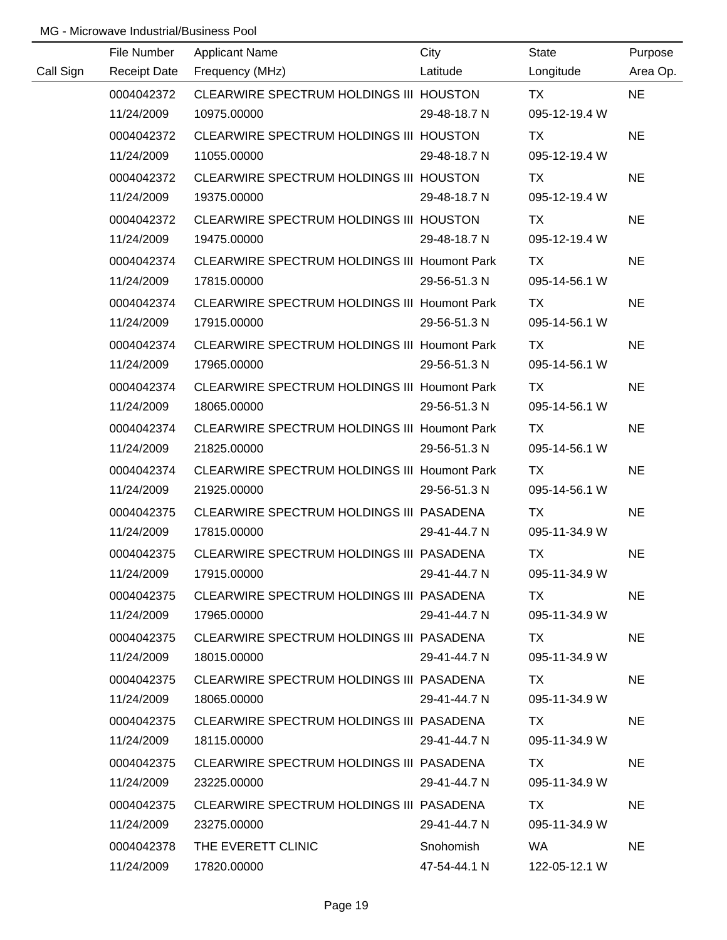|           | File Number         | <b>Applicant Name</b>                               | City         | <b>State</b>  | Purpose   |
|-----------|---------------------|-----------------------------------------------------|--------------|---------------|-----------|
| Call Sign | <b>Receipt Date</b> | Frequency (MHz)                                     | Latitude     | Longitude     | Area Op.  |
|           | 0004042372          | CLEARWIRE SPECTRUM HOLDINGS III HOUSTON             |              | <b>TX</b>     | <b>NE</b> |
|           | 11/24/2009          | 10975.00000                                         | 29-48-18.7 N | 095-12-19.4 W |           |
|           | 0004042372          | CLEARWIRE SPECTRUM HOLDINGS III HOUSTON             |              | TX            | <b>NE</b> |
|           | 11/24/2009          | 11055.00000                                         | 29-48-18.7 N | 095-12-19.4 W |           |
|           | 0004042372          | CLEARWIRE SPECTRUM HOLDINGS III HOUSTON             |              | TX            | <b>NE</b> |
|           | 11/24/2009          | 19375.00000                                         | 29-48-18.7 N | 095-12-19.4 W |           |
|           | 0004042372          | CLEARWIRE SPECTRUM HOLDINGS III HOUSTON             |              | TX            | <b>NE</b> |
|           | 11/24/2009          | 19475.00000                                         | 29-48-18.7 N | 095-12-19.4 W |           |
|           | 0004042374          | CLEARWIRE SPECTRUM HOLDINGS III Houmont Park        |              | TX            | <b>NE</b> |
|           | 11/24/2009          | 17815.00000                                         | 29-56-51.3 N | 095-14-56.1 W |           |
|           | 0004042374          | CLEARWIRE SPECTRUM HOLDINGS III Houmont Park        |              | <b>TX</b>     | <b>NE</b> |
|           | 11/24/2009          | 17915.00000                                         | 29-56-51.3 N | 095-14-56.1 W |           |
|           | 0004042374          | CLEARWIRE SPECTRUM HOLDINGS III Houmont Park        |              | TX            | <b>NE</b> |
|           | 11/24/2009          | 17965.00000                                         | 29-56-51.3 N | 095-14-56.1 W |           |
|           | 0004042374          | <b>CLEARWIRE SPECTRUM HOLDINGS III Houmont Park</b> |              | TX            | <b>NE</b> |
|           | 11/24/2009          | 18065.00000                                         | 29-56-51.3 N | 095-14-56.1 W |           |
|           | 0004042374          | <b>CLEARWIRE SPECTRUM HOLDINGS III Houmont Park</b> |              | TX            | <b>NE</b> |
|           | 11/24/2009          | 21825.00000                                         | 29-56-51.3 N | 095-14-56.1 W |           |
|           | 0004042374          | CLEARWIRE SPECTRUM HOLDINGS III Houmont Park        |              | TX            | <b>NE</b> |
|           | 11/24/2009          | 21925.00000                                         | 29-56-51.3 N | 095-14-56.1 W |           |
|           | 0004042375          | CLEARWIRE SPECTRUM HOLDINGS III PASADENA            |              | <b>TX</b>     | <b>NE</b> |
|           | 11/24/2009          | 17815.00000                                         | 29-41-44.7 N | 095-11-34.9 W |           |
|           | 0004042375          | CLEARWIRE SPECTRUM HOLDINGS III PASADENA            |              | <b>TX</b>     | <b>NE</b> |
|           | 11/24/2009          | 17915.00000                                         | 29-41-44.7 N | 095-11-34.9 W |           |
|           | 0004042375          | CLEARWIRE SPECTRUM HOLDINGS III PASADENA            |              | TX.           | <b>NE</b> |
|           | 11/24/2009          | 17965.00000                                         | 29-41-44.7 N | 095-11-34.9 W |           |
|           | 0004042375          | CLEARWIRE SPECTRUM HOLDINGS III PASADENA            |              | TX.           | <b>NE</b> |
|           | 11/24/2009          | 18015.00000                                         | 29-41-44.7 N | 095-11-34.9 W |           |
|           | 0004042375          | CLEARWIRE SPECTRUM HOLDINGS III PASADENA            |              | TX            | <b>NE</b> |
|           | 11/24/2009          | 18065.00000                                         | 29-41-44.7 N | 095-11-34.9 W |           |
|           | 0004042375          | CLEARWIRE SPECTRUM HOLDINGS III PASADENA            |              | TX.           | <b>NE</b> |
|           | 11/24/2009          | 18115.00000                                         | 29-41-44.7 N | 095-11-34.9 W |           |
|           | 0004042375          | CLEARWIRE SPECTRUM HOLDINGS III PASADENA            |              | TX            | <b>NE</b> |
|           | 11/24/2009          | 23225.00000                                         | 29-41-44.7 N | 095-11-34.9 W |           |
|           | 0004042375          | CLEARWIRE SPECTRUM HOLDINGS III PASADENA            |              | TX.           | <b>NE</b> |
|           | 11/24/2009          | 23275.00000                                         | 29-41-44.7 N | 095-11-34.9 W |           |
|           | 0004042378          | THE EVERETT CLINIC                                  | Snohomish    | WA.           | <b>NE</b> |
|           | 11/24/2009          | 17820.00000                                         | 47-54-44.1 N | 122-05-12.1 W |           |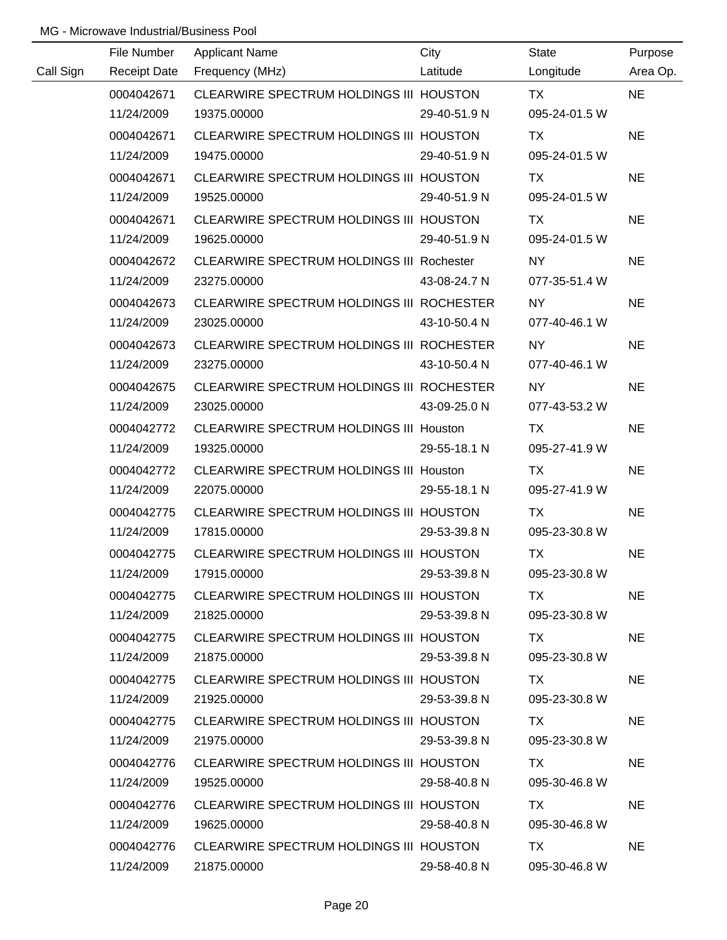|           | File Number | <b>Applicant Name</b>                            | City         | <b>State</b>       | Purpose   |
|-----------|-------------|--------------------------------------------------|--------------|--------------------|-----------|
| Call Sign |             | Receipt Date Frequency (MHz)                     | Latitude     | Longitude          | Area Op.  |
|           | 0004042671  | CLEARWIRE SPECTRUM HOLDINGS III HOUSTON          |              | TX TX              | <b>NE</b> |
|           | 11/24/2009  | 19375.00000                                      | 29-40-51.9 N | 095-24-01.5 W      |           |
|           | 0004042671  | CLEARWIRE SPECTRUM HOLDINGS III HOUSTON          |              | TX.                | <b>NE</b> |
|           | 11/24/2009  | 19475.00000                                      | 29-40-51.9 N | 095-24-01.5 W      |           |
|           | 0004042671  | CLEARWIRE SPECTRUM HOLDINGS III HOUSTON          |              | TX.                | <b>NE</b> |
|           | 11/24/2009  | 19525.00000                                      | 29-40-51.9 N | 095-24-01.5 W      |           |
|           | 0004042671  | CLEARWIRE SPECTRUM HOLDINGS III HOUSTON          |              | TX.                | <b>NE</b> |
|           | 11/24/2009  | 19625.00000                                      | 29-40-51.9 N | 095-24-01.5 W      |           |
|           | 0004042672  | <b>CLEARWIRE SPECTRUM HOLDINGS III Rochester</b> |              | NY NY              | <b>NE</b> |
|           | 11/24/2009  | 23275.00000                                      | 43-08-24.7 N | 077-35-51.4 W      |           |
|           | 0004042673  | CLEARWIRE SPECTRUM HOLDINGS III ROCHESTER        |              | NY NY              | <b>NE</b> |
|           | 11/24/2009  | 23025.00000                                      | 43-10-50.4 N | 077-40-46.1 W      |           |
|           | 0004042673  | CLEARWIRE SPECTRUM HOLDINGS III ROCHESTER        |              | NY NY NORTH STREET | <b>NE</b> |
|           | 11/24/2009  | 23275.00000                                      | 43-10-50.4 N | 077-40-46.1 W      |           |
|           | 0004042675  | CLEARWIRE SPECTRUM HOLDINGS III ROCHESTER        |              | NY 1               | <b>NE</b> |
|           | 11/24/2009  | 23025.00000                                      | 43-09-25.0 N | 077-43-53.2 W      |           |
|           | 0004042772  | CLEARWIRE SPECTRUM HOLDINGS III Houston          |              | <b>TX</b>          | <b>NE</b> |
|           | 11/24/2009  | 19325.00000                                      | 29-55-18.1 N | 095-27-41.9 W      |           |
|           | 0004042772  | CLEARWIRE SPECTRUM HOLDINGS III Houston          |              | TX                 | <b>NE</b> |
|           | 11/24/2009  | 22075.00000                                      | 29-55-18.1 N | 095-27-41.9 W      |           |
|           | 0004042775  | CLEARWIRE SPECTRUM HOLDINGS III HOUSTON          |              | <b>TX</b>          | <b>NE</b> |
|           | 11/24/2009  | 17815.00000                                      | 29-53-39.8 N | 095-23-30.8 W      |           |
|           | 0004042775  | CLEARWIRE SPECTRUM HOLDINGS III HOUSTON          |              | <b>TX</b>          | <b>NE</b> |
|           | 11/24/2009  | 17915.00000                                      | 29-53-39.8 N | 095-23-30.8 W      |           |
|           | 0004042775  | CLEARWIRE SPECTRUM HOLDINGS III HOUSTON          |              | TX.                | <b>NE</b> |
|           | 11/24/2009  | 21825.00000                                      | 29-53-39.8 N | 095-23-30.8 W      |           |
|           | 0004042775  | CLEARWIRE SPECTRUM HOLDINGS III HOUSTON          |              | TX.                | <b>NE</b> |
|           | 11/24/2009  | 21875.00000                                      | 29-53-39.8 N | 095-23-30.8 W      |           |
|           | 0004042775  | CLEARWIRE SPECTRUM HOLDINGS III HOUSTON          |              | TX .               | <b>NE</b> |
|           | 11/24/2009  | 21925.00000                                      | 29-53-39.8 N | 095-23-30.8 W      |           |
|           | 0004042775  | CLEARWIRE SPECTRUM HOLDINGS III HOUSTON          |              | TX.                | <b>NE</b> |
|           | 11/24/2009  | 21975.00000                                      | 29-53-39.8 N | 095-23-30.8 W      |           |
|           | 0004042776  | CLEARWIRE SPECTRUM HOLDINGS III HOUSTON          |              | TX.                | <b>NE</b> |
|           | 11/24/2009  | 19525.00000                                      | 29-58-40.8 N | 095-30-46.8 W      |           |
|           | 0004042776  | CLEARWIRE SPECTRUM HOLDINGS III HOUSTON          |              | TX.                | <b>NE</b> |
|           | 11/24/2009  | 19625.00000                                      | 29-58-40.8 N | 095-30-46.8 W      |           |
|           | 0004042776  | CLEARWIRE SPECTRUM HOLDINGS III HOUSTON          |              | TX.                | <b>NE</b> |
|           | 11/24/2009  | 21875.00000                                      | 29-58-40.8 N | 095-30-46.8 W      |           |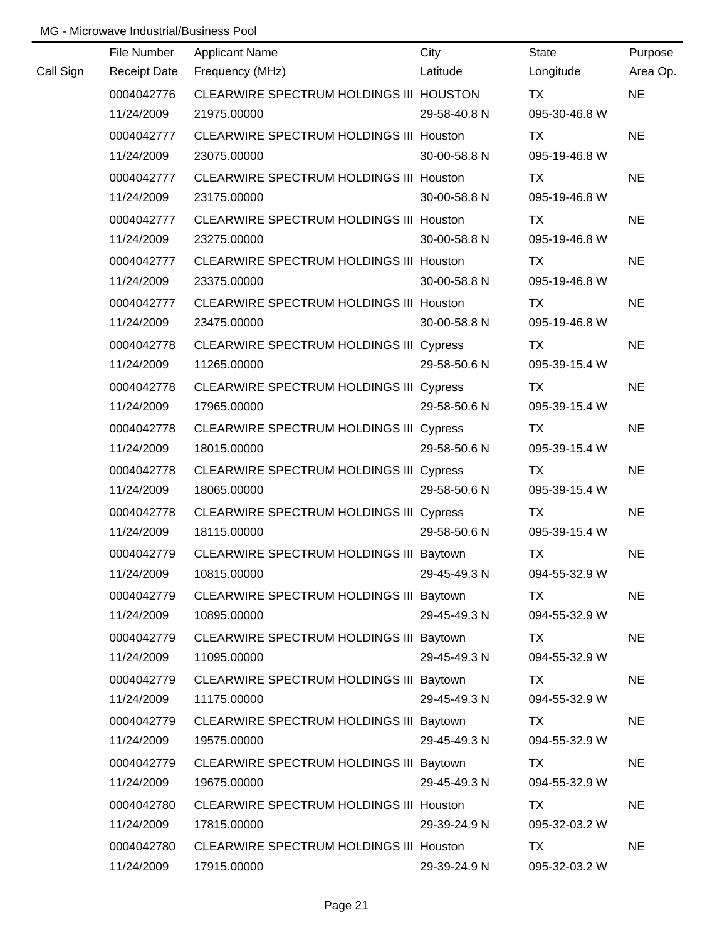|           | File Number         | <b>Applicant Name</b>                          | City         | <b>State</b>  | Purpose   |
|-----------|---------------------|------------------------------------------------|--------------|---------------|-----------|
| Call Sign | <b>Receipt Date</b> | Frequency (MHz)                                | Latitude     | Longitude     | Area Op.  |
|           | 0004042776          | CLEARWIRE SPECTRUM HOLDINGS III HOUSTON        |              | TX            | <b>NE</b> |
|           | 11/24/2009          | 21975.00000                                    | 29-58-40.8 N | 095-30-46.8 W |           |
|           | 0004042777          | CLEARWIRE SPECTRUM HOLDINGS III Houston        |              | TX            | <b>NE</b> |
|           | 11/24/2009          | 23075.00000                                    | 30-00-58.8 N | 095-19-46.8 W |           |
|           | 0004042777          | CLEARWIRE SPECTRUM HOLDINGS III Houston        |              | TX            | <b>NE</b> |
|           | 11/24/2009          | 23175.00000                                    | 30-00-58.8 N | 095-19-46.8 W |           |
|           | 0004042777          | CLEARWIRE SPECTRUM HOLDINGS III Houston        |              | TX            | <b>NE</b> |
|           | 11/24/2009          | 23275.00000                                    | 30-00-58.8 N | 095-19-46.8 W |           |
|           | 0004042777          | CLEARWIRE SPECTRUM HOLDINGS III Houston        |              | TX            | <b>NE</b> |
|           | 11/24/2009          | 23375.00000                                    | 30-00-58.8 N | 095-19-46.8 W |           |
|           | 0004042777          | CLEARWIRE SPECTRUM HOLDINGS III Houston        |              | <b>TX</b>     | <b>NE</b> |
|           | 11/24/2009          | 23475.00000                                    | 30-00-58.8 N | 095-19-46.8 W |           |
|           | 0004042778          | CLEARWIRE SPECTRUM HOLDINGS III Cypress        |              | TX            | <b>NE</b> |
|           | 11/24/2009          | 11265.00000                                    | 29-58-50.6 N | 095-39-15.4 W |           |
|           | 0004042778          | <b>CLEARWIRE SPECTRUM HOLDINGS III Cypress</b> |              | TX            | <b>NE</b> |
|           | 11/24/2009          | 17965.00000                                    | 29-58-50.6 N | 095-39-15.4 W |           |
|           | 0004042778          | <b>CLEARWIRE SPECTRUM HOLDINGS III Cypress</b> |              | TX            | <b>NE</b> |
|           | 11/24/2009          | 18015.00000                                    | 29-58-50.6 N | 095-39-15.4 W |           |
|           | 0004042778          | <b>CLEARWIRE SPECTRUM HOLDINGS III Cypress</b> |              | TX            | <b>NE</b> |
|           | 11/24/2009          | 18065.00000                                    | 29-58-50.6 N | 095-39-15.4 W |           |
|           | 0004042778          | <b>CLEARWIRE SPECTRUM HOLDINGS III Cypress</b> |              | <b>TX</b>     | <b>NE</b> |
|           | 11/24/2009          | 18115.00000                                    | 29-58-50.6 N | 095-39-15.4 W |           |
|           | 0004042779          | CLEARWIRE SPECTRUM HOLDINGS III Baytown        |              | <b>TX</b>     | <b>NE</b> |
|           | 11/24/2009          | 10815.00000                                    | 29-45-49.3 N | 094-55-32.9 W |           |
|           | 0004042779          | CLEARWIRE SPECTRUM HOLDINGS III Baytown        |              | TX            | <b>NE</b> |
|           | 11/24/2009          | 10895.00000                                    | 29-45-49.3 N | 094-55-32.9 W |           |
|           | 0004042779          | CLEARWIRE SPECTRUM HOLDINGS III Baytown        |              | TX            | <b>NE</b> |
|           | 11/24/2009          | 11095.00000                                    | 29-45-49.3 N | 094-55-32.9 W |           |
|           | 0004042779          | CLEARWIRE SPECTRUM HOLDINGS III Baytown        |              | TX            | <b>NE</b> |
|           | 11/24/2009          | 11175.00000                                    | 29-45-49.3 N | 094-55-32.9 W |           |
|           | 0004042779          | CLEARWIRE SPECTRUM HOLDINGS III Baytown        |              | TX            | <b>NE</b> |
|           | 11/24/2009          | 19575.00000                                    | 29-45-49.3 N | 094-55-32.9 W |           |
|           | 0004042779          | CLEARWIRE SPECTRUM HOLDINGS III Baytown        |              | TX            | <b>NE</b> |
|           | 11/24/2009          | 19675.00000                                    | 29-45-49.3 N | 094-55-32.9 W |           |
|           | 0004042780          | CLEARWIRE SPECTRUM HOLDINGS III Houston        |              | <b>TX</b>     | <b>NE</b> |
|           | 11/24/2009          | 17815.00000                                    | 29-39-24.9 N | 095-32-03.2 W |           |
|           | 0004042780          | CLEARWIRE SPECTRUM HOLDINGS III Houston        |              | <b>TX</b>     | <b>NE</b> |
|           | 11/24/2009          | 17915.00000                                    | 29-39-24.9 N | 095-32-03.2 W |           |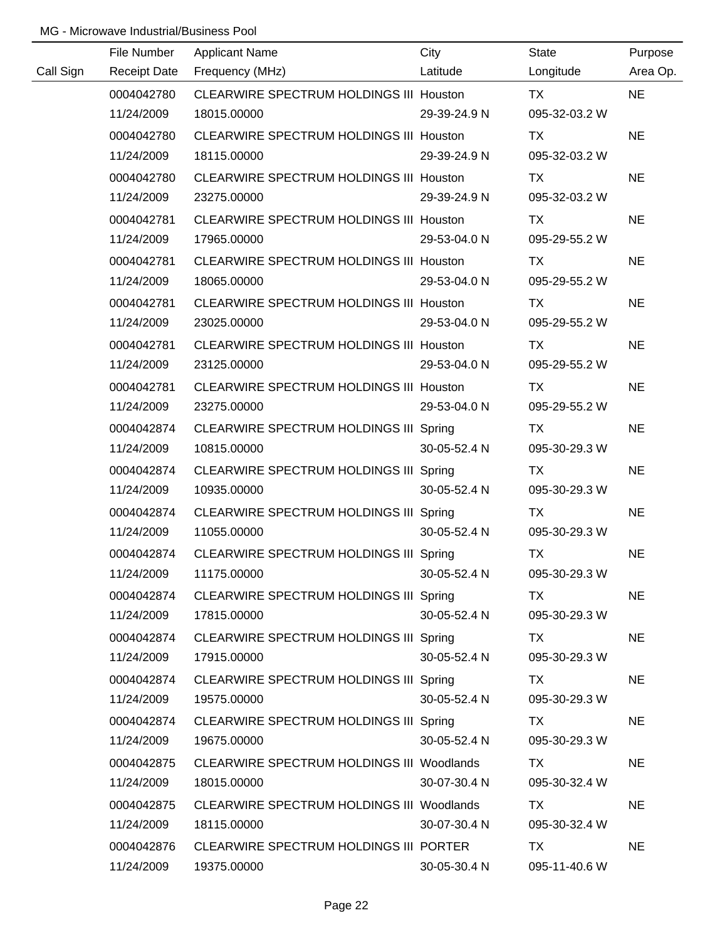|           | File Number         | <b>Applicant Name</b>                          | City         | <b>State</b>  | Purpose   |
|-----------|---------------------|------------------------------------------------|--------------|---------------|-----------|
| Call Sign | <b>Receipt Date</b> | Frequency (MHz)                                | Latitude     | Longitude     | Area Op.  |
|           | 0004042780          | CLEARWIRE SPECTRUM HOLDINGS III Houston        |              | TX            | <b>NE</b> |
|           | 11/24/2009          | 18015.00000                                    | 29-39-24.9 N | 095-32-03.2 W |           |
|           | 0004042780          | CLEARWIRE SPECTRUM HOLDINGS III Houston        |              | TX            | <b>NE</b> |
|           | 11/24/2009          | 18115.00000                                    | 29-39-24.9 N | 095-32-03.2 W |           |
|           | 0004042780          | CLEARWIRE SPECTRUM HOLDINGS III Houston        |              | TX            | <b>NE</b> |
|           | 11/24/2009          | 23275.00000                                    | 29-39-24.9 N | 095-32-03.2 W |           |
|           | 0004042781          | <b>CLEARWIRE SPECTRUM HOLDINGS III Houston</b> |              | <b>TX</b>     | <b>NE</b> |
|           | 11/24/2009          | 17965.00000                                    | 29-53-04.0 N | 095-29-55.2 W |           |
|           | 0004042781          | CLEARWIRE SPECTRUM HOLDINGS III Houston        |              | TX            | <b>NE</b> |
|           | 11/24/2009          | 18065.00000                                    | 29-53-04.0 N | 095-29-55.2 W |           |
|           | 0004042781          | CLEARWIRE SPECTRUM HOLDINGS III Houston        |              | TX            | <b>NE</b> |
|           | 11/24/2009          | 23025.00000                                    | 29-53-04.0 N | 095-29-55.2 W |           |
|           | 0004042781          | CLEARWIRE SPECTRUM HOLDINGS III Houston        |              | TX            | <b>NE</b> |
|           | 11/24/2009          | 23125.00000                                    | 29-53-04.0 N | 095-29-55.2 W |           |
|           | 0004042781          | <b>CLEARWIRE SPECTRUM HOLDINGS III Houston</b> |              | TX            | <b>NE</b> |
|           | 11/24/2009          | 23275.00000                                    | 29-53-04.0 N | 095-29-55.2 W |           |
|           | 0004042874          | CLEARWIRE SPECTRUM HOLDINGS III Spring         |              | TX            | <b>NE</b> |
|           | 11/24/2009          | 10815.00000                                    | 30-05-52.4 N | 095-30-29.3 W |           |
|           | 0004042874          | CLEARWIRE SPECTRUM HOLDINGS III Spring         |              | TX            | <b>NE</b> |
|           | 11/24/2009          | 10935.00000                                    | 30-05-52.4 N | 095-30-29.3 W |           |
|           | 0004042874          | CLEARWIRE SPECTRUM HOLDINGS III Spring         |              | <b>TX</b>     | <b>NE</b> |
|           | 11/24/2009          | 11055.00000                                    | 30-05-52.4 N | 095-30-29.3 W |           |
|           | 0004042874          | CLEARWIRE SPECTRUM HOLDINGS III Spring         |              | <b>TX</b>     | <b>NE</b> |
|           | 11/24/2009          | 11175.00000                                    | 30-05-52.4 N | 095-30-29.3 W |           |
|           | 0004042874          | CLEARWIRE SPECTRUM HOLDINGS III Spring         |              | TX.           | <b>NE</b> |
|           | 11/24/2009          | 17815.00000                                    | 30-05-52.4 N | 095-30-29.3 W |           |
|           | 0004042874          | CLEARWIRE SPECTRUM HOLDINGS III Spring         |              | TX.           | <b>NE</b> |
|           | 11/24/2009          | 17915.00000                                    | 30-05-52.4 N | 095-30-29.3 W |           |
|           | 0004042874          | CLEARWIRE SPECTRUM HOLDINGS III Spring         |              | TX            | <b>NE</b> |
|           | 11/24/2009          | 19575.00000                                    | 30-05-52.4 N | 095-30-29.3 W |           |
|           | 0004042874          | CLEARWIRE SPECTRUM HOLDINGS III Spring         |              | TX.           | <b>NE</b> |
|           | 11/24/2009          | 19675.00000                                    | 30-05-52.4 N | 095-30-29.3 W |           |
|           | 0004042875          | CLEARWIRE SPECTRUM HOLDINGS III Woodlands      |              | TX            | <b>NE</b> |
|           | 11/24/2009          | 18015.00000                                    | 30-07-30.4 N | 095-30-32.4 W |           |
|           | 0004042875          | CLEARWIRE SPECTRUM HOLDINGS III Woodlands      |              | TX            | <b>NE</b> |
|           | 11/24/2009          | 18115.00000                                    | 30-07-30.4 N | 095-30-32.4 W |           |
|           | 0004042876          | CLEARWIRE SPECTRUM HOLDINGS III PORTER         |              | TX            | <b>NE</b> |
|           | 11/24/2009          | 19375.00000                                    | 30-05-30.4 N | 095-11-40.6 W |           |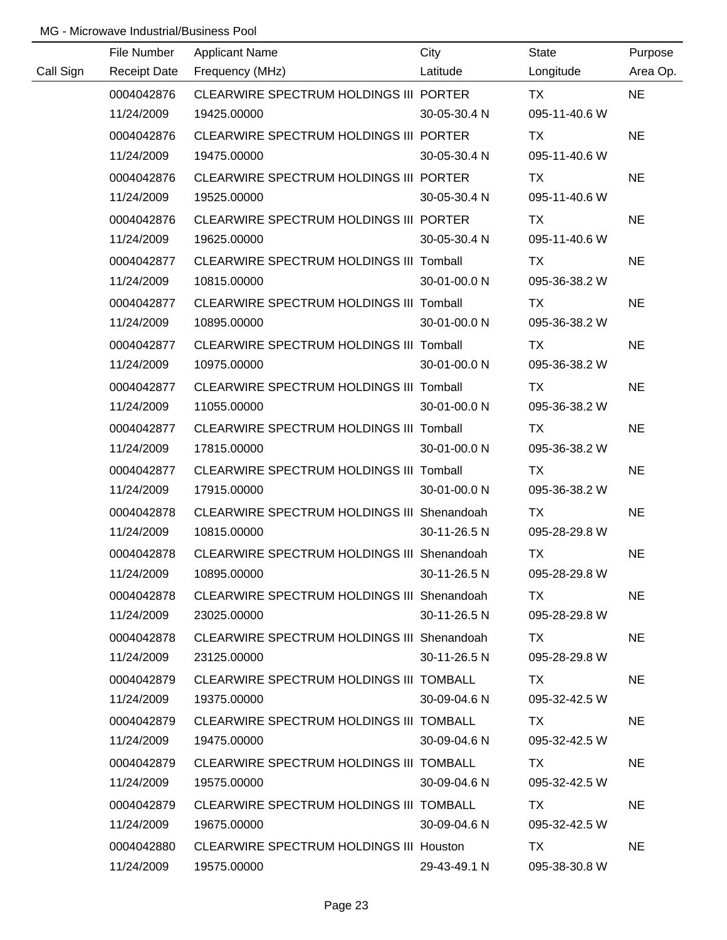|           | File Number         | <b>Applicant Name</b>                          | City         | State         | Purpose   |
|-----------|---------------------|------------------------------------------------|--------------|---------------|-----------|
| Call Sign | <b>Receipt Date</b> | Frequency (MHz)                                | Latitude     | Longitude     | Area Op.  |
|           | 0004042876          | CLEARWIRE SPECTRUM HOLDINGS III PORTER         |              | <b>TX</b>     | <b>NE</b> |
|           | 11/24/2009          | 19425.00000                                    | 30-05-30.4 N | 095-11-40.6 W |           |
|           | 0004042876          | CLEARWIRE SPECTRUM HOLDINGS III PORTER         |              | <b>TX</b>     | <b>NE</b> |
|           | 11/24/2009          | 19475.00000                                    | 30-05-30.4 N | 095-11-40.6 W |           |
|           | 0004042876          | CLEARWIRE SPECTRUM HOLDINGS III PORTER         |              | TX            | <b>NE</b> |
|           | 11/24/2009          | 19525.00000                                    | 30-05-30.4 N | 095-11-40.6 W |           |
|           | 0004042876          | CLEARWIRE SPECTRUM HOLDINGS III PORTER         |              | TX            | <b>NE</b> |
|           | 11/24/2009          | 19625.00000                                    | 30-05-30.4 N | 095-11-40.6 W |           |
|           | 0004042877          | CLEARWIRE SPECTRUM HOLDINGS III Tomball        |              | TX            | <b>NE</b> |
|           | 11/24/2009          | 10815.00000                                    | 30-01-00.0 N | 095-36-38.2 W |           |
|           | 0004042877          | CLEARWIRE SPECTRUM HOLDINGS III Tomball        |              | TX            | <b>NE</b> |
|           | 11/24/2009          | 10895.00000                                    | 30-01-00.0 N | 095-36-38.2 W |           |
|           | 0004042877          | CLEARWIRE SPECTRUM HOLDINGS III Tomball        |              | TX            | <b>NE</b> |
|           | 11/24/2009          | 10975.00000                                    | 30-01-00.0 N | 095-36-38.2 W |           |
|           | 0004042877          | CLEARWIRE SPECTRUM HOLDINGS III Tomball        |              | TX            | <b>NE</b> |
|           | 11/24/2009          | 11055.00000                                    | 30-01-00.0 N | 095-36-38.2 W |           |
|           | 0004042877          | <b>CLEARWIRE SPECTRUM HOLDINGS III Tomball</b> |              | TX            | <b>NE</b> |
|           | 11/24/2009          | 17815.00000                                    | 30-01-00.0 N | 095-36-38.2 W |           |
|           | 0004042877          | CLEARWIRE SPECTRUM HOLDINGS III Tomball        |              | <b>TX</b>     | <b>NE</b> |
|           | 11/24/2009          | 17915.00000                                    | 30-01-00.0 N | 095-36-38.2 W |           |
|           | 0004042878          | CLEARWIRE SPECTRUM HOLDINGS III Shenandoah     |              | <b>TX</b>     | <b>NE</b> |
|           | 11/24/2009          | 10815.00000                                    | 30-11-26.5 N | 095-28-29.8 W |           |
|           | 0004042878          | CLEARWIRE SPECTRUM HOLDINGS III Shenandoah     |              | <b>TX</b>     | <b>NE</b> |
|           | 11/24/2009          | 10895.00000                                    | 30-11-26.5 N | 095-28-29.8 W |           |
|           | 0004042878          | CLEARWIRE SPECTRUM HOLDINGS III Shenandoah     |              | TX.           | <b>NE</b> |
|           | 11/24/2009          | 23025.00000                                    | 30-11-26.5 N | 095-28-29.8 W |           |
|           | 0004042878          | CLEARWIRE SPECTRUM HOLDINGS III Shenandoah     |              | TX.           | <b>NE</b> |
|           | 11/24/2009          | 23125.00000                                    | 30-11-26.5 N | 095-28-29.8 W |           |
|           | 0004042879          | CLEARWIRE SPECTRUM HOLDINGS III TOMBALL        |              | TX            | <b>NE</b> |
|           | 11/24/2009          | 19375.00000                                    | 30-09-04.6 N | 095-32-42.5 W |           |
|           | 0004042879          | CLEARWIRE SPECTRUM HOLDINGS III TOMBALL        |              | TX.           | <b>NE</b> |
|           | 11/24/2009          | 19475.00000                                    | 30-09-04.6 N | 095-32-42.5 W |           |
|           | 0004042879          | CLEARWIRE SPECTRUM HOLDINGS III TOMBALL        |              | TX.           | <b>NE</b> |
|           | 11/24/2009          | 19575.00000                                    | 30-09-04.6 N | 095-32-42.5 W |           |
|           | 0004042879          | CLEARWIRE SPECTRUM HOLDINGS III TOMBALL        |              | TX            | <b>NE</b> |
|           | 11/24/2009          | 19675.00000                                    | 30-09-04.6 N | 095-32-42.5 W |           |
|           | 0004042880          | CLEARWIRE SPECTRUM HOLDINGS III Houston        |              | TX            | <b>NE</b> |
|           | 11/24/2009          | 19575.00000                                    | 29-43-49.1 N | 095-38-30.8 W |           |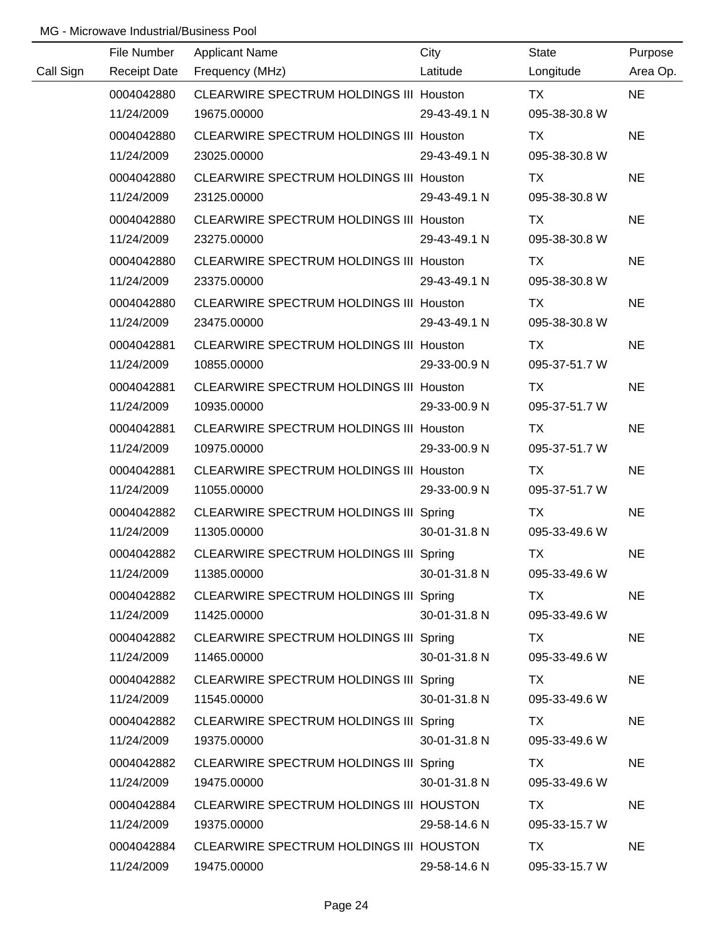|           | File Number         | <b>Applicant Name</b>                          | City         | <b>State</b>  | Purpose   |
|-----------|---------------------|------------------------------------------------|--------------|---------------|-----------|
| Call Sign | <b>Receipt Date</b> | Frequency (MHz)                                | Latitude     | Longitude     | Area Op.  |
|           | 0004042880          | CLEARWIRE SPECTRUM HOLDINGS III Houston        |              | <b>TX</b>     | <b>NE</b> |
|           | 11/24/2009          | 19675.00000                                    | 29-43-49.1 N | 095-38-30.8 W |           |
|           | 0004042880          | CLEARWIRE SPECTRUM HOLDINGS III Houston        |              | TX            | <b>NE</b> |
|           | 11/24/2009          | 23025.00000                                    | 29-43-49.1 N | 095-38-30.8 W |           |
|           | 0004042880          | CLEARWIRE SPECTRUM HOLDINGS III Houston        |              | TX            | <b>NE</b> |
|           | 11/24/2009          | 23125.00000                                    | 29-43-49.1 N | 095-38-30.8 W |           |
|           | 0004042880          | CLEARWIRE SPECTRUM HOLDINGS III Houston        |              | TX            | <b>NE</b> |
|           | 11/24/2009          | 23275.00000                                    | 29-43-49.1 N | 095-38-30.8 W |           |
|           | 0004042880          | CLEARWIRE SPECTRUM HOLDINGS III Houston        |              | TX            | <b>NE</b> |
|           | 11/24/2009          | 23375.00000                                    | 29-43-49.1 N | 095-38-30.8 W |           |
|           | 0004042880          | CLEARWIRE SPECTRUM HOLDINGS III Houston        |              | TX            | <b>NE</b> |
|           | 11/24/2009          | 23475.00000                                    | 29-43-49.1 N | 095-38-30.8 W |           |
|           | 0004042881          | CLEARWIRE SPECTRUM HOLDINGS III Houston        |              | TX            | <b>NE</b> |
|           | 11/24/2009          | 10855.00000                                    | 29-33-00.9 N | 095-37-51.7 W |           |
|           | 0004042881          | <b>CLEARWIRE SPECTRUM HOLDINGS III Houston</b> |              | TX            | <b>NE</b> |
|           | 11/24/2009          | 10935.00000                                    | 29-33-00.9 N | 095-37-51.7 W |           |
|           | 0004042881          | <b>CLEARWIRE SPECTRUM HOLDINGS III Houston</b> |              | TX            | <b>NE</b> |
|           | 11/24/2009          | 10975.00000                                    | 29-33-00.9 N | 095-37-51.7 W |           |
|           | 0004042881          | CLEARWIRE SPECTRUM HOLDINGS III Houston        |              | <b>TX</b>     | <b>NE</b> |
|           | 11/24/2009          | 11055.00000                                    | 29-33-00.9 N | 095-37-51.7 W |           |
|           | 0004042882          | CLEARWIRE SPECTRUM HOLDINGS III Spring         |              | <b>TX</b>     | <b>NE</b> |
|           | 11/24/2009          | 11305.00000                                    | 30-01-31.8 N | 095-33-49.6 W |           |
|           | 0004042882          | CLEARWIRE SPECTRUM HOLDINGS III Spring         |              | <b>TX</b>     | <b>NE</b> |
|           | 11/24/2009          | 11385.00000                                    | 30-01-31.8 N | 095-33-49.6 W |           |
|           | 0004042882          | CLEARWIRE SPECTRUM HOLDINGS III Spring         |              | TX.           | <b>NE</b> |
|           | 11/24/2009          | 11425.00000                                    | 30-01-31.8 N | 095-33-49.6 W |           |
|           | 0004042882          | CLEARWIRE SPECTRUM HOLDINGS III Spring         |              | TX.           | <b>NE</b> |
|           | 11/24/2009          | 11465.00000                                    | 30-01-31.8 N | 095-33-49.6 W |           |
|           | 0004042882          | CLEARWIRE SPECTRUM HOLDINGS III Spring         |              | <b>TX</b>     | <b>NE</b> |
|           | 11/24/2009          | 11545.00000                                    | 30-01-31.8 N | 095-33-49.6 W |           |
|           | 0004042882          | CLEARWIRE SPECTRUM HOLDINGS III Spring         |              | TX            | <b>NE</b> |
|           | 11/24/2009          | 19375.00000                                    | 30-01-31.8 N | 095-33-49.6 W |           |
|           | 0004042882          | CLEARWIRE SPECTRUM HOLDINGS III Spring         |              | TX.           | <b>NE</b> |
|           | 11/24/2009          | 19475.00000                                    | 30-01-31.8 N | 095-33-49.6 W |           |
|           | 0004042884          | CLEARWIRE SPECTRUM HOLDINGS III HOUSTON        |              | TX            | <b>NE</b> |
|           | 11/24/2009          | 19375.00000                                    | 29-58-14.6 N | 095-33-15.7 W |           |
|           | 0004042884          | CLEARWIRE SPECTRUM HOLDINGS III HOUSTON        |              | <b>TX</b>     | <b>NE</b> |
|           | 11/24/2009          | 19475.00000                                    | 29-58-14.6 N | 095-33-15.7 W |           |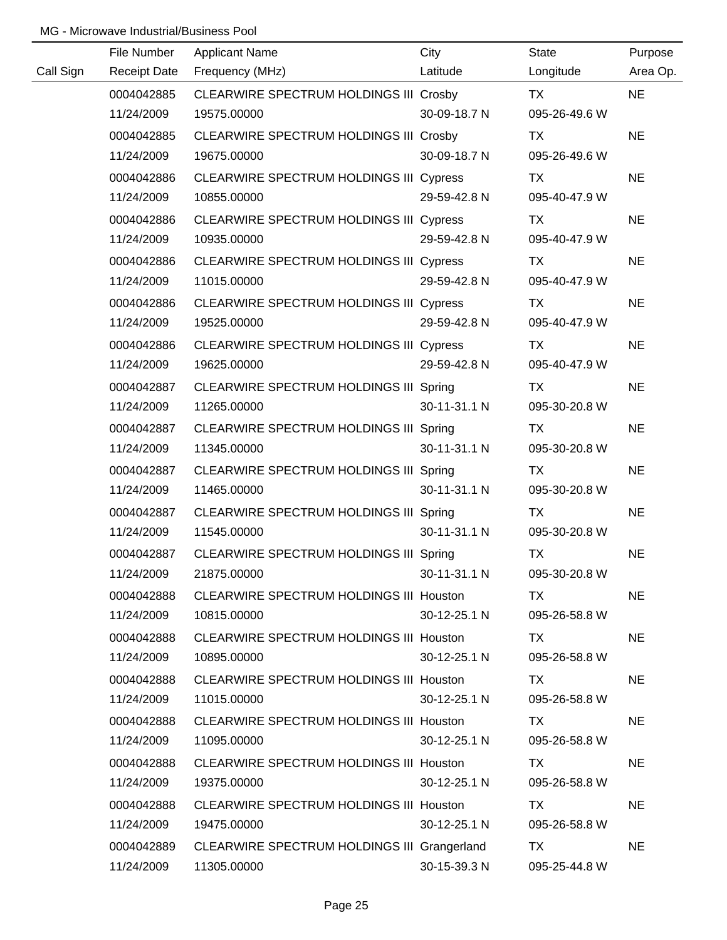|           | File Number         | <b>Applicant Name</b>                          | City         | State         | Purpose   |
|-----------|---------------------|------------------------------------------------|--------------|---------------|-----------|
| Call Sign | <b>Receipt Date</b> | Frequency (MHz)                                | Latitude     | Longitude     | Area Op.  |
|           | 0004042885          | CLEARWIRE SPECTRUM HOLDINGS III Crosby         |              | <b>TX</b>     | <b>NE</b> |
|           | 11/24/2009          | 19575.00000                                    | 30-09-18.7 N | 095-26-49.6 W |           |
|           | 0004042885          | CLEARWIRE SPECTRUM HOLDINGS III Crosby         |              | TX            | <b>NE</b> |
|           | 11/24/2009          | 19675.00000                                    | 30-09-18.7 N | 095-26-49.6 W |           |
|           | 0004042886          | CLEARWIRE SPECTRUM HOLDINGS III Cypress        |              | <b>TX</b>     | <b>NE</b> |
|           | 11/24/2009          | 10855.00000                                    | 29-59-42.8 N | 095-40-47.9 W |           |
|           | 0004042886          | CLEARWIRE SPECTRUM HOLDINGS III Cypress        |              | TX            | <b>NE</b> |
|           | 11/24/2009          | 10935.00000                                    | 29-59-42.8 N | 095-40-47.9 W |           |
|           | 0004042886          | CLEARWIRE SPECTRUM HOLDINGS III Cypress        |              | TX            | <b>NE</b> |
|           | 11/24/2009          | 11015.00000                                    | 29-59-42.8 N | 095-40-47.9 W |           |
|           | 0004042886          | CLEARWIRE SPECTRUM HOLDINGS III Cypress        |              | TX            | <b>NE</b> |
|           | 11/24/2009          | 19525.00000                                    | 29-59-42.8 N | 095-40-47.9 W |           |
|           | 0004042886          | CLEARWIRE SPECTRUM HOLDINGS III Cypress        |              | TX            | <b>NE</b> |
|           | 11/24/2009          | 19625.00000                                    | 29-59-42.8 N | 095-40-47.9 W |           |
|           | 0004042887          | CLEARWIRE SPECTRUM HOLDINGS III Spring         |              | TX            | <b>NE</b> |
|           | 11/24/2009          | 11265.00000                                    | 30-11-31.1 N | 095-30-20.8 W |           |
|           | 0004042887          | CLEARWIRE SPECTRUM HOLDINGS III Spring         |              | TX            | <b>NE</b> |
|           | 11/24/2009          | 11345.00000                                    | 30-11-31.1 N | 095-30-20.8 W |           |
|           | 0004042887          | CLEARWIRE SPECTRUM HOLDINGS III Spring         |              | TX            | <b>NE</b> |
|           | 11/24/2009          | 11465.00000                                    | 30-11-31.1 N | 095-30-20.8 W |           |
|           | 0004042887          | CLEARWIRE SPECTRUM HOLDINGS III Spring         |              | <b>TX</b>     | <b>NE</b> |
|           | 11/24/2009          | 11545.00000                                    | 30-11-31.1 N | 095-30-20.8 W |           |
|           | 0004042887          | CLEARWIRE SPECTRUM HOLDINGS III Spring         |              | <b>TX</b>     | <b>NE</b> |
|           | 11/24/2009          | 21875.00000                                    | 30-11-31.1 N | 095-30-20.8 W |           |
|           | 0004042888          | CLEARWIRE SPECTRUM HOLDINGS III Houston        |              | TX            | <b>NE</b> |
|           | 11/24/2009          | 10815.00000                                    | 30-12-25.1 N | 095-26-58.8 W |           |
|           | 0004042888          | <b>CLEARWIRE SPECTRUM HOLDINGS III Houston</b> |              | TX            | <b>NE</b> |
|           | 11/24/2009          | 10895.00000                                    | 30-12-25.1 N | 095-26-58.8 W |           |
|           | 0004042888          | <b>CLEARWIRE SPECTRUM HOLDINGS III Houston</b> |              | TX            | <b>NE</b> |
|           | 11/24/2009          | 11015.00000                                    | 30-12-25.1 N | 095-26-58.8 W |           |
|           | 0004042888          | <b>CLEARWIRE SPECTRUM HOLDINGS III Houston</b> |              | TX            | <b>NE</b> |
|           | 11/24/2009          | 11095.00000                                    | 30-12-25.1 N | 095-26-58.8 W |           |
|           | 0004042888          | <b>CLEARWIRE SPECTRUM HOLDINGS III Houston</b> |              | TX.           | <b>NE</b> |
|           | 11/24/2009          | 19375.00000                                    | 30-12-25.1 N | 095-26-58.8 W |           |
|           | 0004042888          | <b>CLEARWIRE SPECTRUM HOLDINGS III Houston</b> |              | TX            | <b>NE</b> |
|           | 11/24/2009          | 19475.00000                                    | 30-12-25.1 N | 095-26-58.8 W |           |
|           | 0004042889          | CLEARWIRE SPECTRUM HOLDINGS III Grangerland    |              | TX            | <b>NE</b> |
|           | 11/24/2009          | 11305.00000                                    | 30-15-39.3 N | 095-25-44.8 W |           |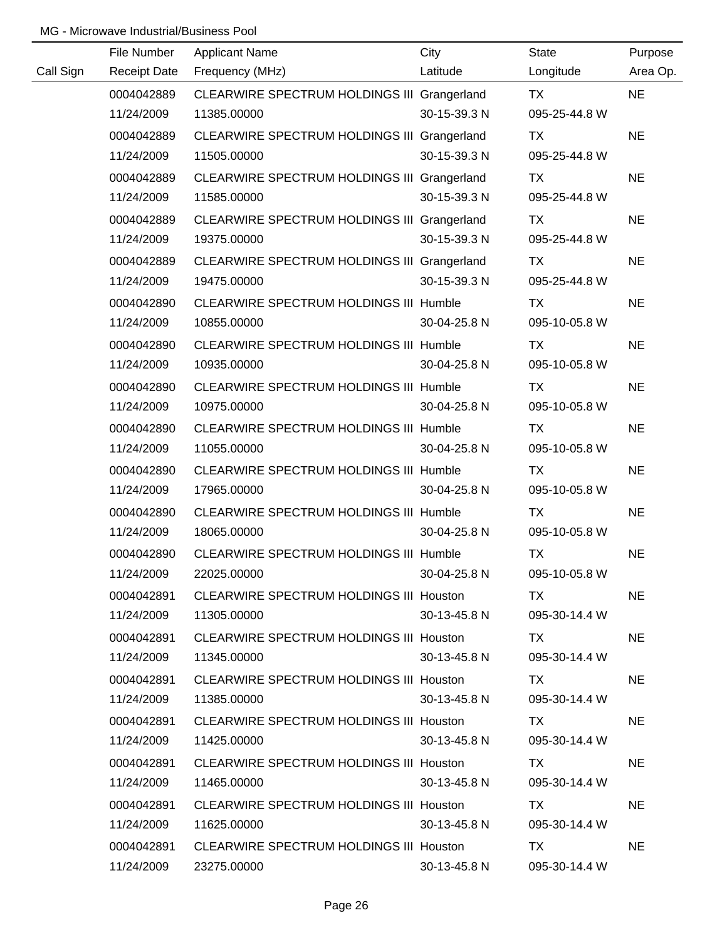|           | File Number         | <b>Applicant Name</b>                         | City         | <b>State</b>  | Purpose   |
|-----------|---------------------|-----------------------------------------------|--------------|---------------|-----------|
| Call Sign | <b>Receipt Date</b> | Frequency (MHz)                               | Latitude     | Longitude     | Area Op.  |
|           | 0004042889          | CLEARWIRE SPECTRUM HOLDINGS III Grangerland   |              | TX            | <b>NE</b> |
|           | 11/24/2009          | 11385.00000                                   | 30-15-39.3 N | 095-25-44.8 W |           |
|           | 0004042889          | CLEARWIRE SPECTRUM HOLDINGS III Grangerland   |              | <b>TX</b>     | <b>NE</b> |
|           | 11/24/2009          | 11505.00000                                   | 30-15-39.3 N | 095-25-44.8 W |           |
|           | 0004042889          | CLEARWIRE SPECTRUM HOLDINGS III Grangerland   |              | <b>TX</b>     | <b>NE</b> |
|           | 11/24/2009          | 11585.00000                                   | 30-15-39.3 N | 095-25-44.8 W |           |
|           | 0004042889          | CLEARWIRE SPECTRUM HOLDINGS III Grangerland   |              | TX            | <b>NE</b> |
|           | 11/24/2009          | 19375.00000                                   | 30-15-39.3 N | 095-25-44.8 W |           |
|           | 0004042889          | CLEARWIRE SPECTRUM HOLDINGS III Grangerland   |              | <b>TX</b>     | <b>NE</b> |
|           | 11/24/2009          | 19475.00000                                   | 30-15-39.3 N | 095-25-44.8 W |           |
|           | 0004042890          | <b>CLEARWIRE SPECTRUM HOLDINGS III Humble</b> |              | TX            | <b>NE</b> |
|           | 11/24/2009          | 10855.00000                                   | 30-04-25.8 N | 095-10-05.8 W |           |
|           | 0004042890          | CLEARWIRE SPECTRUM HOLDINGS III Humble        |              | TX            | <b>NE</b> |
|           | 11/24/2009          | 10935.00000                                   | 30-04-25.8 N | 095-10-05.8 W |           |
|           | 0004042890          | CLEARWIRE SPECTRUM HOLDINGS III Humble        |              | TX            | <b>NE</b> |
|           | 11/24/2009          | 10975.00000                                   | 30-04-25.8 N | 095-10-05.8 W |           |
|           | 0004042890          | <b>CLEARWIRE SPECTRUM HOLDINGS III Humble</b> |              | TX            | <b>NE</b> |
|           | 11/24/2009          | 11055.00000                                   | 30-04-25.8 N | 095-10-05.8 W |           |
|           | 0004042890          | CLEARWIRE SPECTRUM HOLDINGS III Humble        |              | <b>TX</b>     | <b>NE</b> |
|           | 11/24/2009          | 17965.00000                                   | 30-04-25.8 N | 095-10-05.8 W |           |
|           | 0004042890          | CLEARWIRE SPECTRUM HOLDINGS III Humble        |              | <b>TX</b>     | <b>NE</b> |
|           | 11/24/2009          | 18065.00000                                   | 30-04-25.8 N | 095-10-05.8 W |           |
|           | 0004042890          | CLEARWIRE SPECTRUM HOLDINGS III Humble        |              | <b>TX</b>     | <b>NE</b> |
|           | 11/24/2009          | 22025.00000                                   | 30-04-25.8 N | 095-10-05.8 W |           |
|           | 0004042891          | CLEARWIRE SPECTRUM HOLDINGS III Houston       |              | TX.           | <b>NE</b> |
|           | 11/24/2009          | 11305.00000                                   | 30-13-45.8 N | 095-30-14.4 W |           |
|           | 0004042891          | CLEARWIRE SPECTRUM HOLDINGS III Houston       |              | TX TX         | <b>NE</b> |
|           | 11/24/2009          | 11345.00000                                   | 30-13-45.8 N | 095-30-14.4 W |           |
|           | 0004042891          | CLEARWIRE SPECTRUM HOLDINGS III Houston       |              | TX.           | <b>NE</b> |
|           | 11/24/2009          | 11385.00000                                   | 30-13-45.8 N | 095-30-14.4 W |           |
|           | 0004042891          | CLEARWIRE SPECTRUM HOLDINGS III Houston       |              | TX.           | <b>NE</b> |
|           | 11/24/2009          | 11425.00000                                   | 30-13-45.8 N | 095-30-14.4 W |           |
|           | 0004042891          | CLEARWIRE SPECTRUM HOLDINGS III Houston       |              | TX.           | <b>NE</b> |
|           | 11/24/2009          | 11465.00000                                   | 30-13-45.8 N | 095-30-14.4 W |           |
|           | 0004042891          | CLEARWIRE SPECTRUM HOLDINGS III Houston       |              | TX.           | <b>NE</b> |
|           | 11/24/2009          | 11625.00000                                   | 30-13-45.8 N | 095-30-14.4 W |           |
|           | 0004042891          | CLEARWIRE SPECTRUM HOLDINGS III Houston       |              | TX.           | <b>NE</b> |
|           | 11/24/2009          | 23275.00000                                   | 30-13-45.8 N | 095-30-14.4 W |           |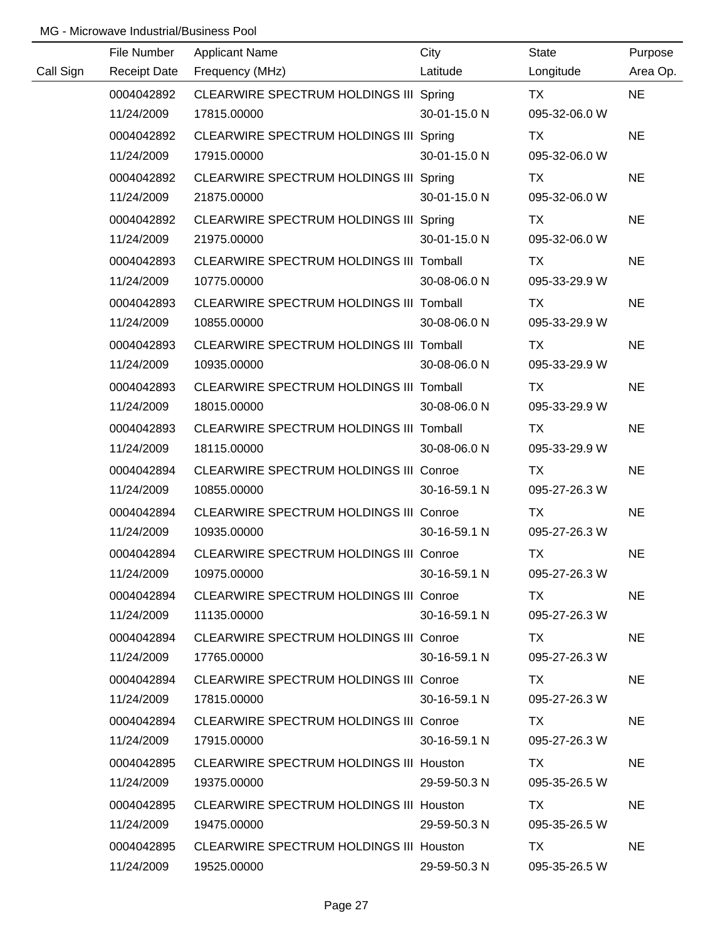|           | File Number         | <b>Applicant Name</b>                          | City         | State         | Purpose   |
|-----------|---------------------|------------------------------------------------|--------------|---------------|-----------|
| Call Sign | <b>Receipt Date</b> | Frequency (MHz)                                | Latitude     | Longitude     | Area Op.  |
|           | 0004042892          | CLEARWIRE SPECTRUM HOLDINGS III Spring         |              | <b>TX</b>     | <b>NE</b> |
|           | 11/24/2009          | 17815.00000                                    | 30-01-15.0 N | 095-32-06.0 W |           |
|           | 0004042892          | CLEARWIRE SPECTRUM HOLDINGS III Spring         |              | TX            | <b>NE</b> |
|           | 11/24/2009          | 17915.00000                                    | 30-01-15.0 N | 095-32-06.0 W |           |
|           | 0004042892          | CLEARWIRE SPECTRUM HOLDINGS III Spring         |              | TX            | <b>NE</b> |
|           | 11/24/2009          | 21875.00000                                    | 30-01-15.0 N | 095-32-06.0 W |           |
|           | 0004042892          | CLEARWIRE SPECTRUM HOLDINGS III Spring         |              | TX            | <b>NE</b> |
|           | 11/24/2009          | 21975.00000                                    | 30-01-15.0 N | 095-32-06.0 W |           |
|           | 0004042893          | CLEARWIRE SPECTRUM HOLDINGS III Tomball        |              | TX            | <b>NE</b> |
|           | 11/24/2009          | 10775.00000                                    | 30-08-06.0 N | 095-33-29.9 W |           |
|           | 0004042893          | CLEARWIRE SPECTRUM HOLDINGS III Tomball        |              | <b>TX</b>     | <b>NE</b> |
|           | 11/24/2009          | 10855.00000                                    | 30-08-06.0 N | 095-33-29.9 W |           |
|           | 0004042893          | CLEARWIRE SPECTRUM HOLDINGS III Tomball        |              | TX            | <b>NE</b> |
|           | 11/24/2009          | 10935.00000                                    | 30-08-06.0 N | 095-33-29.9 W |           |
|           | 0004042893          | <b>CLEARWIRE SPECTRUM HOLDINGS III Tomball</b> |              | TX            | <b>NE</b> |
|           | 11/24/2009          | 18015.00000                                    | 30-08-06.0 N | 095-33-29.9 W |           |
|           | 0004042893          | <b>CLEARWIRE SPECTRUM HOLDINGS III Tomball</b> |              | <b>TX</b>     | <b>NE</b> |
|           | 11/24/2009          | 18115.00000                                    | 30-08-06.0 N | 095-33-29.9 W |           |
|           | 0004042894          | CLEARWIRE SPECTRUM HOLDINGS III Conroe         |              | <b>TX</b>     | <b>NE</b> |
|           | 11/24/2009          | 10855.00000                                    | 30-16-59.1 N | 095-27-26.3 W |           |
|           | 0004042894          | <b>CLEARWIRE SPECTRUM HOLDINGS III Conroe</b>  |              | <b>TX</b>     | <b>NE</b> |
|           | 11/24/2009          | 10935.00000                                    | 30-16-59.1 N | 095-27-26.3 W |           |
|           | 0004042894          | CLEARWIRE SPECTRUM HOLDINGS III Conroe         |              | <b>TX</b>     | <b>NE</b> |
|           | 11/24/2009          | 10975.00000                                    | 30-16-59.1 N | 095-27-26.3 W |           |
|           | 0004042894          | CLEARWIRE SPECTRUM HOLDINGS III Conroe         |              | TX.           | <b>NE</b> |
|           | 11/24/2009          | 11135.00000                                    | 30-16-59.1 N | 095-27-26.3 W |           |
|           | 0004042894          | <b>CLEARWIRE SPECTRUM HOLDINGS III Conroe</b>  |              | TX.           | <b>NE</b> |
|           | 11/24/2009          | 17765.00000                                    | 30-16-59.1 N | 095-27-26.3 W |           |
|           | 0004042894          | <b>CLEARWIRE SPECTRUM HOLDINGS III Conroe</b>  |              | TX.           | <b>NE</b> |
|           | 11/24/2009          | 17815.00000                                    | 30-16-59.1 N | 095-27-26.3 W |           |
|           | 0004042894          | <b>CLEARWIRE SPECTRUM HOLDINGS III Conroe</b>  |              | TX.           | <b>NE</b> |
|           | 11/24/2009          | 17915.00000                                    | 30-16-59.1 N | 095-27-26.3 W |           |
|           | 0004042895          | CLEARWIRE SPECTRUM HOLDINGS III Houston        |              | TX.           | <b>NE</b> |
|           | 11/24/2009          | 19375.00000                                    | 29-59-50.3 N | 095-35-26.5 W |           |
|           | 0004042895          | CLEARWIRE SPECTRUM HOLDINGS III Houston        |              | TX.           | <b>NE</b> |
|           | 11/24/2009          | 19475.00000                                    | 29-59-50.3 N | 095-35-26.5 W |           |
|           | 0004042895          | CLEARWIRE SPECTRUM HOLDINGS III Houston        |              | TX            | <b>NE</b> |
|           | 11/24/2009          | 19525.00000                                    | 29-59-50.3 N | 095-35-26.5 W |           |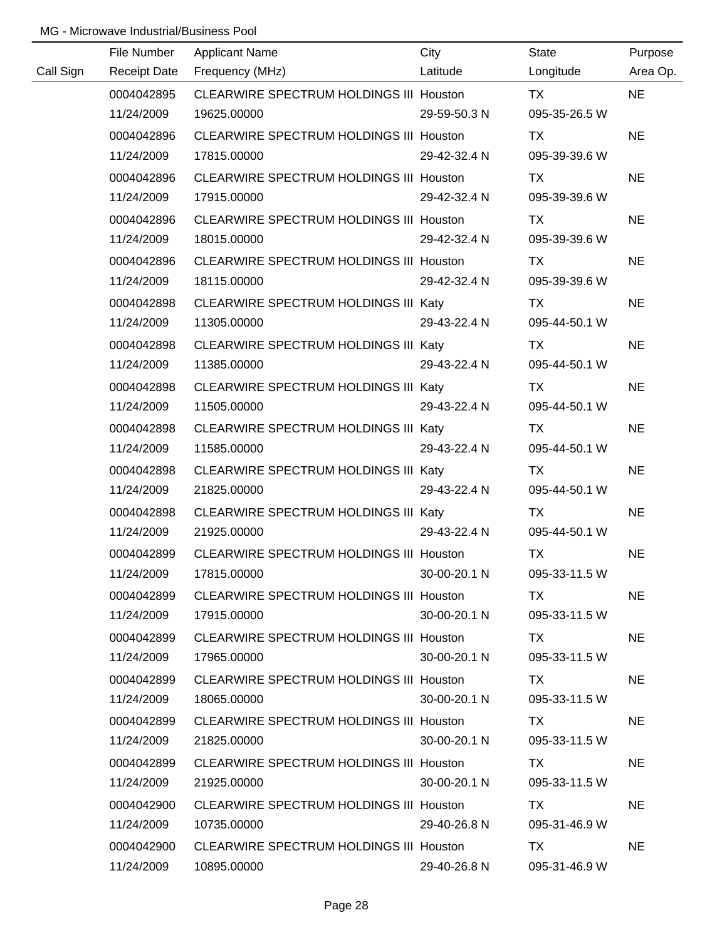|           | File Number         | <b>Applicant Name</b>                          | City         | State         | Purpose   |
|-----------|---------------------|------------------------------------------------|--------------|---------------|-----------|
| Call Sign | <b>Receipt Date</b> | Frequency (MHz)                                | Latitude     | Longitude     | Area Op.  |
|           | 0004042895          | CLEARWIRE SPECTRUM HOLDINGS III Houston        |              | <b>TX</b>     | <b>NE</b> |
|           | 11/24/2009          | 19625.00000                                    | 29-59-50.3 N | 095-35-26.5 W |           |
|           | 0004042896          | CLEARWIRE SPECTRUM HOLDINGS III Houston        |              | <b>TX</b>     | <b>NE</b> |
|           | 11/24/2009          | 17815.00000                                    | 29-42-32.4 N | 095-39-39.6 W |           |
|           | 0004042896          | <b>CLEARWIRE SPECTRUM HOLDINGS III Houston</b> |              | TX            | <b>NE</b> |
|           | 11/24/2009          | 17915.00000                                    | 29-42-32.4 N | 095-39-39.6 W |           |
|           | 0004042896          | CLEARWIRE SPECTRUM HOLDINGS III Houston        |              | TX            | <b>NE</b> |
|           | 11/24/2009          | 18015.00000                                    | 29-42-32.4 N | 095-39-39.6 W |           |
|           | 0004042896          | <b>CLEARWIRE SPECTRUM HOLDINGS III Houston</b> |              | TX            | <b>NE</b> |
|           | 11/24/2009          | 18115.00000                                    | 29-42-32.4 N | 095-39-39.6 W |           |
|           | 0004042898          | CLEARWIRE SPECTRUM HOLDINGS III Katy           |              | TX            | <b>NE</b> |
|           | 11/24/2009          | 11305.00000                                    | 29-43-22.4 N | 095-44-50.1 W |           |
|           | 0004042898          | CLEARWIRE SPECTRUM HOLDINGS III Katy           |              | TX            | <b>NE</b> |
|           | 11/24/2009          | 11385.00000                                    | 29-43-22.4 N | 095-44-50.1 W |           |
|           | 0004042898          | CLEARWIRE SPECTRUM HOLDINGS III Katy           |              | TX            | <b>NE</b> |
|           | 11/24/2009          | 11505.00000                                    | 29-43-22.4 N | 095-44-50.1 W |           |
|           | 0004042898          | CLEARWIRE SPECTRUM HOLDINGS III Katy           |              | TX            | <b>NE</b> |
|           | 11/24/2009          | 11585.00000                                    | 29-43-22.4 N | 095-44-50.1 W |           |
|           | 0004042898          | CLEARWIRE SPECTRUM HOLDINGS III Katy           |              | TX            | <b>NE</b> |
|           | 11/24/2009          | 21825.00000                                    | 29-43-22.4 N | 095-44-50.1 W |           |
|           | 0004042898          | CLEARWIRE SPECTRUM HOLDINGS III Katy           |              | TX            | <b>NE</b> |
|           | 11/24/2009          | 21925.00000                                    | 29-43-22.4 N | 095-44-50.1 W |           |
|           | 0004042899          | CLEARWIRE SPECTRUM HOLDINGS III Houston        |              | <b>TX</b>     | <b>NE</b> |
|           | 11/24/2009          | 17815.00000                                    | 30-00-20.1 N | 095-33-11.5 W |           |
|           | 0004042899          | CLEARWIRE SPECTRUM HOLDINGS III Houston        |              | TX.           | <b>NE</b> |
|           | 11/24/2009          | 17915.00000                                    | 30-00-20.1 N | 095-33-11.5 W |           |
|           | 0004042899          | CLEARWIRE SPECTRUM HOLDINGS III Houston        |              | TX.           | NE.       |
|           | 11/24/2009          | 17965.00000                                    | 30-00-20.1 N | 095-33-11.5 W |           |
|           | 0004042899          | CLEARWIRE SPECTRUM HOLDINGS III Houston        |              | TX.           | <b>NE</b> |
|           | 11/24/2009          | 18065.00000                                    | 30-00-20.1 N | 095-33-11.5 W |           |
|           | 0004042899          | <b>CLEARWIRE SPECTRUM HOLDINGS III Houston</b> |              | TX.           | <b>NE</b> |
|           | 11/24/2009          | 21825.00000                                    | 30-00-20.1 N | 095-33-11.5 W |           |
|           | 0004042899          | <b>CLEARWIRE SPECTRUM HOLDINGS III Houston</b> |              | TX.           | <b>NE</b> |
|           | 11/24/2009          | 21925.00000                                    | 30-00-20.1 N | 095-33-11.5 W |           |
|           | 0004042900          | <b>CLEARWIRE SPECTRUM HOLDINGS III Houston</b> |              | TX            | <b>NE</b> |
|           | 11/24/2009          | 10735.00000                                    | 29-40-26.8 N | 095-31-46.9 W |           |
|           | 0004042900          | CLEARWIRE SPECTRUM HOLDINGS III Houston        |              | TX.           | <b>NE</b> |
|           | 11/24/2009          | 10895.00000                                    | 29-40-26.8 N | 095-31-46.9 W |           |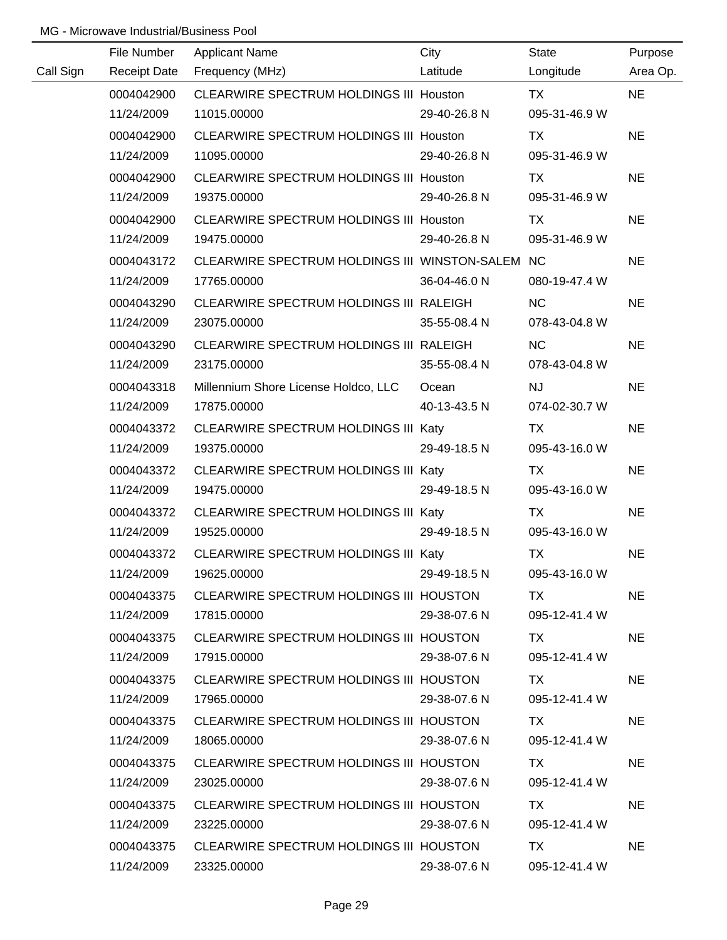|           | File Number         | <b>Applicant Name</b>                            | City         | <b>State</b>  | Purpose   |
|-----------|---------------------|--------------------------------------------------|--------------|---------------|-----------|
| Call Sign | <b>Receipt Date</b> | Frequency (MHz)                                  | Latitude     | Longitude     | Area Op.  |
|           | 0004042900          | CLEARWIRE SPECTRUM HOLDINGS III Houston          |              | <b>TX</b>     | <b>NE</b> |
|           | 11/24/2009          | 11015.00000                                      | 29-40-26.8 N | 095-31-46.9 W |           |
|           | 0004042900          | CLEARWIRE SPECTRUM HOLDINGS III Houston          |              | TX            | <b>NE</b> |
|           | 11/24/2009          | 11095.00000                                      | 29-40-26.8 N | 095-31-46.9 W |           |
|           | 0004042900          | <b>CLEARWIRE SPECTRUM HOLDINGS III Houston</b>   |              | TX            | <b>NE</b> |
|           | 11/24/2009          | 19375.00000                                      | 29-40-26.8 N | 095-31-46.9 W |           |
|           | 0004042900          | CLEARWIRE SPECTRUM HOLDINGS III Houston          |              | TX            | <b>NE</b> |
|           | 11/24/2009          | 19475.00000                                      | 29-40-26.8 N | 095-31-46.9 W |           |
|           | 0004043172          | CLEARWIRE SPECTRUM HOLDINGS III WINSTON-SALEM NC |              |               | <b>NE</b> |
|           | 11/24/2009          | 17765.00000                                      | 36-04-46.0 N | 080-19-47.4 W |           |
|           | 0004043290          | CLEARWIRE SPECTRUM HOLDINGS III RALEIGH          |              | NC            | <b>NE</b> |
|           | 11/24/2009          | 23075.00000                                      | 35-55-08.4 N | 078-43-04.8 W |           |
|           | 0004043290          | CLEARWIRE SPECTRUM HOLDINGS III RALEIGH          |              | <b>NC</b>     | <b>NE</b> |
|           | 11/24/2009          | 23175.00000                                      | 35-55-08.4 N | 078-43-04.8 W |           |
|           | 0004043318          | Millennium Shore License Holdco, LLC             | Ocean        | <b>NJ</b>     | <b>NE</b> |
|           | 11/24/2009          | 17875.00000                                      | 40-13-43.5 N | 074-02-30.7 W |           |
|           | 0004043372          | CLEARWIRE SPECTRUM HOLDINGS III Katy             |              | TX            | <b>NE</b> |
|           | 11/24/2009          | 19375.00000                                      | 29-49-18.5 N | 095-43-16.0 W |           |
|           | 0004043372          | CLEARWIRE SPECTRUM HOLDINGS III Katy             |              | TX            | <b>NE</b> |
|           | 11/24/2009          | 19475.00000                                      | 29-49-18.5 N | 095-43-16.0 W |           |
|           | 0004043372          | CLEARWIRE SPECTRUM HOLDINGS III Katy             |              | <b>TX</b>     | <b>NE</b> |
|           | 11/24/2009          | 19525.00000                                      | 29-49-18.5 N | 095-43-16.0 W |           |
|           | 0004043372          | CLEARWIRE SPECTRUM HOLDINGS III Katy             |              | <b>TX</b>     | <b>NE</b> |
|           | 11/24/2009          | 19625.00000                                      | 29-49-18.5 N | 095-43-16.0 W |           |
|           | 0004043375          | CLEARWIRE SPECTRUM HOLDINGS III HOUSTON          |              | TX .          | <b>NE</b> |
|           | 11/24/2009          | 17815.00000                                      | 29-38-07.6 N | 095-12-41.4 W |           |
|           | 0004043375          | CLEARWIRE SPECTRUM HOLDINGS III HOUSTON          |              | TX TX         | <b>NE</b> |
|           | 11/24/2009          | 17915.00000                                      | 29-38-07.6 N | 095-12-41.4 W |           |
|           | 0004043375          | CLEARWIRE SPECTRUM HOLDINGS III HOUSTON          |              | TX F          | <b>NE</b> |
|           | 11/24/2009          | 17965.00000                                      | 29-38-07.6 N | 095-12-41.4 W |           |
|           | 0004043375          | CLEARWIRE SPECTRUM HOLDINGS III HOUSTON          |              | TX.           | <b>NE</b> |
|           | 11/24/2009          | 18065.00000                                      | 29-38-07.6 N | 095-12-41.4 W |           |
|           | 0004043375          | CLEARWIRE SPECTRUM HOLDINGS III HOUSTON          |              | TX.           | <b>NE</b> |
|           | 11/24/2009          | 23025.00000                                      | 29-38-07.6 N | 095-12-41.4 W |           |
|           | 0004043375          | CLEARWIRE SPECTRUM HOLDINGS III HOUSTON          |              | TX.           | <b>NE</b> |
|           | 11/24/2009          | 23225.00000                                      | 29-38-07.6 N | 095-12-41.4 W |           |
|           | 0004043375          | CLEARWIRE SPECTRUM HOLDINGS III HOUSTON          |              | TX            | <b>NE</b> |
|           | 11/24/2009          | 23325.00000                                      | 29-38-07.6 N | 095-12-41.4 W |           |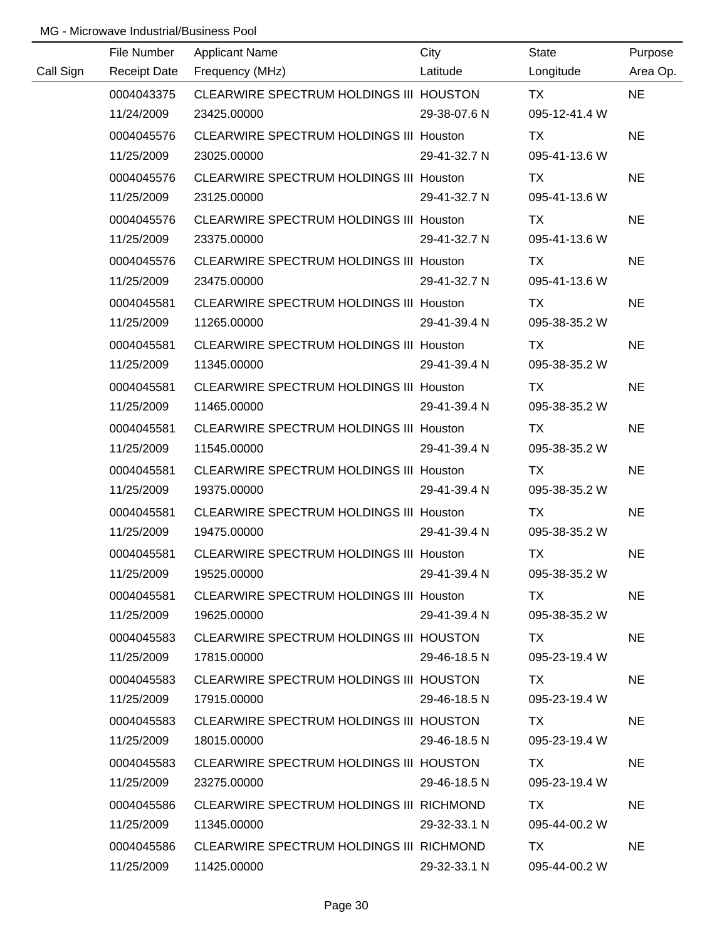|           | File Number         | <b>Applicant Name</b>                          | City         | <b>State</b>  | Purpose   |
|-----------|---------------------|------------------------------------------------|--------------|---------------|-----------|
| Call Sign | <b>Receipt Date</b> | Frequency (MHz)                                | Latitude     | Longitude     | Area Op.  |
|           | 0004043375          | CLEARWIRE SPECTRUM HOLDINGS III HOUSTON        |              | <b>TX</b>     | <b>NE</b> |
|           | 11/24/2009          | 23425.00000                                    | 29-38-07.6 N | 095-12-41.4 W |           |
|           | 0004045576          | CLEARWIRE SPECTRUM HOLDINGS III Houston        |              | TX            | <b>NE</b> |
|           | 11/25/2009          | 23025.00000                                    | 29-41-32.7 N | 095-41-13.6 W |           |
|           | 0004045576          | CLEARWIRE SPECTRUM HOLDINGS III Houston        |              | TX            | <b>NE</b> |
|           | 11/25/2009          | 23125.00000                                    | 29-41-32.7 N | 095-41-13.6 W |           |
|           | 0004045576          | CLEARWIRE SPECTRUM HOLDINGS III Houston        |              | TX            | <b>NE</b> |
|           | 11/25/2009          | 23375.00000                                    | 29-41-32.7 N | 095-41-13.6 W |           |
|           | 0004045576          | CLEARWIRE SPECTRUM HOLDINGS III Houston        |              | TX            | <b>NE</b> |
|           | 11/25/2009          | 23475.00000                                    | 29-41-32.7 N | 095-41-13.6 W |           |
|           | 0004045581          | <b>CLEARWIRE SPECTRUM HOLDINGS III Houston</b> |              | TX            | <b>NE</b> |
|           | 11/25/2009          | 11265.00000                                    | 29-41-39.4 N | 095-38-35.2 W |           |
|           | 0004045581          | CLEARWIRE SPECTRUM HOLDINGS III Houston        |              | TX            | <b>NE</b> |
|           | 11/25/2009          | 11345.00000                                    | 29-41-39.4 N | 095-38-35.2 W |           |
|           | 0004045581          | CLEARWIRE SPECTRUM HOLDINGS III Houston        |              | TX            | <b>NE</b> |
|           | 11/25/2009          | 11465.00000                                    | 29-41-39.4 N | 095-38-35.2 W |           |
|           | 0004045581          | <b>CLEARWIRE SPECTRUM HOLDINGS III Houston</b> |              | TX            | <b>NE</b> |
|           | 11/25/2009          | 11545.00000                                    | 29-41-39.4 N | 095-38-35.2 W |           |
|           | 0004045581          | CLEARWIRE SPECTRUM HOLDINGS III Houston        |              | TX            | <b>NE</b> |
|           | 11/25/2009          | 19375.00000                                    | 29-41-39.4 N | 095-38-35.2 W |           |
|           | 0004045581          | <b>CLEARWIRE SPECTRUM HOLDINGS III Houston</b> |              | <b>TX</b>     | <b>NE</b> |
|           | 11/25/2009          | 19475.00000                                    | 29-41-39.4 N | 095-38-35.2 W |           |
|           | 0004045581          | CLEARWIRE SPECTRUM HOLDINGS III Houston        |              | <b>TX</b>     | <b>NE</b> |
|           | 11/25/2009          | 19525.00000                                    | 29-41-39.4 N | 095-38-35.2 W |           |
|           | 0004045581          | <b>CLEARWIRE SPECTRUM HOLDINGS III Houston</b> |              | TX.           | <b>NE</b> |
|           | 11/25/2009          | 19625.00000                                    | 29-41-39.4 N | 095-38-35.2 W |           |
|           | 0004045583          | CLEARWIRE SPECTRUM HOLDINGS III HOUSTON        |              | TX TX         | <b>NE</b> |
|           | 11/25/2009          | 17815.00000                                    | 29-46-18.5 N | 095-23-19.4 W |           |
|           | 0004045583          | CLEARWIRE SPECTRUM HOLDINGS III HOUSTON        |              | TX.           | <b>NE</b> |
|           | 11/25/2009          | 17915.00000                                    | 29-46-18.5 N | 095-23-19.4 W |           |
|           | 0004045583          | CLEARWIRE SPECTRUM HOLDINGS III HOUSTON        |              | TX.           | <b>NE</b> |
|           | 11/25/2009          | 18015.00000                                    | 29-46-18.5 N | 095-23-19.4 W |           |
|           | 0004045583          | CLEARWIRE SPECTRUM HOLDINGS III HOUSTON        |              | TX.           | <b>NE</b> |
|           | 11/25/2009          | 23275.00000                                    | 29-46-18.5 N | 095-23-19.4 W |           |
|           | 0004045586          | CLEARWIRE SPECTRUM HOLDINGS III RICHMOND       |              | TX.           | <b>NE</b> |
|           | 11/25/2009          | 11345.00000                                    | 29-32-33.1 N | 095-44-00.2 W |           |
|           | 0004045586          | CLEARWIRE SPECTRUM HOLDINGS III RICHMOND       |              | TX            | <b>NE</b> |
|           | 11/25/2009          | 11425.00000                                    | 29-32-33.1 N | 095-44-00.2 W |           |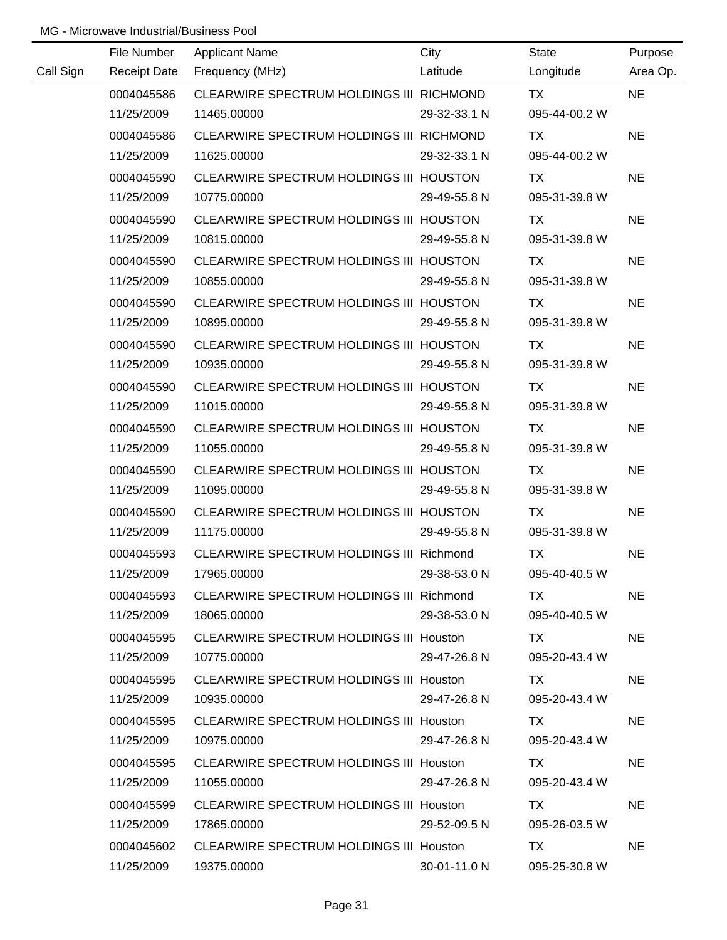|           | File Number | <b>Applicant Name</b>                    | City                       | State                                                                                                                                                                                                                          | Purpose   |
|-----------|-------------|------------------------------------------|----------------------------|--------------------------------------------------------------------------------------------------------------------------------------------------------------------------------------------------------------------------------|-----------|
| Call Sign |             | Receipt Date Frequency (MHz)             | <b>Example 12</b> Latitude | Longitude                                                                                                                                                                                                                      | Area Op.  |
|           | 0004045586  | CLEARWIRE SPECTRUM HOLDINGS III RICHMOND |                            | TX Particular and the contract of the contract of the contract of the contract of the contract of the contract of the contract of the contract of the contract of the contract of the contract of the contract of the contract | <b>NE</b> |
|           | 11/25/2009  | 11465.00000                              | 29-32-33.1 N               | 095-44-00.2 W                                                                                                                                                                                                                  |           |
|           | 0004045586  | CLEARWIRE SPECTRUM HOLDINGS III RICHMOND |                            | TX.                                                                                                                                                                                                                            | <b>NE</b> |
|           | 11/25/2009  | 11625.00000                              | 29-32-33.1 N               | 095-44-00.2 W                                                                                                                                                                                                                  |           |
|           | 0004045590  | CLEARWIRE SPECTRUM HOLDINGS III HOUSTON  |                            | TX TX                                                                                                                                                                                                                          | <b>NE</b> |
|           | 11/25/2009  | 10775.00000                              | 29-49-55.8 N               | 095-31-39.8 W                                                                                                                                                                                                                  |           |
|           | 0004045590  | CLEARWIRE SPECTRUM HOLDINGS III HOUSTON  |                            | TX TX                                                                                                                                                                                                                          | <b>NE</b> |
|           | 11/25/2009  | 10815.00000                              | 29-49-55.8 N               | 095-31-39.8 W                                                                                                                                                                                                                  |           |
|           | 0004045590  | CLEARWIRE SPECTRUM HOLDINGS III HOUSTON  |                            | <b>TX</b>                                                                                                                                                                                                                      | <b>NE</b> |
|           | 11/25/2009  | 10855.00000                              | 29-49-55.8 N               | 095-31-39.8 W                                                                                                                                                                                                                  |           |
|           | 0004045590  | CLEARWIRE SPECTRUM HOLDINGS III HOUSTON  |                            | TX.                                                                                                                                                                                                                            | <b>NE</b> |
|           | 11/25/2009  | 10895.00000                              | 29-49-55.8 N               | 095-31-39.8 W                                                                                                                                                                                                                  |           |
|           | 0004045590  | CLEARWIRE SPECTRUM HOLDINGS III HOUSTON  |                            | TX TX                                                                                                                                                                                                                          | <b>NE</b> |
|           | 11/25/2009  | 10935.00000                              | 29-49-55.8 N               | 095-31-39.8 W                                                                                                                                                                                                                  |           |
|           | 0004045590  | CLEARWIRE SPECTRUM HOLDINGS III HOUSTON  |                            | <b>TX</b>                                                                                                                                                                                                                      | <b>NE</b> |
|           | 11/25/2009  | 11015.00000                              | 29-49-55.8 N               | 095-31-39.8 W                                                                                                                                                                                                                  |           |
|           | 0004045590  | CLEARWIRE SPECTRUM HOLDINGS III HOUSTON  |                            | TX.                                                                                                                                                                                                                            | <b>NE</b> |
|           | 11/25/2009  | 11055.00000                              | 29-49-55.8 N               | 095-31-39.8 W                                                                                                                                                                                                                  |           |
|           | 0004045590  | CLEARWIRE SPECTRUM HOLDINGS III HOUSTON  |                            | TX.                                                                                                                                                                                                                            | <b>NE</b> |
|           | 11/25/2009  | 11095.00000                              | 29-49-55.8 N               | 095-31-39.8 W                                                                                                                                                                                                                  |           |
|           | 0004045590  | CLEARWIRE SPECTRUM HOLDINGS III HOUSTON  |                            | <b>TX</b>                                                                                                                                                                                                                      | <b>NE</b> |
|           | 11/25/2009  | 11175.00000                              | 29-49-55.8 N               | 095-31-39.8 W                                                                                                                                                                                                                  |           |
|           | 0004045593  | CLEARWIRE SPECTRUM HOLDINGS III Richmond |                            | <b>TX</b>                                                                                                                                                                                                                      | <b>NE</b> |
|           | 11/25/2009  | 17965.00000                              | 29-38-53.0 N               | 095-40-40.5 W                                                                                                                                                                                                                  |           |
|           | 0004045593  | CLEARWIRE SPECTRUM HOLDINGS III Richmond |                            | TX .                                                                                                                                                                                                                           | <b>NE</b> |
|           | 11/25/2009  | 18065.00000                              | 29-38-53.0 N               | 095-40-40.5 W                                                                                                                                                                                                                  |           |
|           | 0004045595  | CLEARWIRE SPECTRUM HOLDINGS III Houston  |                            | TX T                                                                                                                                                                                                                           | <b>NE</b> |
|           | 11/25/2009  | 10775.00000                              | 29-47-26.8 N               | 095-20-43.4 W                                                                                                                                                                                                                  |           |
|           | 0004045595  | CLEARWIRE SPECTRUM HOLDINGS III Houston  |                            | TX .                                                                                                                                                                                                                           | <b>NE</b> |
|           | 11/25/2009  | 10935.00000                              | 29-47-26.8 N               | 095-20-43.4 W                                                                                                                                                                                                                  |           |
|           | 0004045595  | CLEARWIRE SPECTRUM HOLDINGS III Houston  |                            | TX.                                                                                                                                                                                                                            | <b>NE</b> |
|           | 11/25/2009  | 10975.00000                              | 29-47-26.8 N               | 095-20-43.4 W                                                                                                                                                                                                                  |           |
|           | 0004045595  | CLEARWIRE SPECTRUM HOLDINGS III Houston  |                            | TX.                                                                                                                                                                                                                            | <b>NE</b> |
|           | 11/25/2009  | 11055.00000                              | 29-47-26.8 N               | 095-20-43.4 W                                                                                                                                                                                                                  |           |
|           | 0004045599  | CLEARWIRE SPECTRUM HOLDINGS III Houston  |                            | TX .                                                                                                                                                                                                                           | <b>NE</b> |
|           | 11/25/2009  | 17865.00000                              | 29-52-09.5 N               | 095-26-03.5 W                                                                                                                                                                                                                  |           |
|           | 0004045602  | CLEARWIRE SPECTRUM HOLDINGS III Houston  |                            | TX.                                                                                                                                                                                                                            | <b>NE</b> |
|           | 11/25/2009  | 19375.00000                              | 30-01-11.0 N               | 095-25-30.8 W                                                                                                                                                                                                                  |           |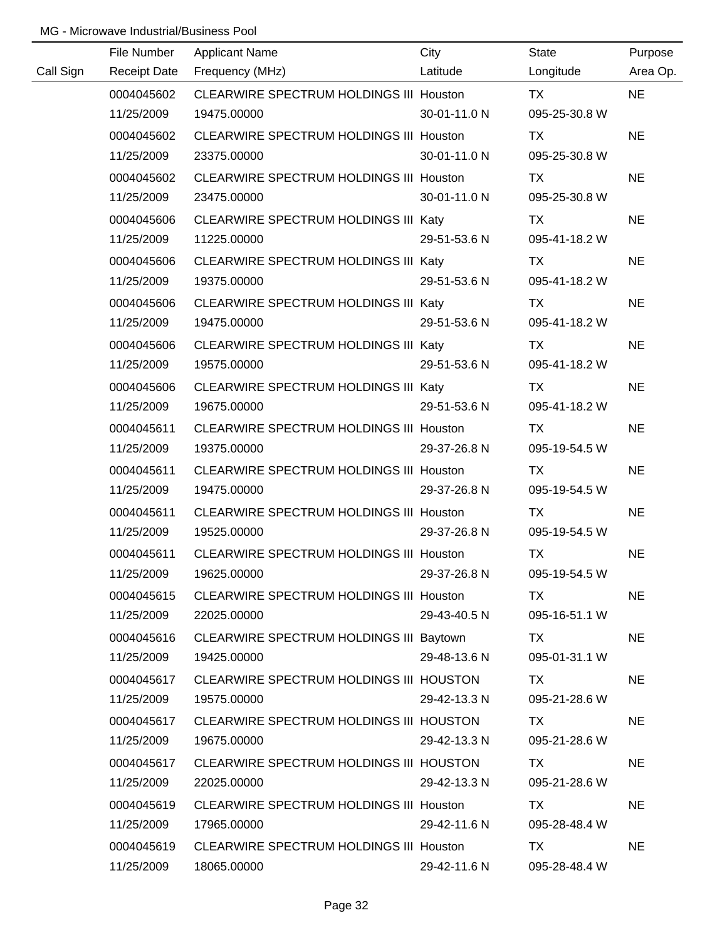|           | File Number         | <b>Applicant Name</b>                          | City         | State         | Purpose   |
|-----------|---------------------|------------------------------------------------|--------------|---------------|-----------|
| Call Sign | <b>Receipt Date</b> | Frequency (MHz)                                | Latitude     | Longitude     | Area Op.  |
|           | 0004045602          | CLEARWIRE SPECTRUM HOLDINGS III Houston        |              | <b>TX</b>     | <b>NE</b> |
|           | 11/25/2009          | 19475.00000                                    | 30-01-11.0 N | 095-25-30.8 W |           |
|           | 0004045602          | CLEARWIRE SPECTRUM HOLDINGS III Houston        |              | <b>TX</b>     | <b>NE</b> |
|           | 11/25/2009          | 23375.00000                                    | 30-01-11.0 N | 095-25-30.8 W |           |
|           | 0004045602          | CLEARWIRE SPECTRUM HOLDINGS III Houston        |              | TX            | <b>NE</b> |
|           | 11/25/2009          | 23475.00000                                    | 30-01-11.0 N | 095-25-30.8 W |           |
|           | 0004045606          | CLEARWIRE SPECTRUM HOLDINGS III Katy           |              | TX            | <b>NE</b> |
|           | 11/25/2009          | 11225.00000                                    | 29-51-53.6 N | 095-41-18.2 W |           |
|           | 0004045606          | CLEARWIRE SPECTRUM HOLDINGS III Katy           |              | TX            | <b>NE</b> |
|           | 11/25/2009          | 19375.00000                                    | 29-51-53.6 N | 095-41-18.2 W |           |
|           | 0004045606          | CLEARWIRE SPECTRUM HOLDINGS III Katy           |              | TX.           | <b>NE</b> |
|           | 11/25/2009          | 19475.00000                                    | 29-51-53.6 N | 095-41-18.2 W |           |
|           | 0004045606          | CLEARWIRE SPECTRUM HOLDINGS III Katy           |              | <b>TX</b>     | <b>NE</b> |
|           | 11/25/2009          | 19575.00000                                    | 29-51-53.6 N | 095-41-18.2 W |           |
|           | 0004045606          | CLEARWIRE SPECTRUM HOLDINGS III Katy           |              | TX            | <b>NE</b> |
|           | 11/25/2009          | 19675.00000                                    | 29-51-53.6 N | 095-41-18.2 W |           |
|           | 0004045611          | <b>CLEARWIRE SPECTRUM HOLDINGS III Houston</b> |              | TX            | <b>NE</b> |
|           | 11/25/2009          | 19375.00000                                    | 29-37-26.8 N | 095-19-54.5 W |           |
|           | 0004045611          | CLEARWIRE SPECTRUM HOLDINGS III Houston        |              | <b>TX</b>     | <b>NE</b> |
|           | 11/25/2009          | 19475.00000                                    | 29-37-26.8 N | 095-19-54.5 W |           |
|           | 0004045611          | <b>CLEARWIRE SPECTRUM HOLDINGS III Houston</b> |              | <b>TX</b>     | <b>NE</b> |
|           | 11/25/2009          | 19525.00000                                    | 29-37-26.8 N | 095-19-54.5 W |           |
|           | 0004045611          | CLEARWIRE SPECTRUM HOLDINGS III Houston        |              | <b>TX</b>     | <b>NE</b> |
|           | 11/25/2009          | 19625.00000                                    | 29-37-26.8 N | 095-19-54.5 W |           |
|           | 0004045615          | CLEARWIRE SPECTRUM HOLDINGS III Houston        |              | TX.           | <b>NE</b> |
|           | 11/25/2009          | 22025.00000                                    | 29-43-40.5 N | 095-16-51.1 W |           |
|           | 0004045616          | CLEARWIRE SPECTRUM HOLDINGS III Baytown        |              | TX.           | <b>NE</b> |
|           | 11/25/2009          | 19425.00000                                    | 29-48-13.6 N | 095-01-31.1 W |           |
|           | 0004045617          | CLEARWIRE SPECTRUM HOLDINGS III HOUSTON        |              | TX            | <b>NE</b> |
|           | 11/25/2009          | 19575.00000                                    | 29-42-13.3 N | 095-21-28.6 W |           |
|           | 0004045617          | CLEARWIRE SPECTRUM HOLDINGS III HOUSTON        |              | TX.           | <b>NE</b> |
|           | 11/25/2009          | 19675.00000                                    | 29-42-13.3 N | 095-21-28.6 W |           |
|           | 0004045617          | CLEARWIRE SPECTRUM HOLDINGS III HOUSTON        |              | TX.           | <b>NE</b> |
|           | 11/25/2009          | 22025.00000                                    | 29-42-13.3 N | 095-21-28.6 W |           |
|           | 0004045619          | CLEARWIRE SPECTRUM HOLDINGS III Houston        |              | TX            | <b>NE</b> |
|           | 11/25/2009          | 17965.00000                                    | 29-42-11.6 N | 095-28-48.4 W |           |
|           | 0004045619          | CLEARWIRE SPECTRUM HOLDINGS III Houston        |              | <b>TX</b>     | <b>NE</b> |
|           | 11/25/2009          | 18065.00000                                    | 29-42-11.6 N | 095-28-48.4 W |           |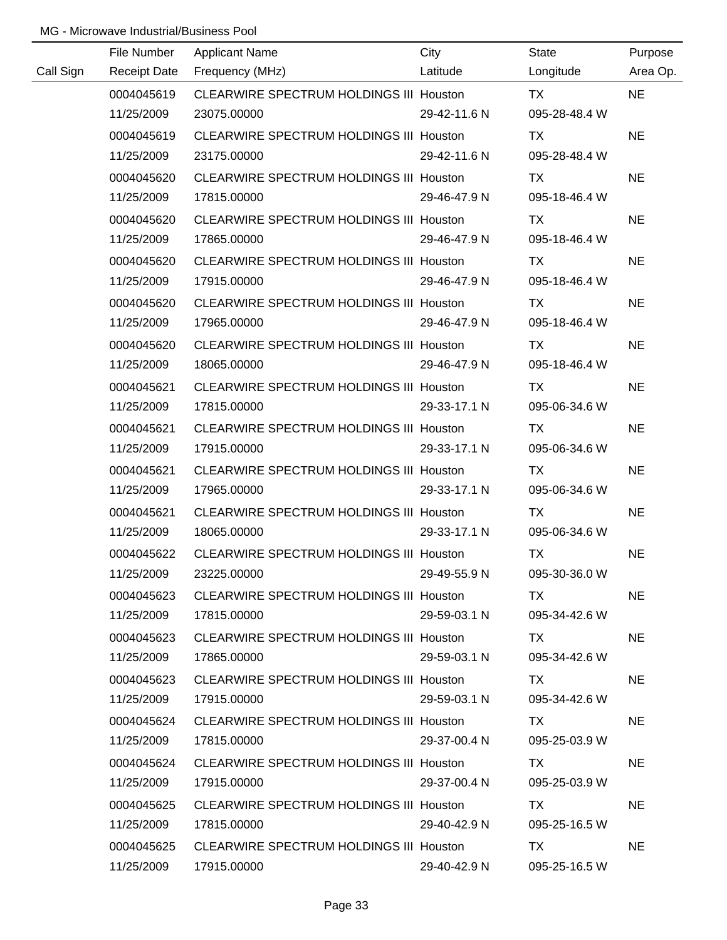|           | File Number         | <b>Applicant Name</b>                          | City         | State         | Purpose   |
|-----------|---------------------|------------------------------------------------|--------------|---------------|-----------|
| Call Sign | <b>Receipt Date</b> | Frequency (MHz)                                | Latitude     | Longitude     | Area Op.  |
|           | 0004045619          | CLEARWIRE SPECTRUM HOLDINGS III Houston        |              | <b>TX</b>     | <b>NE</b> |
|           | 11/25/2009          | 23075.00000                                    | 29-42-11.6 N | 095-28-48.4 W |           |
|           | 0004045619          | CLEARWIRE SPECTRUM HOLDINGS III Houston        |              | TX            | <b>NE</b> |
|           | 11/25/2009          | 23175.00000                                    | 29-42-11.6 N | 095-28-48.4 W |           |
|           | 0004045620          | <b>CLEARWIRE SPECTRUM HOLDINGS III Houston</b> |              | TX            | <b>NE</b> |
|           | 11/25/2009          | 17815.00000                                    | 29-46-47.9 N | 095-18-46.4 W |           |
|           | 0004045620          | CLEARWIRE SPECTRUM HOLDINGS III Houston        |              | TX            | <b>NE</b> |
|           | 11/25/2009          | 17865.00000                                    | 29-46-47.9 N | 095-18-46.4 W |           |
|           | 0004045620          | CLEARWIRE SPECTRUM HOLDINGS III Houston        |              | <b>TX</b>     | <b>NE</b> |
|           | 11/25/2009          | 17915.00000                                    | 29-46-47.9 N | 095-18-46.4 W |           |
|           | 0004045620          | CLEARWIRE SPECTRUM HOLDINGS III Houston        |              | TX            | <b>NE</b> |
|           | 11/25/2009          | 17965.00000                                    | 29-46-47.9 N | 095-18-46.4 W |           |
|           | 0004045620          | <b>CLEARWIRE SPECTRUM HOLDINGS III Houston</b> |              | TX            | <b>NE</b> |
|           | 11/25/2009          | 18065.00000                                    | 29-46-47.9 N | 095-18-46.4 W |           |
|           | 0004045621          | <b>CLEARWIRE SPECTRUM HOLDINGS III Houston</b> |              | TX            | <b>NE</b> |
|           | 11/25/2009          | 17815.00000                                    | 29-33-17.1 N | 095-06-34.6 W |           |
|           | 0004045621          | <b>CLEARWIRE SPECTRUM HOLDINGS III Houston</b> |              | TX            | <b>NE</b> |
|           | 11/25/2009          | 17915.00000                                    | 29-33-17.1 N | 095-06-34.6 W |           |
|           | 0004045621          | <b>CLEARWIRE SPECTRUM HOLDINGS III Houston</b> |              | <b>TX</b>     | <b>NE</b> |
|           | 11/25/2009          | 17965.00000                                    | 29-33-17.1 N | 095-06-34.6 W |           |
|           | 0004045621          | CLEARWIRE SPECTRUM HOLDINGS III Houston        |              | <b>TX</b>     | <b>NE</b> |
|           | 11/25/2009          | 18065.00000                                    | 29-33-17.1 N | 095-06-34.6 W |           |
|           | 0004045622          | CLEARWIRE SPECTRUM HOLDINGS III Houston        |              | <b>TX</b>     | <b>NE</b> |
|           | 11/25/2009          | 23225.00000                                    | 29-49-55.9 N | 095-30-36.0 W |           |
|           | 0004045623          | CLEARWIRE SPECTRUM HOLDINGS III Houston        |              | TX.           | <b>NE</b> |
|           | 11/25/2009          | 17815.00000                                    | 29-59-03.1 N | 095-34-42.6 W |           |
|           | 0004045623          | CLEARWIRE SPECTRUM HOLDINGS III Houston        |              | TX.           | <b>NE</b> |
|           | 11/25/2009          | 17865.00000                                    | 29-59-03.1 N | 095-34-42.6 W |           |
|           | 0004045623          | CLEARWIRE SPECTRUM HOLDINGS III Houston        |              | TX.           | <b>NE</b> |
|           | 11/25/2009          | 17915.00000                                    | 29-59-03.1 N | 095-34-42.6 W |           |
|           | 0004045624          | <b>CLEARWIRE SPECTRUM HOLDINGS III Houston</b> |              | TX.           | <b>NE</b> |
|           | 11/25/2009          | 17815.00000                                    | 29-37-00.4 N | 095-25-03.9 W |           |
|           | 0004045624          | CLEARWIRE SPECTRUM HOLDINGS III Houston        |              | TX.           | <b>NE</b> |
|           | 11/25/2009          | 17915.00000                                    | 29-37-00.4 N | 095-25-03.9 W |           |
|           | 0004045625          | CLEARWIRE SPECTRUM HOLDINGS III Houston        |              | TX            | <b>NE</b> |
|           | 11/25/2009          | 17815.00000                                    | 29-40-42.9 N | 095-25-16.5 W |           |
|           | 0004045625          | CLEARWIRE SPECTRUM HOLDINGS III Houston        |              | TX.           | <b>NE</b> |
|           | 11/25/2009          | 17915.00000                                    | 29-40-42.9 N | 095-25-16.5 W |           |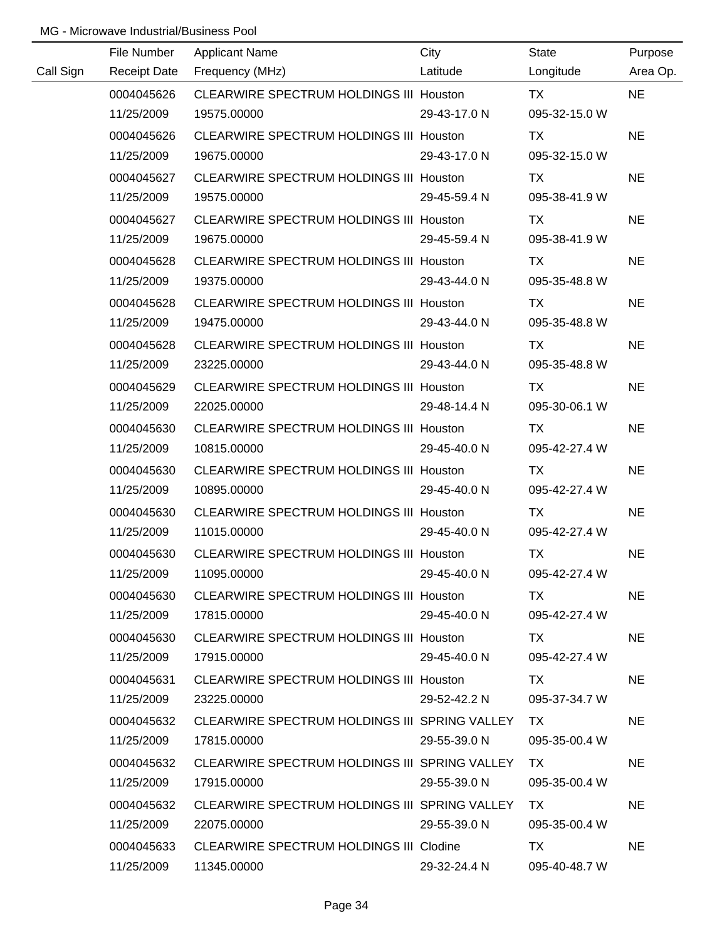|           | File Number         | <b>Applicant Name</b>                          | City         | State         | Purpose   |
|-----------|---------------------|------------------------------------------------|--------------|---------------|-----------|
| Call Sign | <b>Receipt Date</b> | Frequency (MHz)                                | Latitude     | Longitude     | Area Op.  |
|           | 0004045626          | CLEARWIRE SPECTRUM HOLDINGS III Houston        |              | <b>TX</b>     | <b>NE</b> |
|           | 11/25/2009          | 19575.00000                                    | 29-43-17.0 N | 095-32-15.0 W |           |
|           | 0004045626          | CLEARWIRE SPECTRUM HOLDINGS III Houston        |              | TX            | <b>NE</b> |
|           | 11/25/2009          | 19675.00000                                    | 29-43-17.0 N | 095-32-15.0 W |           |
|           | 0004045627          | CLEARWIRE SPECTRUM HOLDINGS III Houston        |              | TX            | <b>NE</b> |
|           | 11/25/2009          | 19575.00000                                    | 29-45-59.4 N | 095-38-41.9 W |           |
|           | 0004045627          | CLEARWIRE SPECTRUM HOLDINGS III Houston        |              | TX            | <b>NE</b> |
|           | 11/25/2009          | 19675.00000                                    | 29-45-59.4 N | 095-38-41.9 W |           |
|           | 0004045628          | CLEARWIRE SPECTRUM HOLDINGS III Houston        |              | TX            | <b>NE</b> |
|           | 11/25/2009          | 19375.00000                                    | 29-43-44.0 N | 095-35-48.8 W |           |
|           | 0004045628          | CLEARWIRE SPECTRUM HOLDINGS III Houston        |              | TX            | <b>NE</b> |
|           | 11/25/2009          | 19475.00000                                    | 29-43-44.0 N | 095-35-48.8 W |           |
|           | 0004045628          | CLEARWIRE SPECTRUM HOLDINGS III Houston        |              | TX            | <b>NE</b> |
|           | 11/25/2009          | 23225.00000                                    | 29-43-44.0 N | 095-35-48.8 W |           |
|           | 0004045629          | <b>CLEARWIRE SPECTRUM HOLDINGS III Houston</b> |              | TX            | <b>NE</b> |
|           | 11/25/2009          | 22025.00000                                    | 29-48-14.4 N | 095-30-06.1 W |           |
|           | 0004045630          | <b>CLEARWIRE SPECTRUM HOLDINGS III Houston</b> |              | TX            | <b>NE</b> |
|           | 11/25/2009          | 10815.00000                                    | 29-45-40.0 N | 095-42-27.4 W |           |
|           | 0004045630          | <b>CLEARWIRE SPECTRUM HOLDINGS III Houston</b> |              | <b>TX</b>     | <b>NE</b> |
|           | 11/25/2009          | 10895.00000                                    | 29-45-40.0 N | 095-42-27.4 W |           |
|           | 0004045630          | <b>CLEARWIRE SPECTRUM HOLDINGS III Houston</b> |              | <b>TX</b>     | <b>NE</b> |
|           | 11/25/2009          | 11015.00000                                    | 29-45-40.0 N | 095-42-27.4 W |           |
|           | 0004045630          | CLEARWIRE SPECTRUM HOLDINGS III Houston        |              | <b>TX</b>     | <b>NE</b> |
|           | 11/25/2009          | 11095.00000                                    | 29-45-40.0 N | 095-42-27.4 W |           |
|           | 0004045630          | CLEARWIRE SPECTRUM HOLDINGS III Houston        |              | TX.           | <b>NE</b> |
|           | 11/25/2009          | 17815.00000                                    | 29-45-40.0 N | 095-42-27.4 W |           |
|           | 0004045630          | CLEARWIRE SPECTRUM HOLDINGS III Houston        |              | TX .          | <b>NE</b> |
|           | 11/25/2009          | 17915.00000                                    | 29-45-40.0 N | 095-42-27.4 W |           |
|           | 0004045631          | CLEARWIRE SPECTRUM HOLDINGS III Houston        |              | TX.           | <b>NE</b> |
|           | 11/25/2009          | 23225.00000                                    | 29-52-42.2 N | 095-37-34.7 W |           |
|           | 0004045632          | CLEARWIRE SPECTRUM HOLDINGS III SPRING VALLEY  |              | TX.           | <b>NE</b> |
|           | 11/25/2009          | 17815.00000                                    | 29-55-39.0 N | 095-35-00.4 W |           |
|           | 0004045632          | CLEARWIRE SPECTRUM HOLDINGS III SPRING VALLEY  |              | TX.           | <b>NE</b> |
|           | 11/25/2009          | 17915.00000                                    | 29-55-39.0 N | 095-35-00.4 W |           |
|           | 0004045632          | CLEARWIRE SPECTRUM HOLDINGS III SPRING VALLEY  |              | TX.           | <b>NE</b> |
|           | 11/25/2009          | 22075.00000                                    | 29-55-39.0 N | 095-35-00.4 W |           |
|           | 0004045633          | CLEARWIRE SPECTRUM HOLDINGS III Clodine        |              | <b>TX</b>     | <b>NE</b> |
|           | 11/25/2009          | 11345.00000                                    | 29-32-24.4 N | 095-40-48.7 W |           |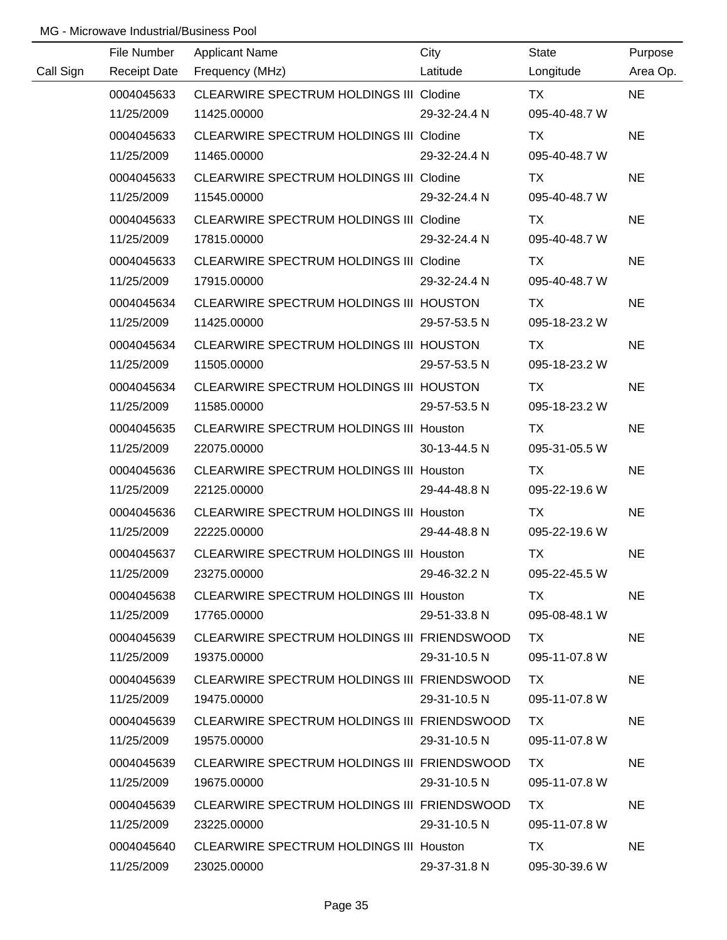|           | File Number         | <b>Applicant Name</b>                          | City         | <b>State</b>  | Purpose   |
|-----------|---------------------|------------------------------------------------|--------------|---------------|-----------|
| Call Sign | <b>Receipt Date</b> | Frequency (MHz)                                | Latitude     | Longitude     | Area Op.  |
|           | 0004045633          | CLEARWIRE SPECTRUM HOLDINGS III Clodine        |              | <b>TX</b>     | <b>NE</b> |
|           | 11/25/2009          | 11425.00000                                    | 29-32-24.4 N | 095-40-48.7 W |           |
|           | 0004045633          | CLEARWIRE SPECTRUM HOLDINGS III Clodine        |              | TX            | <b>NE</b> |
|           | 11/25/2009          | 11465.00000                                    | 29-32-24.4 N | 095-40-48.7 W |           |
|           | 0004045633          | <b>CLEARWIRE SPECTRUM HOLDINGS III Clodine</b> |              | TX            | <b>NE</b> |
|           | 11/25/2009          | 11545.00000                                    | 29-32-24.4 N | 095-40-48.7 W |           |
|           | 0004045633          | CLEARWIRE SPECTRUM HOLDINGS III Clodine        |              | TX            | <b>NE</b> |
|           | 11/25/2009          | 17815.00000                                    | 29-32-24.4 N | 095-40-48.7 W |           |
|           | 0004045633          | <b>CLEARWIRE SPECTRUM HOLDINGS III Clodine</b> |              | TX            | <b>NE</b> |
|           | 11/25/2009          | 17915.00000                                    | 29-32-24.4 N | 095-40-48.7 W |           |
|           | 0004045634          | CLEARWIRE SPECTRUM HOLDINGS III HOUSTON        |              | TX            | <b>NE</b> |
|           | 11/25/2009          | 11425.00000                                    | 29-57-53.5 N | 095-18-23.2 W |           |
|           | 0004045634          | CLEARWIRE SPECTRUM HOLDINGS III HOUSTON        |              | TX            | <b>NE</b> |
|           | 11/25/2009          | 11505.00000                                    | 29-57-53.5 N | 095-18-23.2 W |           |
|           | 0004045634          | CLEARWIRE SPECTRUM HOLDINGS III HOUSTON        |              | TX            | <b>NE</b> |
|           | 11/25/2009          | 11585.00000                                    | 29-57-53.5 N | 095-18-23.2 W |           |
|           | 0004045635          | <b>CLEARWIRE SPECTRUM HOLDINGS III Houston</b> |              | TX            | <b>NE</b> |
|           | 11/25/2009          | 22075.00000                                    | 30-13-44.5 N | 095-31-05.5 W |           |
|           | 0004045636          | <b>CLEARWIRE SPECTRUM HOLDINGS III Houston</b> |              | <b>TX</b>     | <b>NE</b> |
|           | 11/25/2009          | 22125.00000                                    | 29-44-48.8 N | 095-22-19.6 W |           |
|           | 0004045636          | <b>CLEARWIRE SPECTRUM HOLDINGS III Houston</b> |              | <b>TX</b>     | <b>NE</b> |
|           | 11/25/2009          | 22225.00000                                    | 29-44-48.8 N | 095-22-19.6 W |           |
|           | 0004045637          | CLEARWIRE SPECTRUM HOLDINGS III Houston        |              | <b>TX</b>     | <b>NE</b> |
|           | 11/25/2009          | 23275.00000                                    | 29-46-32.2 N | 095-22-45.5 W |           |
|           | 0004045638          | CLEARWIRE SPECTRUM HOLDINGS III Houston        |              | TX.           | <b>NE</b> |
|           | 11/25/2009          | 17765.00000                                    | 29-51-33.8 N | 095-08-48.1 W |           |
|           | 0004045639          | CLEARWIRE SPECTRUM HOLDINGS III FRIENDSWOOD    |              | TX.           | <b>NE</b> |
|           | 11/25/2009          | 19375.00000                                    | 29-31-10.5 N | 095-11-07.8 W |           |
|           | 0004045639          | CLEARWIRE SPECTRUM HOLDINGS III FRIENDSWOOD    |              | TX.           | <b>NE</b> |
|           | 11/25/2009          | 19475.00000                                    | 29-31-10.5 N | 095-11-07.8 W |           |
|           | 0004045639          | CLEARWIRE SPECTRUM HOLDINGS III FRIENDSWOOD    |              | TX.           | <b>NE</b> |
|           | 11/25/2009          | 19575.00000                                    | 29-31-10.5 N | 095-11-07.8 W |           |
|           | 0004045639          | CLEARWIRE SPECTRUM HOLDINGS III FRIENDSWOOD    |              | TX.           | <b>NE</b> |
|           | 11/25/2009          | 19675.00000                                    | 29-31-10.5 N | 095-11-07.8 W |           |
|           | 0004045639          | CLEARWIRE SPECTRUM HOLDINGS III FRIENDSWOOD    |              | TX            | <b>NE</b> |
|           | 11/25/2009          | 23225.00000                                    | 29-31-10.5 N | 095-11-07.8 W |           |
|           | 0004045640          | CLEARWIRE SPECTRUM HOLDINGS III Houston        |              | TX.           | <b>NE</b> |
|           | 11/25/2009          | 23025.00000                                    | 29-37-31.8 N | 095-30-39.6 W |           |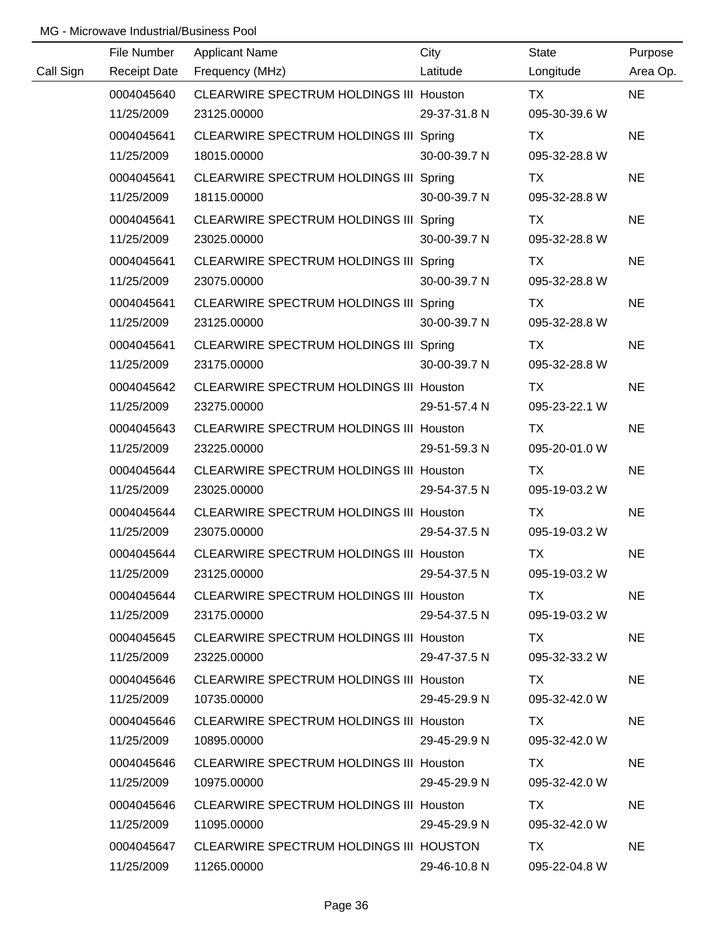|           | File Number         | <b>Applicant Name</b>                          | City         | State         | Purpose   |
|-----------|---------------------|------------------------------------------------|--------------|---------------|-----------|
| Call Sign | <b>Receipt Date</b> | Frequency (MHz)                                | Latitude     | Longitude     | Area Op.  |
|           | 0004045640          | CLEARWIRE SPECTRUM HOLDINGS III Houston        |              | <b>TX</b>     | <b>NE</b> |
|           | 11/25/2009          | 23125.00000                                    | 29-37-31.8 N | 095-30-39.6 W |           |
|           | 0004045641          | CLEARWIRE SPECTRUM HOLDINGS III Spring         |              | TX            | <b>NE</b> |
|           | 11/25/2009          | 18015.00000                                    | 30-00-39.7 N | 095-32-28.8 W |           |
|           | 0004045641          | CLEARWIRE SPECTRUM HOLDINGS III Spring         |              | TX            | <b>NE</b> |
|           | 11/25/2009          | 18115.00000                                    | 30-00-39.7 N | 095-32-28.8 W |           |
|           | 0004045641          | CLEARWIRE SPECTRUM HOLDINGS III Spring         |              | TX            | <b>NE</b> |
|           | 11/25/2009          | 23025.00000                                    | 30-00-39.7 N | 095-32-28.8 W |           |
|           | 0004045641          | CLEARWIRE SPECTRUM HOLDINGS III Spring         |              | TX            | <b>NE</b> |
|           | 11/25/2009          | 23075.00000                                    | 30-00-39.7 N | 095-32-28.8 W |           |
|           | 0004045641          | CLEARWIRE SPECTRUM HOLDINGS III Spring         |              | <b>TX</b>     | <b>NE</b> |
|           | 11/25/2009          | 23125.00000                                    | 30-00-39.7 N | 095-32-28.8 W |           |
|           | 0004045641          | CLEARWIRE SPECTRUM HOLDINGS III Spring         |              | TX            | <b>NE</b> |
|           | 11/25/2009          | 23175.00000                                    | 30-00-39.7 N | 095-32-28.8 W |           |
|           | 0004045642          | CLEARWIRE SPECTRUM HOLDINGS III Houston        |              | TX            | <b>NE</b> |
|           | 11/25/2009          | 23275.00000                                    | 29-51-57.4 N | 095-23-22.1 W |           |
|           | 0004045643          | <b>CLEARWIRE SPECTRUM HOLDINGS III Houston</b> |              | TX            | <b>NE</b> |
|           | 11/25/2009          | 23225.00000                                    | 29-51-59.3 N | 095-20-01.0 W |           |
|           | 0004045644          | CLEARWIRE SPECTRUM HOLDINGS III Houston        |              | <b>TX</b>     | <b>NE</b> |
|           | 11/25/2009          | 23025.00000                                    | 29-54-37.5 N | 095-19-03.2 W |           |
|           | 0004045644          | <b>CLEARWIRE SPECTRUM HOLDINGS III Houston</b> |              | <b>TX</b>     | <b>NE</b> |
|           | 11/25/2009          | 23075.00000                                    | 29-54-37.5 N | 095-19-03.2 W |           |
|           | 0004045644          | CLEARWIRE SPECTRUM HOLDINGS III Houston        |              | <b>TX</b>     | <b>NE</b> |
|           | 11/25/2009          | 23125.00000                                    | 29-54-37.5 N | 095-19-03.2 W |           |
|           | 0004045644          | CLEARWIRE SPECTRUM HOLDINGS III Houston        |              | TX.           | <b>NE</b> |
|           | 11/25/2009          | 23175.00000                                    | 29-54-37.5 N | 095-19-03.2 W |           |
|           | 0004045645          | CLEARWIRE SPECTRUM HOLDINGS III Houston        |              | TX.           | <b>NE</b> |
|           | 11/25/2009          | 23225.00000                                    | 29-47-37.5 N | 095-32-33.2 W |           |
|           | 0004045646          | <b>CLEARWIRE SPECTRUM HOLDINGS III Houston</b> |              | TX.           | <b>NE</b> |
|           | 11/25/2009          | 10735.00000                                    | 29-45-29.9 N | 095-32-42.0 W |           |
|           | 0004045646          | <b>CLEARWIRE SPECTRUM HOLDINGS III Houston</b> |              | TX.           | <b>NE</b> |
|           | 11/25/2009          | 10895.00000                                    | 29-45-29.9 N | 095-32-42.0 W |           |
|           | 0004045646          | <b>CLEARWIRE SPECTRUM HOLDINGS III Houston</b> |              | TX.           | NE.       |
|           | 11/25/2009          | 10975.00000                                    | 29-45-29.9 N | 095-32-42.0 W |           |
|           | 0004045646          | <b>CLEARWIRE SPECTRUM HOLDINGS III Houston</b> |              | TX.           | <b>NE</b> |
|           | 11/25/2009          | 11095.00000                                    | 29-45-29.9 N | 095-32-42.0 W |           |
|           | 0004045647          | CLEARWIRE SPECTRUM HOLDINGS III HOUSTON        |              | TX            | <b>NE</b> |
|           | 11/25/2009          | 11265.00000                                    | 29-46-10.8 N | 095-22-04.8 W |           |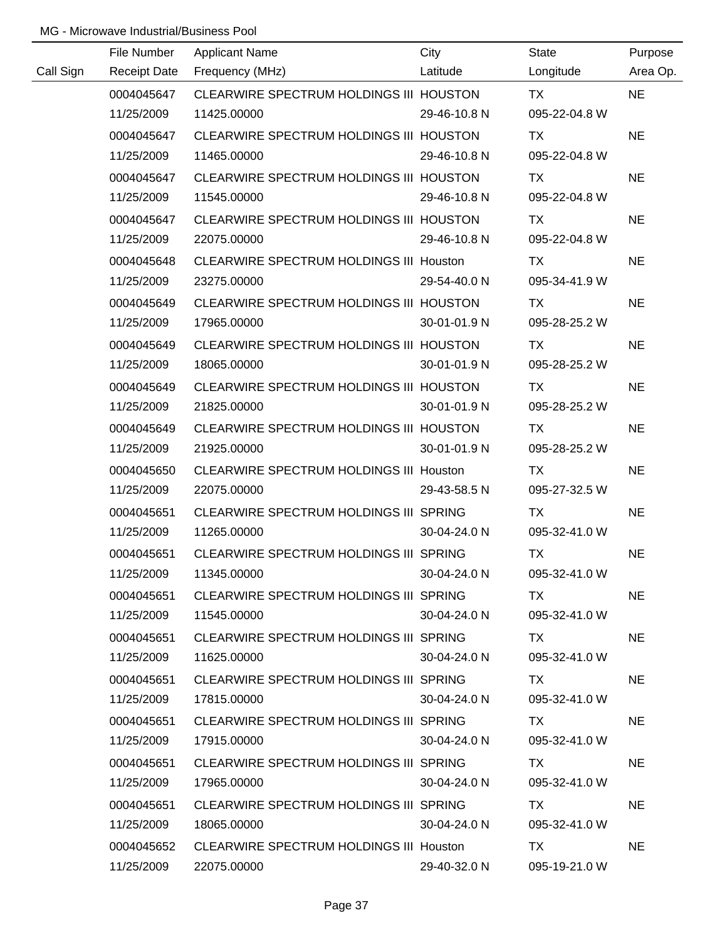|           | File Number         | <b>Applicant Name</b>                          | City               | <b>State</b>  | Purpose   |
|-----------|---------------------|------------------------------------------------|--------------------|---------------|-----------|
| Call Sign | <b>Receipt Date</b> | Frequency (MHz)                                | Latitude           | Longitude     | Area Op.  |
|           | 0004045647          | CLEARWIRE SPECTRUM HOLDINGS III HOUSTON        |                    | <b>TX</b>     | <b>NE</b> |
|           | 11/25/2009          | 11425.00000                                    | 29-46-10.8 N       | 095-22-04.8 W |           |
|           | 0004045647          | CLEARWIRE SPECTRUM HOLDINGS III HOUSTON        |                    | <b>TX</b>     | <b>NE</b> |
|           | 11/25/2009          | 11465.00000                                    | 29-46-10.8 N       | 095-22-04.8 W |           |
|           | 0004045647          | CLEARWIRE SPECTRUM HOLDINGS III HOUSTON        |                    | TX            | <b>NE</b> |
|           | 11/25/2009          | 11545.00000                                    | 29-46-10.8 N       | 095-22-04.8 W |           |
|           | 0004045647          | CLEARWIRE SPECTRUM HOLDINGS III HOUSTON        |                    | TX            | <b>NE</b> |
|           | 11/25/2009          | 22075.00000                                    | 29-46-10.8 N       | 095-22-04.8 W |           |
|           | 0004045648          | <b>CLEARWIRE SPECTRUM HOLDINGS III Houston</b> |                    | TX            | <b>NE</b> |
|           | 11/25/2009          | 23275.00000                                    | 29-54-40.0 N       | 095-34-41.9 W |           |
|           | 0004045649          | CLEARWIRE SPECTRUM HOLDINGS III HOUSTON        |                    | TX            | <b>NE</b> |
|           | 11/25/2009          | 17965.00000                                    | 30-01-01.9 N       | 095-28-25.2 W |           |
|           | 0004045649          | CLEARWIRE SPECTRUM HOLDINGS III HOUSTON        |                    | TX            | <b>NE</b> |
|           | 11/25/2009          | 18065.00000                                    | 30-01-01.9 N       | 095-28-25.2 W |           |
|           | 0004045649          | CLEARWIRE SPECTRUM HOLDINGS III HOUSTON        |                    | TX            | <b>NE</b> |
|           | 11/25/2009          | 21825.00000                                    | 30-01-01.9 N       | 095-28-25.2 W |           |
|           | 0004045649          | CLEARWIRE SPECTRUM HOLDINGS III HOUSTON        |                    | TX            | <b>NE</b> |
|           | 11/25/2009          | 21925.00000                                    | 30-01-01.9 N       | 095-28-25.2 W |           |
|           | 0004045650          | <b>CLEARWIRE SPECTRUM HOLDINGS III Houston</b> |                    | <b>TX</b>     | <b>NE</b> |
|           | 11/25/2009          | 22075.00000                                    | 29-43-58.5 N       | 095-27-32.5 W |           |
|           | 0004045651          | CLEARWIRE SPECTRUM HOLDINGS III SPRING         |                    | <b>TX</b>     | <b>NE</b> |
|           | 11/25/2009          | 11265.00000                                    | 30-04-24.0 N       | 095-32-41.0 W |           |
|           | 0004045651          | CLEARWIRE SPECTRUM HOLDINGS III SPRING         |                    | <b>TX</b>     | <b>NE</b> |
|           | 11/25/2009          | 11345.00000                                    | 30-04-24.0 N       | 095-32-41.0 W |           |
|           | 0004045651          | CLEARWIRE SPECTRUM HOLDINGS III SPRING         |                    | TX.           | <b>NE</b> |
|           | 11/25/2009          | 11545.00000                                    | 30-04-24.0 N       | 095-32-41.0 W |           |
|           | 0004045651          | CLEARWIRE SPECTRUM HOLDINGS III SPRING         |                    | TX TX         | <b>NE</b> |
|           | 11/25/2009          | 11625.00000                                    | $30 - 04 - 24.0 N$ | 095-32-41.0 W |           |
|           | 0004045651          | CLEARWIRE SPECTRUM HOLDINGS III SPRING         |                    | TX.           | <b>NE</b> |
|           | 11/25/2009          | 17815.00000                                    | 30-04-24.0 N       | 095-32-41.0 W |           |
|           | 0004045651          | CLEARWIRE SPECTRUM HOLDINGS III SPRING         |                    | TX.           | <b>NE</b> |
|           | 11/25/2009          | 17915.00000                                    | 30-04-24.0 N       | 095-32-41.0 W |           |
|           | 0004045651          | CLEARWIRE SPECTRUM HOLDINGS III SPRING         |                    | TX.           | <b>NE</b> |
|           | 11/25/2009          | 17965.00000                                    | 30-04-24.0 N       | 095-32-41.0 W |           |
|           | 0004045651          | CLEARWIRE SPECTRUM HOLDINGS III SPRING         |                    | TX.           | <b>NE</b> |
|           | 11/25/2009          | 18065.00000                                    | 30-04-24.0 N       | 095-32-41.0 W |           |
|           | 0004045652          | <b>CLEARWIRE SPECTRUM HOLDINGS III Houston</b> |                    | TX            | <b>NE</b> |
|           | 11/25/2009          | 22075.00000                                    | 29-40-32.0 N       | 095-19-21.0 W |           |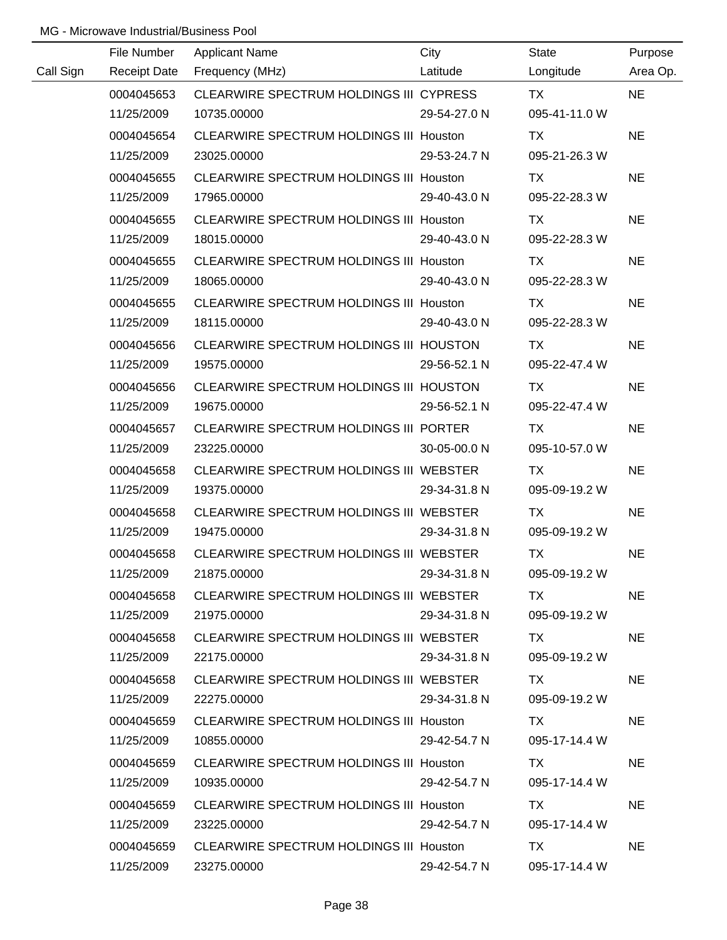|           | File Number         | <b>Applicant Name</b>                          | City         | State         | Purpose   |
|-----------|---------------------|------------------------------------------------|--------------|---------------|-----------|
| Call Sign | <b>Receipt Date</b> | Frequency (MHz)                                | Latitude     | Longitude     | Area Op.  |
|           | 0004045653          | CLEARWIRE SPECTRUM HOLDINGS III CYPRESS        |              | <b>TX</b>     | <b>NE</b> |
|           | 11/25/2009          | 10735.00000                                    | 29-54-27.0 N | 095-41-11.0 W |           |
|           | 0004045654          | CLEARWIRE SPECTRUM HOLDINGS III Houston        |              | TX            | <b>NE</b> |
|           | 11/25/2009          | 23025.00000                                    | 29-53-24.7 N | 095-21-26.3 W |           |
|           | 0004045655          | <b>CLEARWIRE SPECTRUM HOLDINGS III Houston</b> |              | TX            | <b>NE</b> |
|           | 11/25/2009          | 17965.00000                                    | 29-40-43.0 N | 095-22-28.3 W |           |
|           | 0004045655          | CLEARWIRE SPECTRUM HOLDINGS III Houston        |              | TX            | <b>NE</b> |
|           | 11/25/2009          | 18015.00000                                    | 29-40-43.0 N | 095-22-28.3 W |           |
|           | 0004045655          | CLEARWIRE SPECTRUM HOLDINGS III Houston        |              | TX            | <b>NE</b> |
|           | 11/25/2009          | 18065.00000                                    | 29-40-43.0 N | 095-22-28.3 W |           |
|           | 0004045655          | CLEARWIRE SPECTRUM HOLDINGS III Houston        |              | TX            | <b>NE</b> |
|           | 11/25/2009          | 18115.00000                                    | 29-40-43.0 N | 095-22-28.3 W |           |
|           | 0004045656          | CLEARWIRE SPECTRUM HOLDINGS III HOUSTON        |              | TX            | <b>NE</b> |
|           | 11/25/2009          | 19575.00000                                    | 29-56-52.1 N | 095-22-47.4 W |           |
|           | 0004045656          | CLEARWIRE SPECTRUM HOLDINGS III HOUSTON        |              | TX.           | <b>NE</b> |
|           | 11/25/2009          | 19675.00000                                    | 29-56-52.1 N | 095-22-47.4 W |           |
|           | 0004045657          | CLEARWIRE SPECTRUM HOLDINGS III PORTER         |              | TX            | <b>NE</b> |
|           | 11/25/2009          | 23225.00000                                    | 30-05-00.0 N | 095-10-57.0 W |           |
|           | 0004045658          | CLEARWIRE SPECTRUM HOLDINGS III WEBSTER        |              | <b>TX</b>     | <b>NE</b> |
|           | 11/25/2009          | 19375.00000                                    | 29-34-31.8 N | 095-09-19.2 W |           |
|           | 0004045658          | CLEARWIRE SPECTRUM HOLDINGS III WEBSTER        |              | <b>TX</b>     | <b>NE</b> |
|           | 11/25/2009          | 19475.00000                                    | 29-34-31.8 N | 095-09-19.2 W |           |
|           | 0004045658          | CLEARWIRE SPECTRUM HOLDINGS III WEBSTER        |              | <b>TX</b>     | <b>NE</b> |
|           | 11/25/2009          | 21875.00000                                    | 29-34-31.8 N | 095-09-19.2 W |           |
|           | 0004045658          | CLEARWIRE SPECTRUM HOLDINGS III WEBSTER        |              | TX.           | <b>NE</b> |
|           | 11/25/2009          | 21975.00000                                    | 29-34-31.8 N | 095-09-19.2 W |           |
|           | 0004045658          | CLEARWIRE SPECTRUM HOLDINGS III WEBSTER        |              | TX TX         | <b>NE</b> |
|           | 11/25/2009          | 22175.00000                                    | 29-34-31.8 N | 095-09-19.2 W |           |
|           | 0004045658          | CLEARWIRE SPECTRUM HOLDINGS III WEBSTER        |              | TX.           | <b>NE</b> |
|           | 11/25/2009          | 22275.00000                                    | 29-34-31.8 N | 095-09-19.2 W |           |
|           | 0004045659          | CLEARWIRE SPECTRUM HOLDINGS III Houston        |              | TX.           | <b>NE</b> |
|           | 11/25/2009          | 10855.00000                                    | 29-42-54.7 N | 095-17-14.4 W |           |
|           | 0004045659          | CLEARWIRE SPECTRUM HOLDINGS III Houston        |              | TX.           | <b>NE</b> |
|           | 11/25/2009          | 10935.00000                                    | 29-42-54.7 N | 095-17-14.4 W |           |
|           | 0004045659          | CLEARWIRE SPECTRUM HOLDINGS III Houston        |              | TX.           | <b>NE</b> |
|           | 11/25/2009          | 23225.00000                                    | 29-42-54.7 N | 095-17-14.4 W |           |
|           | 0004045659          | CLEARWIRE SPECTRUM HOLDINGS III Houston        |              | TX.           | <b>NE</b> |
|           | 11/25/2009          | 23275.00000                                    | 29-42-54.7 N | 095-17-14.4 W |           |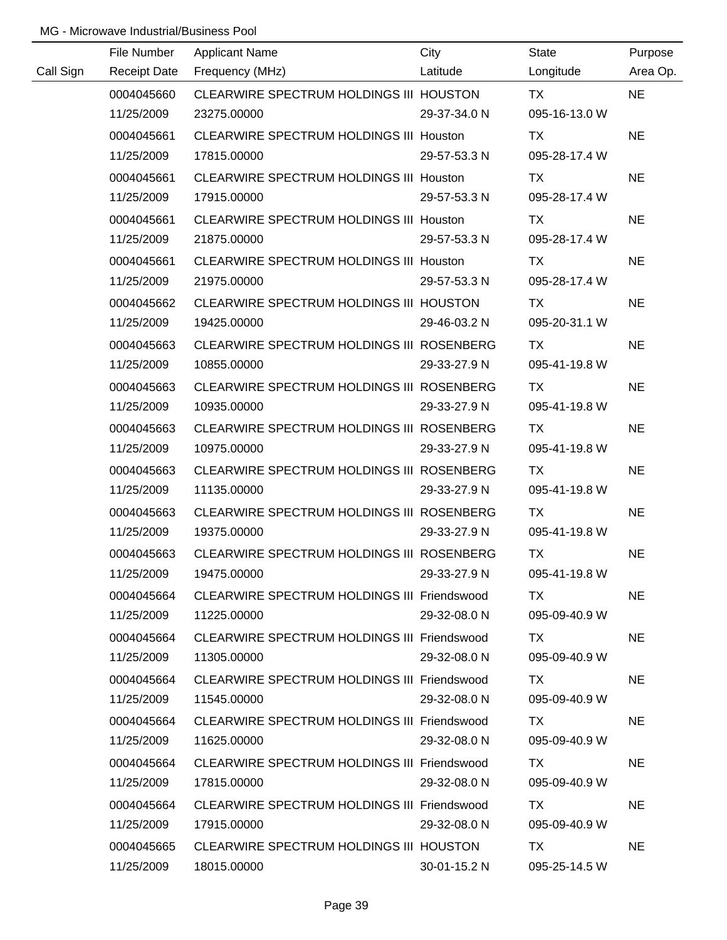|           | File Number         | <b>Applicant Name</b>                       | City         | State         | Purpose   |
|-----------|---------------------|---------------------------------------------|--------------|---------------|-----------|
| Call Sign | <b>Receipt Date</b> | Frequency (MHz)                             | Latitude     | Longitude     | Area Op.  |
|           | 0004045660          | CLEARWIRE SPECTRUM HOLDINGS III HOUSTON     |              | <b>TX</b>     | <b>NE</b> |
|           | 11/25/2009          | 23275.00000                                 | 29-37-34.0 N | 095-16-13.0 W |           |
|           | 0004045661          | CLEARWIRE SPECTRUM HOLDINGS III Houston     |              | TX            | <b>NE</b> |
|           | 11/25/2009          | 17815.00000                                 | 29-57-53.3 N | 095-28-17.4 W |           |
|           | 0004045661          | CLEARWIRE SPECTRUM HOLDINGS III Houston     |              | TX            | <b>NE</b> |
|           | 11/25/2009          | 17915.00000                                 | 29-57-53.3 N | 095-28-17.4 W |           |
|           | 0004045661          | CLEARWIRE SPECTRUM HOLDINGS III Houston     |              | TX            | <b>NE</b> |
|           | 11/25/2009          | 21875.00000                                 | 29-57-53.3 N | 095-28-17.4 W |           |
|           | 0004045661          | CLEARWIRE SPECTRUM HOLDINGS III Houston     |              | TX            | <b>NE</b> |
|           | 11/25/2009          | 21975.00000                                 | 29-57-53.3 N | 095-28-17.4 W |           |
|           | 0004045662          | CLEARWIRE SPECTRUM HOLDINGS III HOUSTON     |              | TX            | <b>NE</b> |
|           | 11/25/2009          | 19425.00000                                 | 29-46-03.2 N | 095-20-31.1 W |           |
|           | 0004045663          | CLEARWIRE SPECTRUM HOLDINGS III ROSENBERG   |              | TX            | <b>NE</b> |
|           | 11/25/2009          | 10855.00000                                 | 29-33-27.9 N | 095-41-19.8 W |           |
|           | 0004045663          | CLEARWIRE SPECTRUM HOLDINGS III ROSENBERG   |              | TX            | <b>NE</b> |
|           | 11/25/2009          | 10935.00000                                 | 29-33-27.9 N | 095-41-19.8 W |           |
|           | 0004045663          | CLEARWIRE SPECTRUM HOLDINGS III ROSENBERG   |              | TX            | <b>NE</b> |
|           | 11/25/2009          | 10975.00000                                 | 29-33-27.9 N | 095-41-19.8 W |           |
|           | 0004045663          | CLEARWIRE SPECTRUM HOLDINGS III ROSENBERG   |              | TX            | <b>NE</b> |
|           | 11/25/2009          | 11135.00000                                 | 29-33-27.9 N | 095-41-19.8 W |           |
|           | 0004045663          | CLEARWIRE SPECTRUM HOLDINGS III ROSENBERG   |              | <b>TX</b>     | <b>NE</b> |
|           | 11/25/2009          | 19375.00000                                 | 29-33-27.9 N | 095-41-19.8 W |           |
|           | 0004045663          | CLEARWIRE SPECTRUM HOLDINGS III ROSENBERG   |              | <b>TX</b>     | <b>NE</b> |
|           | 11/25/2009          | 19475.00000                                 | 29-33-27.9 N | 095-41-19.8 W |           |
|           | 0004045664          | CLEARWIRE SPECTRUM HOLDINGS III Friendswood |              | TX.           | <b>NE</b> |
|           | 11/25/2009          | 11225.00000                                 | 29-32-08.0 N | 095-09-40.9 W |           |
|           | 0004045664          | CLEARWIRE SPECTRUM HOLDINGS III Friendswood |              | TX            | <b>NE</b> |
|           | 11/25/2009          | 11305.00000                                 | 29-32-08.0 N | 095-09-40.9 W |           |
|           | 0004045664          | CLEARWIRE SPECTRUM HOLDINGS III Friendswood |              | TX            | <b>NE</b> |
|           | 11/25/2009          | 11545.00000                                 | 29-32-08.0 N | 095-09-40.9 W |           |
|           | 0004045664          | CLEARWIRE SPECTRUM HOLDINGS III Friendswood |              | TX            | <b>NE</b> |
|           | 11/25/2009          | 11625.00000                                 | 29-32-08.0 N | 095-09-40.9 W |           |
|           | 0004045664          | CLEARWIRE SPECTRUM HOLDINGS III Friendswood |              | TX.           | <b>NE</b> |
|           | 11/25/2009          | 17815.00000                                 | 29-32-08.0 N | 095-09-40.9 W |           |
|           | 0004045664          | CLEARWIRE SPECTRUM HOLDINGS III Friendswood |              | TX            | <b>NE</b> |
|           | 11/25/2009          | 17915.00000                                 | 29-32-08.0 N | 095-09-40.9 W |           |
|           | 0004045665          | CLEARWIRE SPECTRUM HOLDINGS III HOUSTON     |              | <b>TX</b>     | <b>NE</b> |
|           | 11/25/2009          | 18015.00000                                 | 30-01-15.2 N | 095-25-14.5 W |           |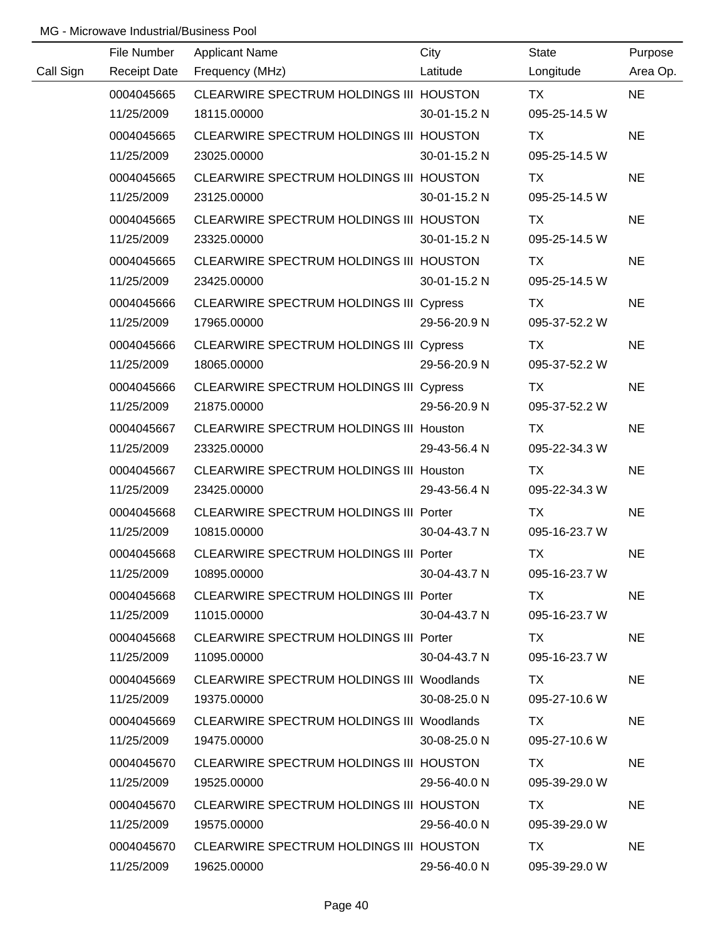|           | File Number         | <b>Applicant Name</b>                            | City         | <b>State</b>  | Purpose   |
|-----------|---------------------|--------------------------------------------------|--------------|---------------|-----------|
| Call Sign | <b>Receipt Date</b> | Frequency (MHz)                                  | Latitude     | Longitude     | Area Op.  |
|           | 0004045665          | CLEARWIRE SPECTRUM HOLDINGS III HOUSTON          |              | <b>TX</b>     | <b>NE</b> |
|           | 11/25/2009          | 18115.00000                                      | 30-01-15.2 N | 095-25-14.5 W |           |
|           | 0004045665          | CLEARWIRE SPECTRUM HOLDINGS III HOUSTON          |              | <b>TX</b>     | <b>NE</b> |
|           | 11/25/2009          | 23025.00000                                      | 30-01-15.2 N | 095-25-14.5 W |           |
|           | 0004045665          | CLEARWIRE SPECTRUM HOLDINGS III HOUSTON          |              | TX            | <b>NE</b> |
|           | 11/25/2009          | 23125.00000                                      | 30-01-15.2 N | 095-25-14.5 W |           |
|           | 0004045665          | CLEARWIRE SPECTRUM HOLDINGS III HOUSTON          |              | TX            | <b>NE</b> |
|           | 11/25/2009          | 23325.00000                                      | 30-01-15.2 N | 095-25-14.5 W |           |
|           | 0004045665          | CLEARWIRE SPECTRUM HOLDINGS III HOUSTON          |              | TX            | <b>NE</b> |
|           | 11/25/2009          | 23425.00000                                      | 30-01-15.2 N | 095-25-14.5 W |           |
|           | 0004045666          | <b>CLEARWIRE SPECTRUM HOLDINGS III Cypress</b>   |              | TX            | <b>NE</b> |
|           | 11/25/2009          | 17965.00000                                      | 29-56-20.9 N | 095-37-52.2 W |           |
|           | 0004045666          | <b>CLEARWIRE SPECTRUM HOLDINGS III Cypress</b>   |              | TX            | <b>NE</b> |
|           | 11/25/2009          | 18065.00000                                      | 29-56-20.9 N | 095-37-52.2 W |           |
|           | 0004045666          | <b>CLEARWIRE SPECTRUM HOLDINGS III Cypress</b>   |              | TX            | <b>NE</b> |
|           | 11/25/2009          | 21875.00000                                      | 29-56-20.9 N | 095-37-52.2 W |           |
|           | 0004045667          | <b>CLEARWIRE SPECTRUM HOLDINGS III Houston</b>   |              | TX            | <b>NE</b> |
|           | 11/25/2009          | 23325.00000                                      | 29-43-56.4 N | 095-22-34.3 W |           |
|           | 0004045667          | <b>CLEARWIRE SPECTRUM HOLDINGS III Houston</b>   |              | <b>TX</b>     | <b>NE</b> |
|           | 11/25/2009          | 23425.00000                                      | 29-43-56.4 N | 095-22-34.3 W |           |
|           | 0004045668          | <b>CLEARWIRE SPECTRUM HOLDINGS III Porter</b>    |              | <b>TX</b>     | <b>NE</b> |
|           | 11/25/2009          | 10815.00000                                      | 30-04-43.7 N | 095-16-23.7 W |           |
|           | 0004045668          | CLEARWIRE SPECTRUM HOLDINGS III Porter           |              | <b>TX</b>     | <b>NE</b> |
|           | 11/25/2009          | 10895.00000                                      | 30-04-43.7 N | 095-16-23.7 W |           |
|           | 0004045668          | CLEARWIRE SPECTRUM HOLDINGS III Porter           |              | TX.           | <b>NE</b> |
|           | 11/25/2009          | 11015.00000                                      | 30-04-43.7 N | 095-16-23.7 W |           |
|           | 0004045668          | CLEARWIRE SPECTRUM HOLDINGS III Porter           |              | TX.           | <b>NE</b> |
|           | 11/25/2009          | 11095.00000                                      | 30-04-43.7 N | 095-16-23.7 W |           |
|           | 0004045669          | CLEARWIRE SPECTRUM HOLDINGS III Woodlands        |              | TX.           | <b>NE</b> |
|           | 11/25/2009          | 19375.00000                                      | 30-08-25.0 N | 095-27-10.6 W |           |
|           | 0004045669          | <b>CLEARWIRE SPECTRUM HOLDINGS III Woodlands</b> |              | TX.           | <b>NE</b> |
|           | 11/25/2009          | 19475.00000                                      | 30-08-25.0 N | 095-27-10.6 W |           |
|           | 0004045670          | CLEARWIRE SPECTRUM HOLDINGS III HOUSTON          |              | TX.           | <b>NE</b> |
|           | 11/25/2009          | 19525.00000                                      | 29-56-40.0 N | 095-39-29.0 W |           |
|           | 0004045670          | CLEARWIRE SPECTRUM HOLDINGS III HOUSTON          |              | TX.           | <b>NE</b> |
|           | 11/25/2009          | 19575.00000                                      | 29-56-40.0 N | 095-39-29.0 W |           |
|           | 0004045670          | CLEARWIRE SPECTRUM HOLDINGS III HOUSTON          |              | TX            | <b>NE</b> |
|           | 11/25/2009          | 19625.00000                                      | 29-56-40.0 N | 095-39-29.0 W |           |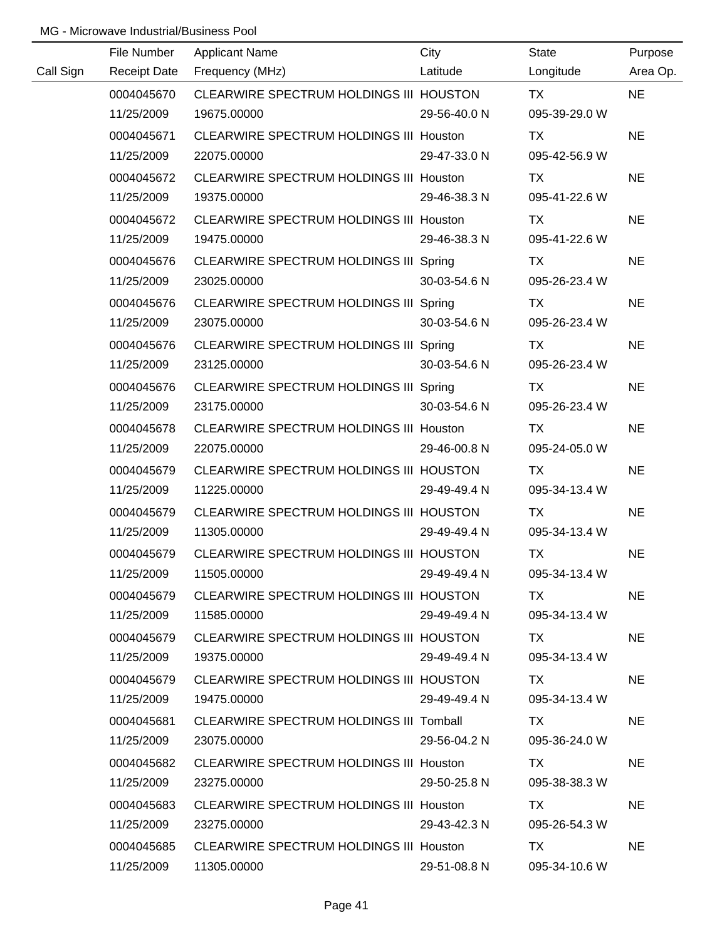|           | File Number         | <b>Applicant Name</b>                          | City         | <b>State</b>  | Purpose   |
|-----------|---------------------|------------------------------------------------|--------------|---------------|-----------|
| Call Sign | <b>Receipt Date</b> | Frequency (MHz)                                | Latitude     | Longitude     | Area Op.  |
|           | 0004045670          | CLEARWIRE SPECTRUM HOLDINGS III HOUSTON        |              | <b>TX</b>     | <b>NE</b> |
|           | 11/25/2009          | 19675.00000                                    | 29-56-40.0 N | 095-39-29.0 W |           |
|           | 0004045671          | CLEARWIRE SPECTRUM HOLDINGS III Houston        |              | TX            | <b>NE</b> |
|           | 11/25/2009          | 22075.00000                                    | 29-47-33.0 N | 095-42-56.9 W |           |
|           | 0004045672          | <b>CLEARWIRE SPECTRUM HOLDINGS III Houston</b> |              | TX            | <b>NE</b> |
|           | 11/25/2009          | 19375.00000                                    | 29-46-38.3 N | 095-41-22.6 W |           |
|           | 0004045672          | CLEARWIRE SPECTRUM HOLDINGS III Houston        |              | TX            | <b>NE</b> |
|           | 11/25/2009          | 19475.00000                                    | 29-46-38.3 N | 095-41-22.6 W |           |
|           | 0004045676          | CLEARWIRE SPECTRUM HOLDINGS III Spring         |              | TX            | <b>NE</b> |
|           | 11/25/2009          | 23025.00000                                    | 30-03-54.6 N | 095-26-23.4 W |           |
|           | 0004045676          | CLEARWIRE SPECTRUM HOLDINGS III Spring         |              | TX            | <b>NE</b> |
|           | 11/25/2009          | 23075.00000                                    | 30-03-54.6 N | 095-26-23.4 W |           |
|           | 0004045676          | CLEARWIRE SPECTRUM HOLDINGS III Spring         |              | <b>TX</b>     | <b>NE</b> |
|           | 11/25/2009          | 23125.00000                                    | 30-03-54.6 N | 095-26-23.4 W |           |
|           | 0004045676          | CLEARWIRE SPECTRUM HOLDINGS III Spring         |              | TX            | <b>NE</b> |
|           | 11/25/2009          | 23175.00000                                    | 30-03-54.6 N | 095-26-23.4 W |           |
|           | 0004045678          | <b>CLEARWIRE SPECTRUM HOLDINGS III Houston</b> |              | TX            | <b>NE</b> |
|           | 11/25/2009          | 22075.00000                                    | 29-46-00.8 N | 095-24-05.0 W |           |
|           | 0004045679          | CLEARWIRE SPECTRUM HOLDINGS III HOUSTON        |              | <b>TX</b>     | <b>NE</b> |
|           | 11/25/2009          | 11225.00000                                    | 29-49-49.4 N | 095-34-13.4 W |           |
|           | 0004045679          | CLEARWIRE SPECTRUM HOLDINGS III HOUSTON        |              | <b>TX</b>     | <b>NE</b> |
|           | 11/25/2009          | 11305.00000                                    | 29-49-49.4 N | 095-34-13.4 W |           |
|           | 0004045679          | CLEARWIRE SPECTRUM HOLDINGS III HOUSTON        |              | <b>TX</b>     | <b>NE</b> |
|           | 11/25/2009          | 11505.00000                                    | 29-49-49.4 N | 095-34-13.4 W |           |
|           | 0004045679          | CLEARWIRE SPECTRUM HOLDINGS III HOUSTON        |              | TX.           | <b>NE</b> |
|           | 11/25/2009          | 11585.00000                                    | 29-49-49.4 N | 095-34-13.4 W |           |
|           | 0004045679          | CLEARWIRE SPECTRUM HOLDINGS III HOUSTON        |              | TX.           | <b>NE</b> |
|           | 11/25/2009          | 19375.00000                                    | 29-49-49.4 N | 095-34-13.4 W |           |
|           | 0004045679          | CLEARWIRE SPECTRUM HOLDINGS III HOUSTON        |              | TX.           | <b>NE</b> |
|           | 11/25/2009          | 19475.00000                                    | 29-49-49.4 N | 095-34-13.4 W |           |
|           | 0004045681          | CLEARWIRE SPECTRUM HOLDINGS III Tomball        |              | TX.           | <b>NE</b> |
|           | 11/25/2009          | 23075.00000                                    | 29-56-04.2 N | 095-36-24.0 W |           |
|           | 0004045682          | CLEARWIRE SPECTRUM HOLDINGS III Houston        |              | TX.           | <b>NE</b> |
|           | 11/25/2009          | 23275.00000                                    | 29-50-25.8 N | 095-38-38.3 W |           |
|           | 0004045683          | CLEARWIRE SPECTRUM HOLDINGS III Houston        |              | TX            | <b>NE</b> |
|           | 11/25/2009          | 23275.00000                                    | 29-43-42.3 N | 095-26-54.3 W |           |
|           | 0004045685          | CLEARWIRE SPECTRUM HOLDINGS III Houston        |              | TX.           | <b>NE</b> |
|           | 11/25/2009          | 11305.00000                                    | 29-51-08.8 N | 095-34-10.6 W |           |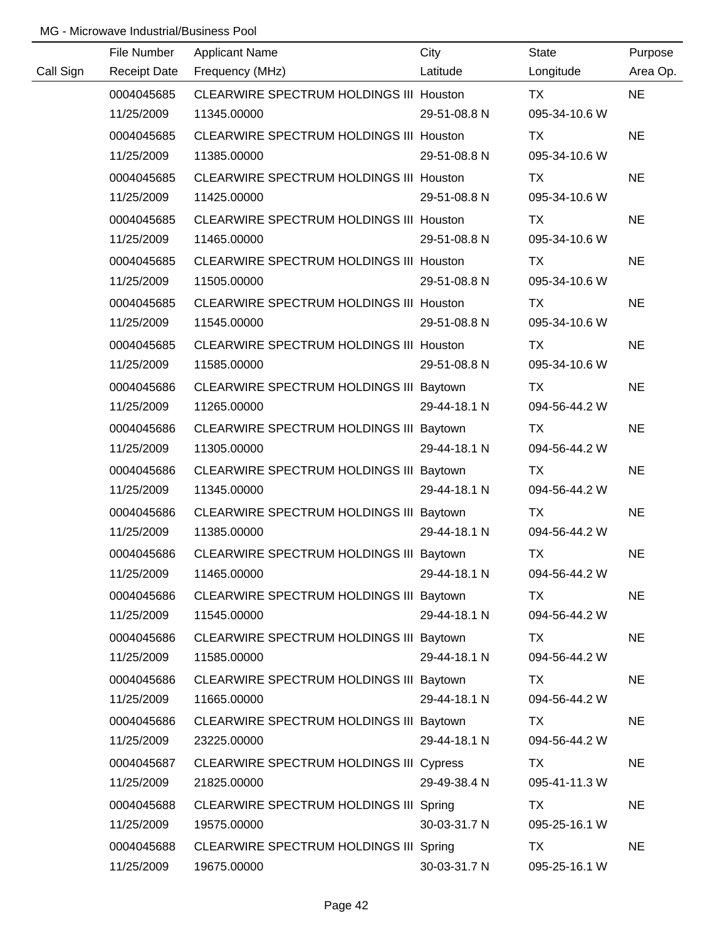|           | File Number         | <b>Applicant Name</b>                          | City         | <b>State</b>  | Purpose   |
|-----------|---------------------|------------------------------------------------|--------------|---------------|-----------|
| Call Sign | <b>Receipt Date</b> | Frequency (MHz)                                | Latitude     | Longitude     | Area Op.  |
|           | 0004045685          | CLEARWIRE SPECTRUM HOLDINGS III Houston        |              | <b>TX</b>     | <b>NE</b> |
|           | 11/25/2009          | 11345.00000                                    | 29-51-08.8 N | 095-34-10.6 W |           |
|           | 0004045685          | CLEARWIRE SPECTRUM HOLDINGS III Houston        |              | TX            | <b>NE</b> |
|           | 11/25/2009          | 11385.00000                                    | 29-51-08.8 N | 095-34-10.6 W |           |
|           | 0004045685          | CLEARWIRE SPECTRUM HOLDINGS III Houston        |              | TX            | <b>NE</b> |
|           | 11/25/2009          | 11425.00000                                    | 29-51-08.8 N | 095-34-10.6 W |           |
|           | 0004045685          | <b>CLEARWIRE SPECTRUM HOLDINGS III Houston</b> |              | TX            | <b>NE</b> |
|           | 11/25/2009          | 11465.00000                                    | 29-51-08.8 N | 095-34-10.6 W |           |
|           | 0004045685          | CLEARWIRE SPECTRUM HOLDINGS III Houston        |              | TX            | <b>NE</b> |
|           | 11/25/2009          | 11505.00000                                    | 29-51-08.8 N | 095-34-10.6 W |           |
|           | 0004045685          | CLEARWIRE SPECTRUM HOLDINGS III Houston        |              | <b>TX</b>     | <b>NE</b> |
|           | 11/25/2009          | 11545.00000                                    | 29-51-08.8 N | 095-34-10.6 W |           |
|           | 0004045685          | CLEARWIRE SPECTRUM HOLDINGS III Houston        |              | TX            | <b>NE</b> |
|           | 11/25/2009          | 11585.00000                                    | 29-51-08.8 N | 095-34-10.6 W |           |
|           | 0004045686          | CLEARWIRE SPECTRUM HOLDINGS III Baytown        |              | TX            | <b>NE</b> |
|           | 11/25/2009          | 11265.00000                                    | 29-44-18.1 N | 094-56-44.2 W |           |
|           | 0004045686          | CLEARWIRE SPECTRUM HOLDINGS III Baytown        |              | TX            | <b>NE</b> |
|           | 11/25/2009          | 11305.00000                                    | 29-44-18.1 N | 094-56-44.2 W |           |
|           | 0004045686          | CLEARWIRE SPECTRUM HOLDINGS III Baytown        |              | TX            | <b>NE</b> |
|           | 11/25/2009          | 11345.00000                                    | 29-44-18.1 N | 094-56-44.2 W |           |
|           | 0004045686          | CLEARWIRE SPECTRUM HOLDINGS III Baytown        |              | <b>TX</b>     | <b>NE</b> |
|           | 11/25/2009          | 11385.00000                                    | 29-44-18.1 N | 094-56-44.2 W |           |
|           | 0004045686          | CLEARWIRE SPECTRUM HOLDINGS III Baytown        |              | <b>TX</b>     | <b>NE</b> |
|           | 11/25/2009          | 11465.00000                                    | 29-44-18.1 N | 094-56-44.2 W |           |
|           | 0004045686          | CLEARWIRE SPECTRUM HOLDINGS III Baytown        |              | TX            | <b>NE</b> |
|           | 11/25/2009          | 11545.00000                                    | 29-44-18.1 N | 094-56-44.2 W |           |
|           | 0004045686          | CLEARWIRE SPECTRUM HOLDINGS III Baytown        |              | TX.           | <b>NE</b> |
|           | 11/25/2009          | 11585.00000                                    | 29-44-18.1 N | 094-56-44.2 W |           |
|           | 0004045686          | CLEARWIRE SPECTRUM HOLDINGS III Baytown        |              | TX            | <b>NE</b> |
|           | 11/25/2009          | 11665.00000                                    | 29-44-18.1 N | 094-56-44.2 W |           |
|           | 0004045686          | CLEARWIRE SPECTRUM HOLDINGS III Baytown        |              | TX            | <b>NE</b> |
|           | 11/25/2009          | 23225.00000                                    | 29-44-18.1 N | 094-56-44.2 W |           |
|           | 0004045687          | <b>CLEARWIRE SPECTRUM HOLDINGS III Cypress</b> |              | TX            | <b>NE</b> |
|           | 11/25/2009          | 21825.00000                                    | 29-49-38.4 N | 095-41-11.3 W |           |
|           | 0004045688          | CLEARWIRE SPECTRUM HOLDINGS III Spring         |              | TX            | <b>NE</b> |
|           | 11/25/2009          | 19575.00000                                    | 30-03-31.7 N | 095-25-16.1 W |           |
|           | 0004045688          | CLEARWIRE SPECTRUM HOLDINGS III Spring         |              | TX            | <b>NE</b> |
|           | 11/25/2009          | 19675.00000                                    | 30-03-31.7 N | 095-25-16.1 W |           |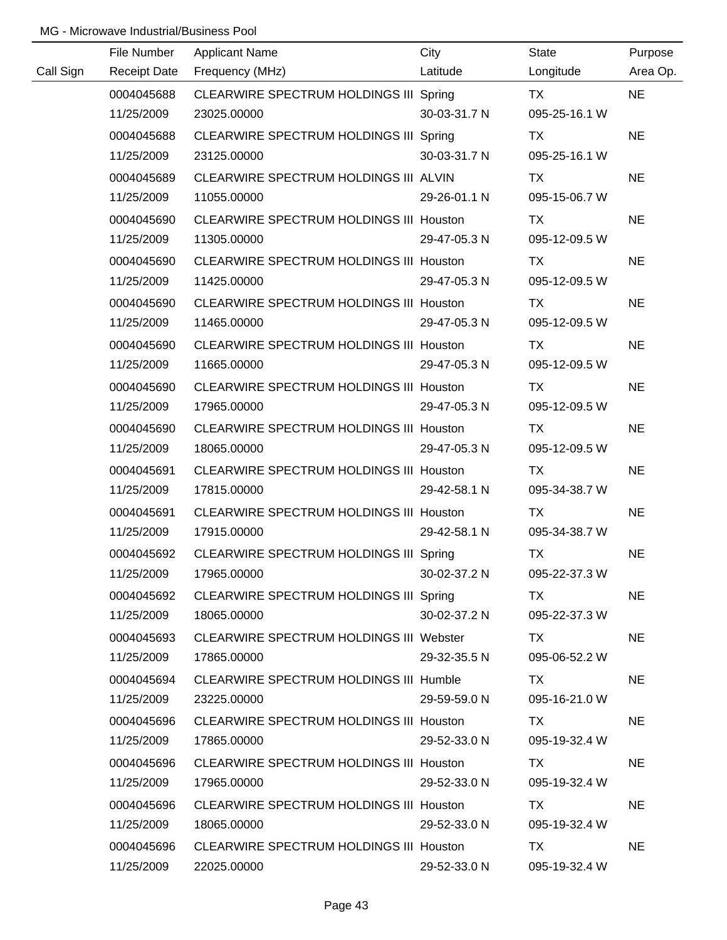|           | File Number         | <b>Applicant Name</b>                          | City         | <b>State</b>  | Purpose   |
|-----------|---------------------|------------------------------------------------|--------------|---------------|-----------|
| Call Sign | <b>Receipt Date</b> | Frequency (MHz)                                | Latitude     | Longitude     | Area Op.  |
|           | 0004045688          | CLEARWIRE SPECTRUM HOLDINGS III Spring         |              | TX            | <b>NE</b> |
|           | 11/25/2009          | 23025.00000                                    | 30-03-31.7 N | 095-25-16.1 W |           |
|           | 0004045688          | CLEARWIRE SPECTRUM HOLDINGS III Spring         |              | TX            | <b>NE</b> |
|           | 11/25/2009          | 23125.00000                                    | 30-03-31.7 N | 095-25-16.1 W |           |
|           | 0004045689          | CLEARWIRE SPECTRUM HOLDINGS III ALVIN          |              | TX            | <b>NE</b> |
|           | 11/25/2009          | 11055.00000                                    | 29-26-01.1 N | 095-15-06.7 W |           |
|           | 0004045690          | <b>CLEARWIRE SPECTRUM HOLDINGS III Houston</b> |              | TX            | <b>NE</b> |
|           | 11/25/2009          | 11305.00000                                    | 29-47-05.3 N | 095-12-09.5 W |           |
|           | 0004045690          | <b>CLEARWIRE SPECTRUM HOLDINGS III Houston</b> |              | <b>TX</b>     | <b>NE</b> |
|           | 11/25/2009          | 11425.00000                                    | 29-47-05.3 N | 095-12-09.5 W |           |
|           | 0004045690          | CLEARWIRE SPECTRUM HOLDINGS III Houston        |              | TX            | <b>NE</b> |
|           | 11/25/2009          | 11465.00000                                    | 29-47-05.3 N | 095-12-09.5 W |           |
|           | 0004045690          | CLEARWIRE SPECTRUM HOLDINGS III Houston        |              | TX            | <b>NE</b> |
|           | 11/25/2009          | 11665.00000                                    | 29-47-05.3 N | 095-12-09.5 W |           |
|           | 0004045690          | <b>CLEARWIRE SPECTRUM HOLDINGS III Houston</b> |              | TX            | <b>NE</b> |
|           | 11/25/2009          | 17965.00000                                    | 29-47-05.3 N | 095-12-09.5 W |           |
|           | 0004045690          | CLEARWIRE SPECTRUM HOLDINGS III Houston        |              | TX            | <b>NE</b> |
|           | 11/25/2009          | 18065.00000                                    | 29-47-05.3 N | 095-12-09.5 W |           |
|           | 0004045691          | <b>CLEARWIRE SPECTRUM HOLDINGS III Houston</b> |              | <b>TX</b>     | <b>NE</b> |
|           | 11/25/2009          | 17815.00000                                    | 29-42-58.1 N | 095-34-38.7 W |           |
|           | 0004045691          | CLEARWIRE SPECTRUM HOLDINGS III Houston        |              | <b>TX</b>     | <b>NE</b> |
|           | 11/25/2009          | 17915.00000                                    | 29-42-58.1 N | 095-34-38.7 W |           |
|           | 0004045692          | CLEARWIRE SPECTRUM HOLDINGS III Spring         |              | <b>TX</b>     | <b>NE</b> |
|           | 11/25/2009          | 17965.00000                                    | 30-02-37.2 N | 095-22-37.3 W |           |
|           | 0004045692          | CLEARWIRE SPECTRUM HOLDINGS III Spring         |              | TX T          | <b>NE</b> |
|           | 11/25/2009          | 18065.00000                                    | 30-02-37.2 N | 095-22-37.3 W |           |
|           | 0004045693          | CLEARWIRE SPECTRUM HOLDINGS III Webster        |              | TX TX         | <b>NE</b> |
|           | 11/25/2009          | 17865.00000                                    | 29-32-35.5 N | 095-06-52.2 W |           |
|           | 0004045694          | CLEARWIRE SPECTRUM HOLDINGS III Humble         |              | TX.           | <b>NE</b> |
|           | 11/25/2009          | 23225.00000                                    | 29-59-59.0 N | 095-16-21.0 W |           |
|           | 0004045696          | CLEARWIRE SPECTRUM HOLDINGS III Houston        |              | TX.           | <b>NE</b> |
|           | 11/25/2009          | 17865.00000                                    | 29-52-33.0 N | 095-19-32.4 W |           |
|           | 0004045696          | CLEARWIRE SPECTRUM HOLDINGS III Houston        |              | TX.           | <b>NE</b> |
|           | 11/25/2009          | 17965.00000                                    | 29-52-33.0 N | 095-19-32.4 W |           |
|           | 0004045696          | CLEARWIRE SPECTRUM HOLDINGS III Houston        |              | TX            | <b>NE</b> |
|           | 11/25/2009          | 18065.00000                                    | 29-52-33.0 N | 095-19-32.4 W |           |
|           | 0004045696          | CLEARWIRE SPECTRUM HOLDINGS III Houston        |              | TX.           | <b>NE</b> |
|           | 11/25/2009          | 22025.00000                                    | 29-52-33.0 N | 095-19-32.4 W |           |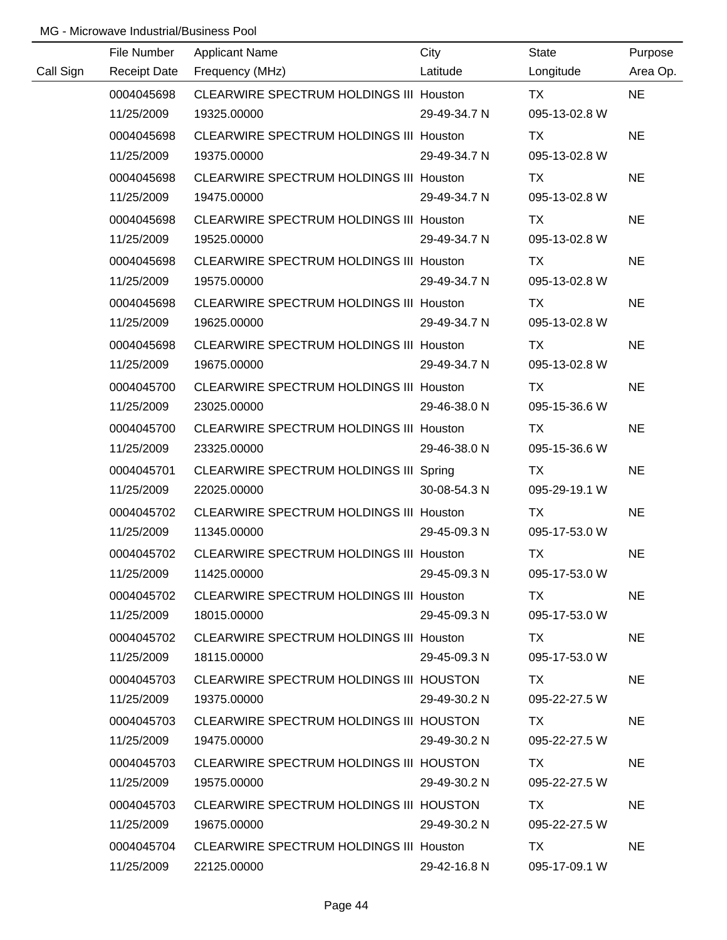|           | File Number         | <b>Applicant Name</b>                          | City         | State         | Purpose   |
|-----------|---------------------|------------------------------------------------|--------------|---------------|-----------|
| Call Sign | <b>Receipt Date</b> | Frequency (MHz)                                | Latitude     | Longitude     | Area Op.  |
|           | 0004045698          | CLEARWIRE SPECTRUM HOLDINGS III Houston        |              | <b>TX</b>     | <b>NE</b> |
|           | 11/25/2009          | 19325.00000                                    | 29-49-34.7 N | 095-13-02.8 W |           |
|           | 0004045698          | CLEARWIRE SPECTRUM HOLDINGS III Houston        |              | <b>TX</b>     | <b>NE</b> |
|           | 11/25/2009          | 19375.00000                                    | 29-49-34.7 N | 095-13-02.8 W |           |
|           | 0004045698          | CLEARWIRE SPECTRUM HOLDINGS III Houston        |              | TX            | <b>NE</b> |
|           | 11/25/2009          | 19475.00000                                    | 29-49-34.7 N | 095-13-02.8 W |           |
|           | 0004045698          | CLEARWIRE SPECTRUM HOLDINGS III Houston        |              | TX            | <b>NE</b> |
|           | 11/25/2009          | 19525.00000                                    | 29-49-34.7 N | 095-13-02.8 W |           |
|           | 0004045698          | CLEARWIRE SPECTRUM HOLDINGS III Houston        |              | <b>TX</b>     | <b>NE</b> |
|           | 11/25/2009          | 19575.00000                                    | 29-49-34.7 N | 095-13-02.8 W |           |
|           | 0004045698          | CLEARWIRE SPECTRUM HOLDINGS III Houston        |              | TX            | <b>NE</b> |
|           | 11/25/2009          | 19625.00000                                    | 29-49-34.7 N | 095-13-02.8 W |           |
|           | 0004045698          | <b>CLEARWIRE SPECTRUM HOLDINGS III Houston</b> |              | TX            | <b>NE</b> |
|           | 11/25/2009          | 19675.00000                                    | 29-49-34.7 N | 095-13-02.8 W |           |
|           | 0004045700          | CLEARWIRE SPECTRUM HOLDINGS III Houston        |              | TX            | <b>NE</b> |
|           | 11/25/2009          | 23025.00000                                    | 29-46-38.0 N | 095-15-36.6 W |           |
|           | 0004045700          | <b>CLEARWIRE SPECTRUM HOLDINGS III Houston</b> |              | TX            | <b>NE</b> |
|           | 11/25/2009          | 23325.00000                                    | 29-46-38.0 N | 095-15-36.6 W |           |
|           | 0004045701          | CLEARWIRE SPECTRUM HOLDINGS III Spring         |              | TX            | <b>NE</b> |
|           | 11/25/2009          | 22025.00000                                    | 30-08-54.3 N | 095-29-19.1 W |           |
|           | 0004045702          | CLEARWIRE SPECTRUM HOLDINGS III Houston        |              | <b>TX</b>     | <b>NE</b> |
|           | 11/25/2009          | 11345.00000                                    | 29-45-09.3 N | 095-17-53.0 W |           |
|           | 0004045702          | CLEARWIRE SPECTRUM HOLDINGS III Houston        |              | <b>TX</b>     | <b>NE</b> |
|           | 11/25/2009          | 11425.00000                                    | 29-45-09.3 N | 095-17-53.0 W |           |
|           | 0004045702          | CLEARWIRE SPECTRUM HOLDINGS III Houston        |              | TX.           | <b>NE</b> |
|           | 11/25/2009          | 18015.00000                                    | 29-45-09.3 N | 095-17-53.0 W |           |
|           | 0004045702          | CLEARWIRE SPECTRUM HOLDINGS III Houston        |              | TX            | <b>NE</b> |
|           | 11/25/2009          | 18115.00000                                    | 29-45-09.3 N | 095-17-53.0 W |           |
|           | 0004045703          | CLEARWIRE SPECTRUM HOLDINGS III HOUSTON        |              | TX.           | <b>NE</b> |
|           | 11/25/2009          | 19375.00000                                    | 29-49-30.2 N | 095-22-27.5 W |           |
|           | 0004045703          | CLEARWIRE SPECTRUM HOLDINGS III HOUSTON        |              | TX.           | <b>NE</b> |
|           | 11/25/2009          | 19475.00000                                    | 29-49-30.2 N | 095-22-27.5 W |           |
|           | 0004045703          | CLEARWIRE SPECTRUM HOLDINGS III HOUSTON        |              | TX.           | <b>NE</b> |
|           | 11/25/2009          | 19575.00000                                    | 29-49-30.2 N | 095-22-27.5 W |           |
|           | 0004045703          | CLEARWIRE SPECTRUM HOLDINGS III HOUSTON        |              | TX            | <b>NE</b> |
|           | 11/25/2009          | 19675.00000                                    | 29-49-30.2 N | 095-22-27.5 W |           |
|           | 0004045704          | CLEARWIRE SPECTRUM HOLDINGS III Houston        |              | TX.           | <b>NE</b> |
|           | 11/25/2009          | 22125.00000                                    | 29-42-16.8 N | 095-17-09.1 W |           |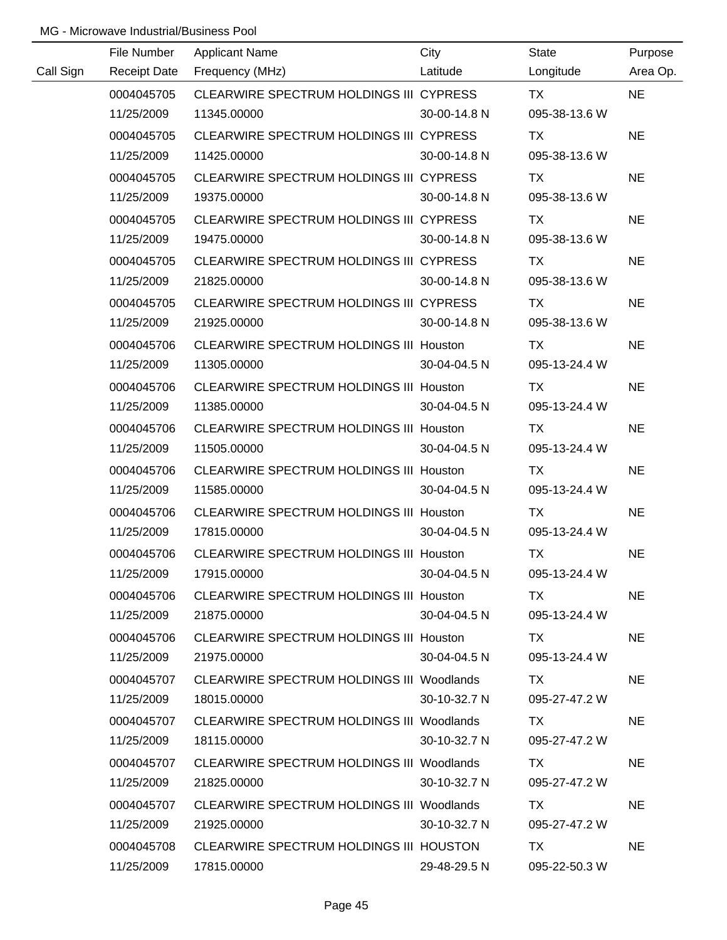|           | File Number         | <b>Applicant Name</b>                            | City         | <b>State</b>  | Purpose   |
|-----------|---------------------|--------------------------------------------------|--------------|---------------|-----------|
| Call Sign | <b>Receipt Date</b> | Frequency (MHz)                                  | Latitude     | Longitude     | Area Op.  |
|           | 0004045705          | CLEARWIRE SPECTRUM HOLDINGS III CYPRESS          |              | <b>TX</b>     | <b>NE</b> |
|           | 11/25/2009          | 11345.00000                                      | 30-00-14.8 N | 095-38-13.6 W |           |
|           | 0004045705          | CLEARWIRE SPECTRUM HOLDINGS III CYPRESS          |              | TX            | <b>NE</b> |
|           | 11/25/2009          | 11425.00000                                      | 30-00-14.8 N | 095-38-13.6 W |           |
|           | 0004045705          | CLEARWIRE SPECTRUM HOLDINGS III CYPRESS          |              | TX            | <b>NE</b> |
|           | 11/25/2009          | 19375.00000                                      | 30-00-14.8 N | 095-38-13.6 W |           |
|           | 0004045705          | CLEARWIRE SPECTRUM HOLDINGS III CYPRESS          |              | TX            | <b>NE</b> |
|           | 11/25/2009          | 19475.00000                                      | 30-00-14.8 N | 095-38-13.6 W |           |
|           | 0004045705          | CLEARWIRE SPECTRUM HOLDINGS III CYPRESS          |              | TX            | <b>NE</b> |
|           | 11/25/2009          | 21825.00000                                      | 30-00-14.8 N | 095-38-13.6 W |           |
|           | 0004045705          | CLEARWIRE SPECTRUM HOLDINGS III CYPRESS          |              | TX            | <b>NE</b> |
|           | 11/25/2009          | 21925.00000                                      | 30-00-14.8 N | 095-38-13.6 W |           |
|           | 0004045706          | <b>CLEARWIRE SPECTRUM HOLDINGS III Houston</b>   |              | TX            | <b>NE</b> |
|           | 11/25/2009          | 11305.00000                                      | 30-04-04.5 N | 095-13-24.4 W |           |
|           | 0004045706          | <b>CLEARWIRE SPECTRUM HOLDINGS III Houston</b>   |              | TX            | <b>NE</b> |
|           | 11/25/2009          | 11385.00000                                      | 30-04-04.5 N | 095-13-24.4 W |           |
|           | 0004045706          | <b>CLEARWIRE SPECTRUM HOLDINGS III Houston</b>   |              | TX            | <b>NE</b> |
|           | 11/25/2009          | 11505.00000                                      | 30-04-04.5 N | 095-13-24.4 W |           |
|           | 0004045706          | <b>CLEARWIRE SPECTRUM HOLDINGS III Houston</b>   |              | <b>TX</b>     | <b>NE</b> |
|           | 11/25/2009          | 11585.00000                                      | 30-04-04.5 N | 095-13-24.4 W |           |
|           | 0004045706          | <b>CLEARWIRE SPECTRUM HOLDINGS III Houston</b>   |              | <b>TX</b>     | <b>NE</b> |
|           | 11/25/2009          | 17815.00000                                      | 30-04-04.5 N | 095-13-24.4 W |           |
|           | 0004045706          | CLEARWIRE SPECTRUM HOLDINGS III Houston          |              | <b>TX</b>     | <b>NE</b> |
|           | 11/25/2009          | 17915.00000                                      | 30-04-04.5 N | 095-13-24.4 W |           |
|           | 0004045706          | CLEARWIRE SPECTRUM HOLDINGS III Houston          |              | TX.           | <b>NE</b> |
|           | 11/25/2009          | 21875.00000                                      | 30-04-04.5 N | 095-13-24.4 W |           |
|           | 0004045706          | CLEARWIRE SPECTRUM HOLDINGS III Houston          |              | TX.           | NE.       |
|           | 11/25/2009          | 21975.00000                                      | 30-04-04.5 N | 095-13-24.4 W |           |
|           | 0004045707          | <b>CLEARWIRE SPECTRUM HOLDINGS III Woodlands</b> |              | TX.           | <b>NE</b> |
|           | 11/25/2009          | 18015.00000                                      | 30-10-32.7 N | 095-27-47.2 W |           |
|           | 0004045707          | CLEARWIRE SPECTRUM HOLDINGS III Woodlands        |              | TX.           | <b>NE</b> |
|           | 11/25/2009          | 18115.00000                                      | 30-10-32.7 N | 095-27-47.2 W |           |
|           | 0004045707          | CLEARWIRE SPECTRUM HOLDINGS III Woodlands        |              | TX.           | <b>NE</b> |
|           | 11/25/2009          | 21825.00000                                      | 30-10-32.7 N | 095-27-47.2 W |           |
|           | 0004045707          | CLEARWIRE SPECTRUM HOLDINGS III Woodlands        |              | TX            | <b>NE</b> |
|           | 11/25/2009          | 21925.00000                                      | 30-10-32.7 N | 095-27-47.2 W |           |
|           | 0004045708          | CLEARWIRE SPECTRUM HOLDINGS III HOUSTON          |              | TX            | <b>NE</b> |
|           | 11/25/2009          | 17815.00000                                      | 29-48-29.5 N | 095-22-50.3 W |           |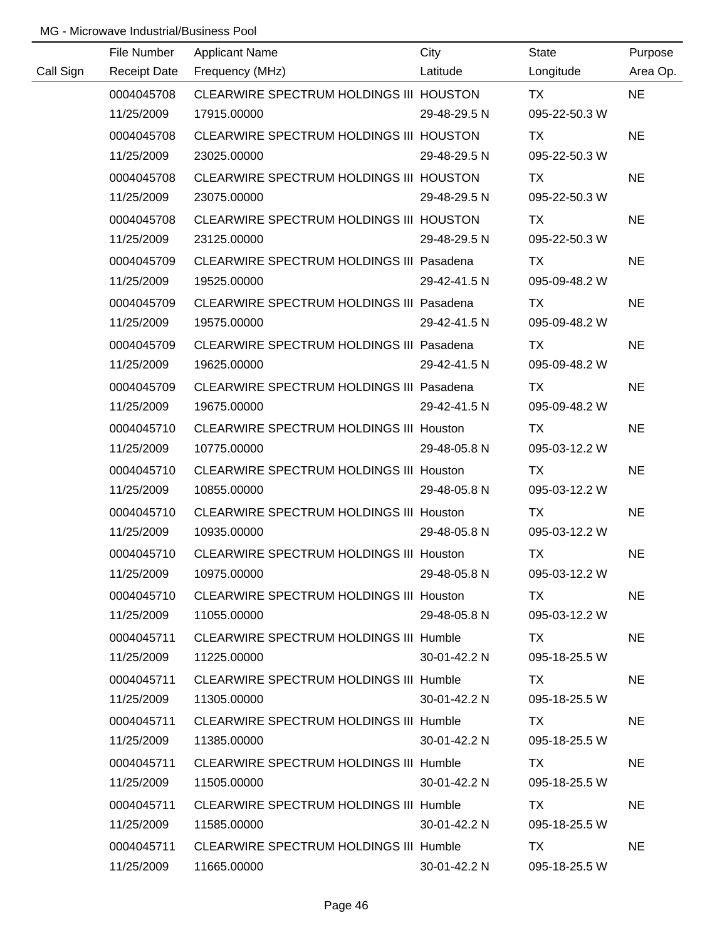|           | File Number         | <b>Applicant Name</b>                           | City         | <b>State</b>  | Purpose   |
|-----------|---------------------|-------------------------------------------------|--------------|---------------|-----------|
| Call Sign | <b>Receipt Date</b> | Frequency (MHz)                                 | Latitude     | Longitude     | Area Op.  |
|           | 0004045708          | CLEARWIRE SPECTRUM HOLDINGS III HOUSTON         |              | <b>TX</b>     | <b>NE</b> |
|           | 11/25/2009          | 17915.00000                                     | 29-48-29.5 N | 095-22-50.3 W |           |
|           | 0004045708          | CLEARWIRE SPECTRUM HOLDINGS III HOUSTON         |              | <b>TX</b>     | <b>NE</b> |
|           | 11/25/2009          | 23025.00000                                     | 29-48-29.5 N | 095-22-50.3 W |           |
|           | 0004045708          | CLEARWIRE SPECTRUM HOLDINGS III HOUSTON         |              | TX            | <b>NE</b> |
|           | 11/25/2009          | 23075.00000                                     | 29-48-29.5 N | 095-22-50.3 W |           |
|           | 0004045708          | CLEARWIRE SPECTRUM HOLDINGS III HOUSTON         |              | TX            | <b>NE</b> |
|           | 11/25/2009          | 23125.00000                                     | 29-48-29.5 N | 095-22-50.3 W |           |
|           | 0004045709          | CLEARWIRE SPECTRUM HOLDINGS III Pasadena        |              | TX            | <b>NE</b> |
|           | 11/25/2009          | 19525.00000                                     | 29-42-41.5 N | 095-09-48.2 W |           |
|           | 0004045709          | CLEARWIRE SPECTRUM HOLDINGS III Pasadena        |              | TX            | <b>NE</b> |
|           | 11/25/2009          | 19575.00000                                     | 29-42-41.5 N | 095-09-48.2 W |           |
|           | 0004045709          | <b>CLEARWIRE SPECTRUM HOLDINGS III Pasadena</b> |              | TX            | <b>NE</b> |
|           | 11/25/2009          | 19625.00000                                     | 29-42-41.5 N | 095-09-48.2 W |           |
|           | 0004045709          | CLEARWIRE SPECTRUM HOLDINGS III Pasadena        |              | TX            | <b>NE</b> |
|           | 11/25/2009          | 19675.00000                                     | 29-42-41.5 N | 095-09-48.2 W |           |
|           | 0004045710          | <b>CLEARWIRE SPECTRUM HOLDINGS III Houston</b>  |              | TX            | <b>NE</b> |
|           | 11/25/2009          | 10775.00000                                     | 29-48-05.8 N | 095-03-12.2 W |           |
|           | 0004045710          | <b>CLEARWIRE SPECTRUM HOLDINGS III Houston</b>  |              | <b>TX</b>     | <b>NE</b> |
|           | 11/25/2009          | 10855.00000                                     | 29-48-05.8 N | 095-03-12.2 W |           |
|           | 0004045710          | <b>CLEARWIRE SPECTRUM HOLDINGS III Houston</b>  |              | <b>TX</b>     | <b>NE</b> |
|           | 11/25/2009          | 10935.00000                                     | 29-48-05.8 N | 095-03-12.2 W |           |
|           | 0004045710          | CLEARWIRE SPECTRUM HOLDINGS III Houston         |              | <b>TX</b>     | <b>NE</b> |
|           | 11/25/2009          | 10975.00000                                     | 29-48-05.8 N | 095-03-12.2 W |           |
|           | 0004045710          | CLEARWIRE SPECTRUM HOLDINGS III Houston         |              | TX.           | <b>NE</b> |
|           | 11/25/2009          | 11055.00000                                     | 29-48-05.8 N | 095-03-12.2 W |           |
|           | 0004045711          | CLEARWIRE SPECTRUM HOLDINGS III Humble          |              | TX TX         | <b>NE</b> |
|           | 11/25/2009          | 11225.00000                                     | 30-01-42.2 N | 095-18-25.5 W |           |
|           | 0004045711          | CLEARWIRE SPECTRUM HOLDINGS III Humble          |              | TX.           | <b>NE</b> |
|           | 11/25/2009          | 11305.00000                                     | 30-01-42.2 N | 095-18-25.5 W |           |
|           | 0004045711          | CLEARWIRE SPECTRUM HOLDINGS III Humble          |              | TX.           | <b>NE</b> |
|           | 11/25/2009          | 11385.00000                                     | 30-01-42.2 N | 095-18-25.5 W |           |
|           | 0004045711          | CLEARWIRE SPECTRUM HOLDINGS III Humble          |              | TX.           | <b>NE</b> |
|           | 11/25/2009          | 11505.00000                                     | 30-01-42.2 N | 095-18-25.5 W |           |
|           | 0004045711          | CLEARWIRE SPECTRUM HOLDINGS III Humble          |              | TX            | <b>NE</b> |
|           | 11/25/2009          | 11585.00000                                     | 30-01-42.2 N | 095-18-25.5 W |           |
|           | 0004045711          | CLEARWIRE SPECTRUM HOLDINGS III Humble          |              | TX.           | <b>NE</b> |
|           | 11/25/2009          | 11665.00000                                     | 30-01-42.2 N | 095-18-25.5 W |           |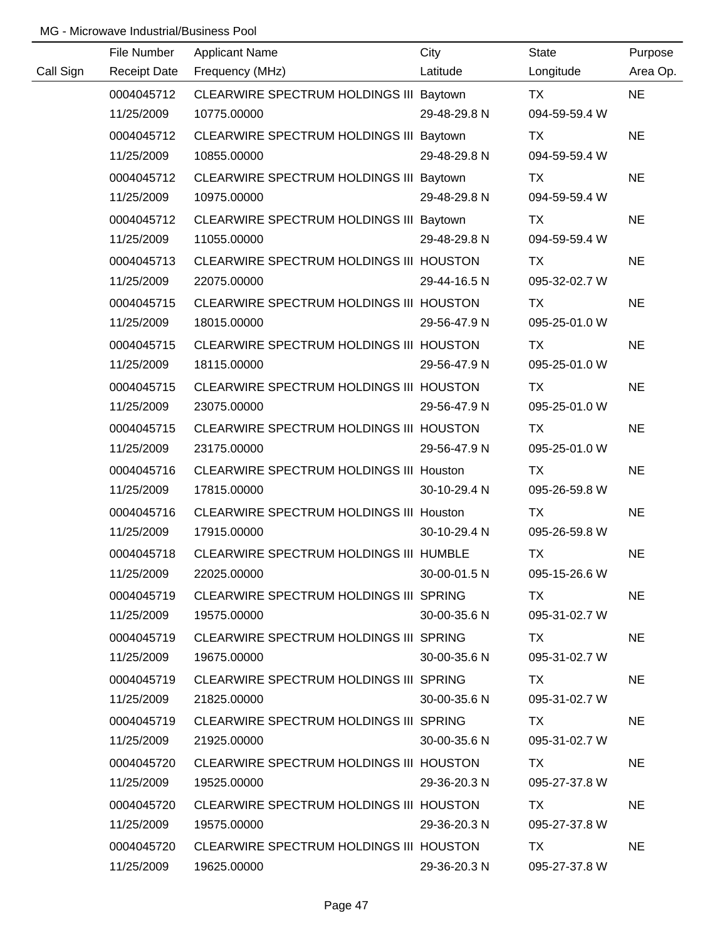|           | File Number         | <b>Applicant Name</b>                          | City               | <b>State</b>  | Purpose   |
|-----------|---------------------|------------------------------------------------|--------------------|---------------|-----------|
| Call Sign | <b>Receipt Date</b> | Frequency (MHz)                                | Latitude           | Longitude     | Area Op.  |
|           | 0004045712          | CLEARWIRE SPECTRUM HOLDINGS III Baytown        |                    | <b>TX</b>     | <b>NE</b> |
|           | 11/25/2009          | 10775.00000                                    | 29-48-29.8 N       | 094-59-59.4 W |           |
|           | 0004045712          | CLEARWIRE SPECTRUM HOLDINGS III Baytown        |                    | <b>TX</b>     | <b>NE</b> |
|           | 11/25/2009          | 10855.00000                                    | 29-48-29.8 N       | 094-59-59.4 W |           |
|           | 0004045712          | CLEARWIRE SPECTRUM HOLDINGS III Baytown        |                    | TX            | <b>NE</b> |
|           | 11/25/2009          | 10975.00000                                    | 29-48-29.8 N       | 094-59-59.4 W |           |
|           | 0004045712          | CLEARWIRE SPECTRUM HOLDINGS III Baytown        |                    | TX            | <b>NE</b> |
|           | 11/25/2009          | 11055.00000                                    | 29-48-29.8 N       | 094-59-59.4 W |           |
|           | 0004045713          | CLEARWIRE SPECTRUM HOLDINGS III HOUSTON        |                    | <b>TX</b>     | <b>NE</b> |
|           | 11/25/2009          | 22075.00000                                    | 29-44-16.5 N       | 095-32-02.7 W |           |
|           | 0004045715          | CLEARWIRE SPECTRUM HOLDINGS III HOUSTON        |                    | TX            | <b>NE</b> |
|           | 11/25/2009          | 18015.00000                                    | 29-56-47.9 N       | 095-25-01.0 W |           |
|           | 0004045715          | CLEARWIRE SPECTRUM HOLDINGS III HOUSTON        |                    | TX            | <b>NE</b> |
|           | 11/25/2009          | 18115.00000                                    | 29-56-47.9 N       | 095-25-01.0 W |           |
|           | 0004045715          | CLEARWIRE SPECTRUM HOLDINGS III HOUSTON        |                    | <b>TX</b>     | <b>NE</b> |
|           | 11/25/2009          | 23075.00000                                    | 29-56-47.9 N       | 095-25-01.0 W |           |
|           | 0004045715          | CLEARWIRE SPECTRUM HOLDINGS III HOUSTON        |                    | TX            | <b>NE</b> |
|           | 11/25/2009          | 23175.00000                                    | 29-56-47.9 N       | 095-25-01.0 W |           |
|           | 0004045716          | CLEARWIRE SPECTRUM HOLDINGS III Houston        |                    | <b>TX</b>     | <b>NE</b> |
|           | 11/25/2009          | 17815.00000                                    | 30-10-29.4 N       | 095-26-59.8 W |           |
|           | 0004045716          | <b>CLEARWIRE SPECTRUM HOLDINGS III Houston</b> |                    | <b>TX</b>     | <b>NE</b> |
|           | 11/25/2009          | 17915.00000                                    | 30-10-29.4 N       | 095-26-59.8 W |           |
|           | 0004045718          | CLEARWIRE SPECTRUM HOLDINGS III HUMBLE         |                    | <b>TX</b>     | <b>NE</b> |
|           | 11/25/2009          | 22025.00000                                    | 30-00-01.5 N       | 095-15-26.6 W |           |
|           | 0004045719          | CLEARWIRE SPECTRUM HOLDINGS III SPRING         |                    | TX.           | <b>NE</b> |
|           | 11/25/2009          | 19575.00000                                    | 30-00-35.6 N       | 095-31-02.7 W |           |
|           | 0004045719          | CLEARWIRE SPECTRUM HOLDINGS III SPRING         |                    | TX.           | <b>NE</b> |
|           | 11/25/2009          | 19675.00000                                    | $30 - 00 - 35.6$ N | 095-31-02.7 W |           |
|           | 0004045719          | CLEARWIRE SPECTRUM HOLDINGS III SPRING         |                    | TX.           | <b>NE</b> |
|           | 11/25/2009          | 21825.00000                                    | 30-00-35.6 N       | 095-31-02.7 W |           |
|           | 0004045719          | CLEARWIRE SPECTRUM HOLDINGS III SPRING         |                    | TX.           | <b>NE</b> |
|           | 11/25/2009          | 21925.00000                                    | 30-00-35.6 N       | 095-31-02.7 W |           |
|           | 0004045720          | CLEARWIRE SPECTRUM HOLDINGS III HOUSTON        |                    | TX.           | <b>NE</b> |
|           | 11/25/2009          | 19525.00000                                    | 29-36-20.3 N       | 095-27-37.8 W |           |
|           | 0004045720          | CLEARWIRE SPECTRUM HOLDINGS III HOUSTON        |                    | TX            | <b>NE</b> |
|           | 11/25/2009          | 19575.00000                                    | 29-36-20.3 N       | 095-27-37.8 W |           |
|           | 0004045720          | CLEARWIRE SPECTRUM HOLDINGS III HOUSTON        |                    | TX.           | <b>NE</b> |
|           | 11/25/2009          | 19625.00000                                    | 29-36-20.3 N       | 095-27-37.8 W |           |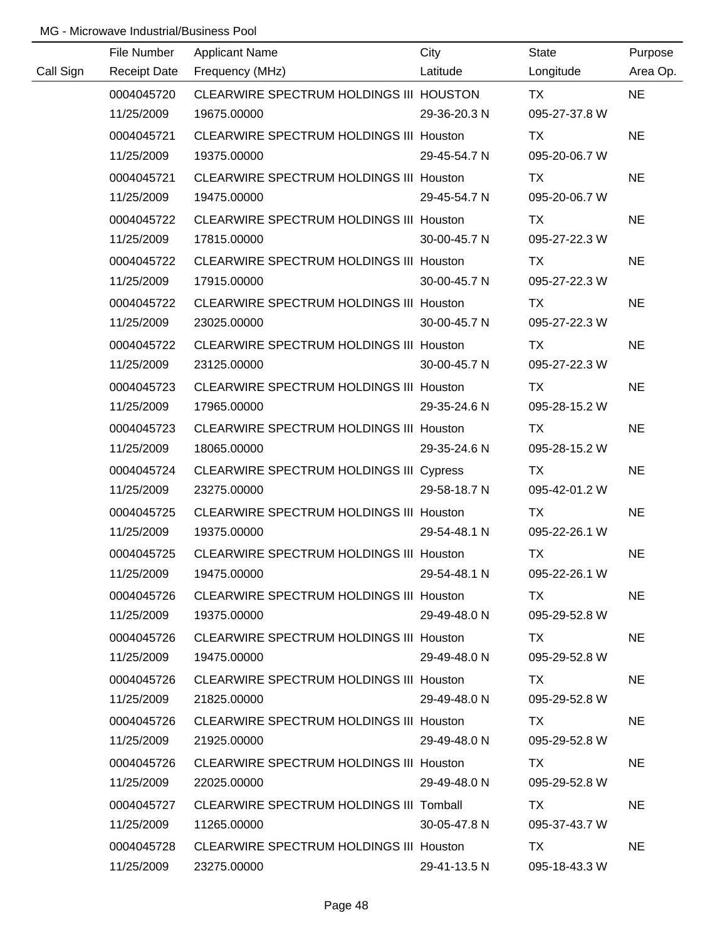|           | File Number | <b>Applicant Name</b>                          | City         | State         | Purpose   |
|-----------|-------------|------------------------------------------------|--------------|---------------|-----------|
| Call Sign |             | Receipt Date Frequency (MHz)                   | Latitude     | Longitude     | Area Op.  |
|           | 0004045720  | CLEARWIRE SPECTRUM HOLDINGS III HOUSTON        |              | TX TX         | <b>NE</b> |
|           | 11/25/2009  | 19675.00000                                    | 29-36-20.3 N | 095-27-37.8 W |           |
|           | 0004045721  | CLEARWIRE SPECTRUM HOLDINGS III Houston        |              | <b>TX</b>     | <b>NE</b> |
|           | 11/25/2009  | 19375.00000                                    | 29-45-54.7 N | 095-20-06.7 W |           |
|           | 0004045721  | CLEARWIRE SPECTRUM HOLDINGS III Houston        |              | <b>TX</b>     | <b>NE</b> |
|           | 11/25/2009  | 19475.00000                                    | 29-45-54.7 N | 095-20-06.7 W |           |
|           | 0004045722  | CLEARWIRE SPECTRUM HOLDINGS III Houston        |              | TX            | <b>NE</b> |
|           | 11/25/2009  | 17815.00000                                    | 30-00-45.7 N | 095-27-22.3 W |           |
|           | 0004045722  | CLEARWIRE SPECTRUM HOLDINGS III Houston        |              | TX.           | <b>NE</b> |
|           | 11/25/2009  | 17915.00000                                    | 30-00-45.7 N | 095-27-22.3 W |           |
|           | 0004045722  | CLEARWIRE SPECTRUM HOLDINGS III Houston        |              | TX            | <b>NE</b> |
|           | 11/25/2009  | 23025.00000                                    | 30-00-45.7 N | 095-27-22.3 W |           |
|           | 0004045722  | CLEARWIRE SPECTRUM HOLDINGS III Houston        |              | TX            | <b>NE</b> |
|           | 11/25/2009  | 23125.00000                                    | 30-00-45.7 N | 095-27-22.3 W |           |
|           | 0004045723  | CLEARWIRE SPECTRUM HOLDINGS III Houston        |              | TX            | <b>NE</b> |
|           | 11/25/2009  | 17965.00000                                    | 29-35-24.6 N | 095-28-15.2 W |           |
|           | 0004045723  | CLEARWIRE SPECTRUM HOLDINGS III Houston        |              | TX            | <b>NE</b> |
|           | 11/25/2009  | 18065.00000                                    | 29-35-24.6 N | 095-28-15.2 W |           |
|           | 0004045724  | CLEARWIRE SPECTRUM HOLDINGS III Cypress        |              | TX            | <b>NE</b> |
|           | 11/25/2009  | 23275.00000                                    | 29-58-18.7 N | 095-42-01.2 W |           |
|           | 0004045725  | CLEARWIRE SPECTRUM HOLDINGS III Houston        |              | <b>TX</b>     | <b>NE</b> |
|           | 11/25/2009  | 19375.00000                                    | 29-54-48.1 N | 095-22-26.1 W |           |
|           | 0004045725  | CLEARWIRE SPECTRUM HOLDINGS III Houston        |              | <b>TX</b>     | <b>NE</b> |
|           | 11/25/2009  | 19475.00000                                    | 29-54-48.1 N | 095-22-26.1 W |           |
|           | 0004045726  | CLEARWIRE SPECTRUM HOLDINGS III Houston        |              | TX.           | <b>NE</b> |
|           | 11/25/2009  | 19375.00000                                    | 29-49-48.0 N | 095-29-52.8 W |           |
|           | 0004045726  | CLEARWIRE SPECTRUM HOLDINGS III Houston        |              | TX.           | <b>NE</b> |
|           | 11/25/2009  | 19475.00000                                    | 29-49-48.0 N | 095-29-52.8 W |           |
|           | 0004045726  | CLEARWIRE SPECTRUM HOLDINGS III Houston        |              | TX .          | <b>NE</b> |
|           | 11/25/2009  | 21825.00000                                    | 29-49-48.0 N | 095-29-52.8 W |           |
|           | 0004045726  | CLEARWIRE SPECTRUM HOLDINGS III Houston        |              | TX.           | <b>NE</b> |
|           | 11/25/2009  | 21925.00000                                    | 29-49-48.0 N | 095-29-52.8 W |           |
|           | 0004045726  | <b>CLEARWIRE SPECTRUM HOLDINGS III Houston</b> |              | TX.           | <b>NE</b> |
|           | 11/25/2009  | 22025.00000                                    | 29-49-48.0 N | 095-29-52.8 W |           |
|           | 0004045727  | CLEARWIRE SPECTRUM HOLDINGS III Tomball        |              | TX.           | <b>NE</b> |
|           | 11/25/2009  | 11265.00000                                    | 30-05-47.8 N | 095-37-43.7 W |           |
|           | 0004045728  | CLEARWIRE SPECTRUM HOLDINGS III Houston        |              | TX            | <b>NE</b> |
|           | 11/25/2009  | 23275.00000                                    | 29-41-13.5 N | 095-18-43.3 W |           |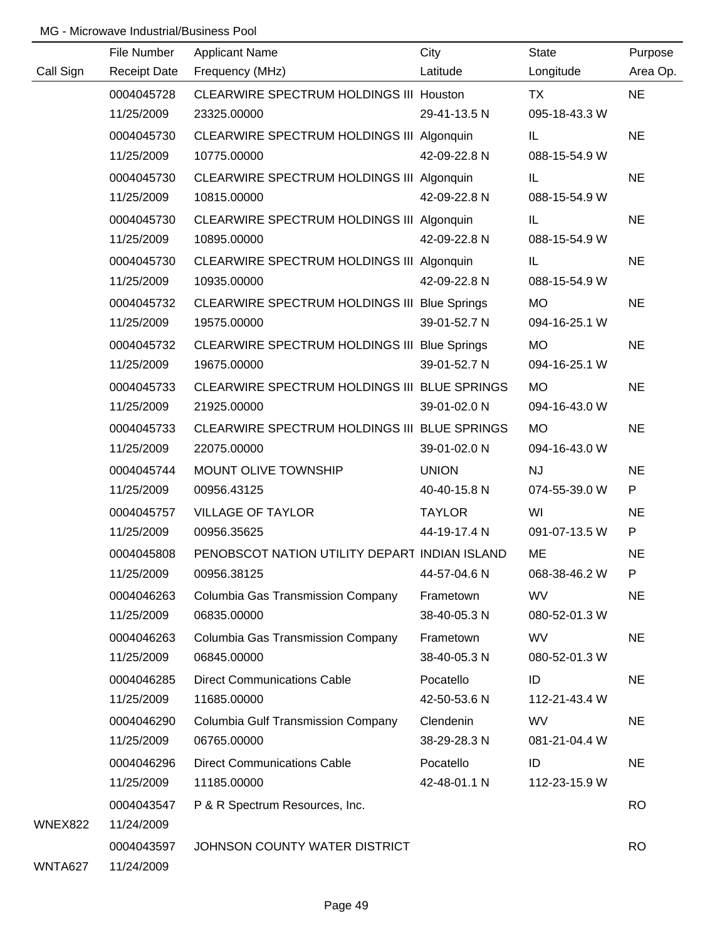|                | File Number         | <b>Applicant Name</b>                         | City          | <b>State</b>  | Purpose   |
|----------------|---------------------|-----------------------------------------------|---------------|---------------|-----------|
| Call Sign      | <b>Receipt Date</b> | Frequency (MHz)                               | Latitude      | Longitude     | Area Op.  |
|                | 0004045728          | CLEARWIRE SPECTRUM HOLDINGS III Houston       |               | <b>TX</b>     | <b>NE</b> |
|                | 11/25/2009          | 23325.00000                                   | 29-41-13.5 N  | 095-18-43.3 W |           |
|                | 0004045730          | CLEARWIRE SPECTRUM HOLDINGS III Algonquin     |               | IL            | <b>NE</b> |
|                | 11/25/2009          | 10775.00000                                   | 42-09-22.8 N  | 088-15-54.9 W |           |
|                | 0004045730          | CLEARWIRE SPECTRUM HOLDINGS III Algonquin     |               | IL            | <b>NE</b> |
|                | 11/25/2009          | 10815.00000                                   | 42-09-22.8 N  | 088-15-54.9 W |           |
|                | 0004045730          | CLEARWIRE SPECTRUM HOLDINGS III Algonquin     |               | IL            | <b>NE</b> |
|                | 11/25/2009          | 10895.00000                                   | 42-09-22.8 N  | 088-15-54.9 W |           |
|                | 0004045730          | CLEARWIRE SPECTRUM HOLDINGS III Algonquin     |               | IL            | <b>NE</b> |
|                | 11/25/2009          | 10935.00000                                   | 42-09-22.8 N  | 088-15-54.9 W |           |
|                | 0004045732          | CLEARWIRE SPECTRUM HOLDINGS III Blue Springs  |               | <b>MO</b>     | <b>NE</b> |
|                | 11/25/2009          | 19575.00000                                   | 39-01-52.7 N  | 094-16-25.1 W |           |
|                | 0004045732          | CLEARWIRE SPECTRUM HOLDINGS III Blue Springs  |               | <b>MO</b>     | <b>NE</b> |
|                | 11/25/2009          | 19675.00000                                   | 39-01-52.7 N  | 094-16-25.1 W |           |
|                | 0004045733          | CLEARWIRE SPECTRUM HOLDINGS III BLUE SPRINGS  |               | <b>MO</b>     | <b>NE</b> |
|                | 11/25/2009          | 21925.00000                                   | 39-01-02.0 N  | 094-16-43.0 W |           |
|                | 0004045733          | CLEARWIRE SPECTRUM HOLDINGS III BLUE SPRINGS  |               | <b>MO</b>     | <b>NE</b> |
|                | 11/25/2009          | 22075.00000                                   | 39-01-02.0 N  | 094-16-43.0 W |           |
|                | 0004045744          | MOUNT OLIVE TOWNSHIP                          | <b>UNION</b>  | <b>NJ</b>     | <b>NE</b> |
|                | 11/25/2009          | 00956.43125                                   | 40-40-15.8 N  | 074-55-39.0 W | P         |
|                | 0004045757          | <b>VILLAGE OF TAYLOR</b>                      | <b>TAYLOR</b> | WI            | <b>NE</b> |
|                | 11/25/2009          | 00956.35625                                   | 44-19-17.4 N  | 091-07-13.5 W | P         |
|                | 0004045808          | PENOBSCOT NATION UTILITY DEPART INDIAN ISLAND |               | ME            | <b>NE</b> |
|                | 11/25/2009          | 00956.38125                                   | 44-57-04.6 N  | 068-38-46.2 W | P         |
|                | 0004046263          | Columbia Gas Transmission Company             | Frametown     | <b>WV</b>     | <b>NE</b> |
|                | 11/25/2009          | 06835.00000                                   | 38-40-05.3 N  | 080-52-01.3 W |           |
|                | 0004046263          | Columbia Gas Transmission Company             | Frametown     | <b>WV</b>     | <b>NE</b> |
|                | 11/25/2009          | 06845.00000                                   | 38-40-05.3 N  | 080-52-01.3 W |           |
|                | 0004046285          | <b>Direct Communications Cable</b>            | Pocatello     | ID            | <b>NE</b> |
|                | 11/25/2009          | 11685.00000                                   | 42-50-53.6 N  | 112-21-43.4 W |           |
|                | 0004046290          | <b>Columbia Gulf Transmission Company</b>     | Clendenin     | <b>WV</b>     | <b>NE</b> |
|                | 11/25/2009          | 06765.00000                                   | 38-29-28.3 N  | 081-21-04.4 W |           |
|                | 0004046296          | <b>Direct Communications Cable</b>            | Pocatello     | ID            | <b>NE</b> |
|                | 11/25/2009          | 11185.00000                                   | 42-48-01.1 N  | 112-23-15.9 W |           |
|                | 0004043547          | P & R Spectrum Resources, Inc.                |               |               | <b>RO</b> |
| <b>WNEX822</b> | 11/24/2009          |                                               |               |               |           |
|                | 0004043597          | JOHNSON COUNTY WATER DISTRICT                 |               |               | <b>RO</b> |
| WNTA627        | 11/24/2009          |                                               |               |               |           |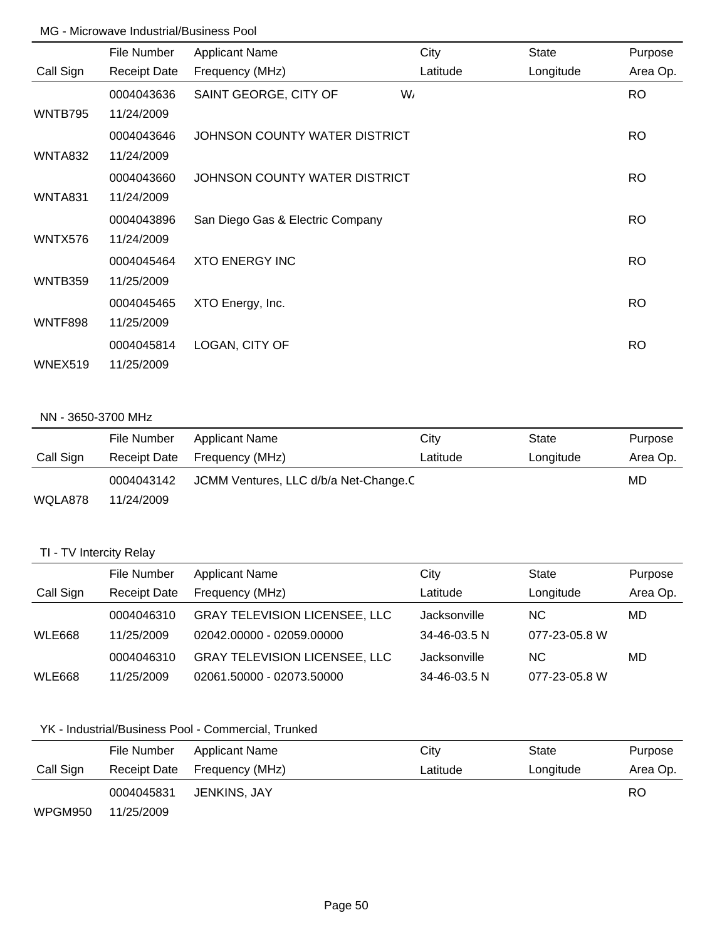|                | File Number         | <b>Applicant Name</b>            | City     | <b>State</b> | Purpose   |
|----------------|---------------------|----------------------------------|----------|--------------|-----------|
| Call Sign      | <b>Receipt Date</b> | Frequency (MHz)                  | Latitude | Longitude    | Area Op.  |
|                | 0004043636          | SAINT GEORGE, CITY OF            | W,       |              | <b>RO</b> |
| WNTB795        | 11/24/2009          |                                  |          |              |           |
|                | 0004043646          | JOHNSON COUNTY WATER DISTRICT    |          |              | <b>RO</b> |
| <b>WNTA832</b> | 11/24/2009          |                                  |          |              |           |
|                | 0004043660          | JOHNSON COUNTY WATER DISTRICT    |          |              | <b>RO</b> |
| <b>WNTA831</b> | 11/24/2009          |                                  |          |              |           |
|                | 0004043896          | San Diego Gas & Electric Company |          |              | RO.       |
| WNTX576        | 11/24/2009          |                                  |          |              |           |
|                | 0004045464          | <b>XTO ENERGY INC</b>            |          |              | <b>RO</b> |
| WNTB359        | 11/25/2009          |                                  |          |              |           |
|                | 0004045465          | XTO Energy, Inc.                 |          |              | <b>RO</b> |
| WNTF898        | 11/25/2009          |                                  |          |              |           |
|                | 0004045814          | LOGAN, CITY OF                   |          |              | <b>RO</b> |
| WNEX519        | 11/25/2009          |                                  |          |              |           |

### NN - 3650-3700 MHz

|           | File Number  | Applicant Name                        | City     | State     | Purpose  |
|-----------|--------------|---------------------------------------|----------|-----------|----------|
| Call Sign | Receipt Date | Frequency (MHz)                       | Latitude | Longitude | Area Op. |
|           | 0004043142   | JCMM Ventures, LLC d/b/a Net-Change.C |          |           |          |
| WQLA878   | 11/24/2009   |                                       |          |           |          |

# TI - TV Intercity Relay

|               | File Number         | <b>Applicant Name</b>                | City         | <b>State</b>  | Purpose  |
|---------------|---------------------|--------------------------------------|--------------|---------------|----------|
| Call Sign     | <b>Receipt Date</b> | Frequency (MHz)                      | Latitude     | Longitude     | Area Op. |
|               | 0004046310          | <b>GRAY TELEVISION LICENSEE, LLC</b> | Jacksonville | NC.           | MD       |
| WLE668        | 11/25/2009          | 02042.00000 - 02059.00000            | 34-46-03.5 N | 077-23-05.8 W |          |
|               | 0004046310          | <b>GRAY TELEVISION LICENSEE, LLC</b> | Jacksonville | NC.           | MD       |
| <b>WLE668</b> | 11/25/2009          | 02061.50000 - 02073.50000            | 34-46-03.5 N | 077-23-05.8 W |          |

# YK - Industrial/Business Pool - Commercial, Trunked

|           | File Number  | Applicant Name  | City     | State     | Purpose  |
|-----------|--------------|-----------------|----------|-----------|----------|
| Call Sign | Receipt Date | Frequency (MHz) | Latitude | Longitude | Area Op. |
|           | 0004045831   | JENKINS. JAY    |          |           | RO       |
| WPGM950   | 11/25/2009   |                 |          |           |          |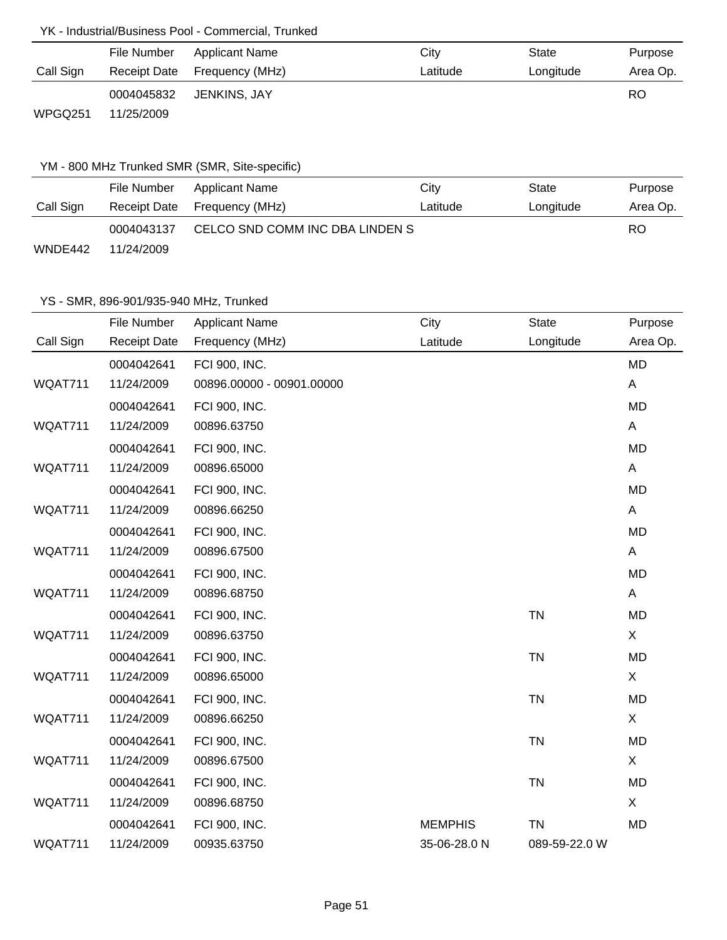## YK - Industrial/Business Pool - Commercial, Trunked

|           | File Number  | Applicant Name  | City     | State     | Purpose  |
|-----------|--------------|-----------------|----------|-----------|----------|
| Call Sign | Receipt Date | Frequency (MHz) | Latitude | Longitude | Area Op. |
|           | 0004045832   | JENKINS. JAY    |          |           | RO       |
| WPGQ251   | 11/25/2009   |                 |          |           |          |

## YM - 800 MHz Trunked SMR (SMR, Site-specific)

|           | File Number | <b>Applicant Name</b>           | City     | State     | Purpose  |
|-----------|-------------|---------------------------------|----------|-----------|----------|
| Call Sign |             | Receipt Date Frequency (MHz)    | Latitude | Longitude | Area Op. |
|           | 0004043137  | CELCO SND COMM INC DBA LINDEN S |          |           |          |
| WNDE442   | 11/24/2009  |                                 |          |           |          |

|           | File Number         | <b>Applicant Name</b>     | City           | <b>State</b>  | Purpose   |
|-----------|---------------------|---------------------------|----------------|---------------|-----------|
| Call Sign | <b>Receipt Date</b> | Frequency (MHz)           | Latitude       | Longitude     | Area Op.  |
|           | 0004042641          | FCI 900, INC.             |                |               | <b>MD</b> |
| WQAT711   | 11/24/2009          | 00896.00000 - 00901.00000 |                |               | A         |
|           | 0004042641          | FCI 900, INC.             |                |               | <b>MD</b> |
| WQAT711   | 11/24/2009          | 00896.63750               |                |               | A         |
|           | 0004042641          | FCI 900, INC.             |                |               | <b>MD</b> |
| WQAT711   | 11/24/2009          | 00896.65000               |                |               | A         |
|           | 0004042641          | FCI 900, INC.             |                |               | <b>MD</b> |
| WQAT711   | 11/24/2009          | 00896.66250               |                |               | A         |
|           | 0004042641          | FCI 900, INC.             |                |               | <b>MD</b> |
| WQAT711   | 11/24/2009          | 00896.67500               |                |               | A         |
|           | 0004042641          | FCI 900, INC.             |                |               | <b>MD</b> |
| WQAT711   | 11/24/2009          | 00896.68750               |                |               | A         |
|           | 0004042641          | FCI 900, INC.             |                | <b>TN</b>     | <b>MD</b> |
| WQAT711   | 11/24/2009          | 00896.63750               |                |               | X         |
|           | 0004042641          | FCI 900, INC.             |                | <b>TN</b>     | <b>MD</b> |
| WQAT711   | 11/24/2009          | 00896.65000               |                |               | X         |
|           | 0004042641          | FCI 900, INC.             |                | <b>TN</b>     | <b>MD</b> |
| WQAT711   | 11/24/2009          | 00896.66250               |                |               | X         |
|           | 0004042641          | FCI 900, INC.             |                | <b>TN</b>     | <b>MD</b> |
| WQAT711   | 11/24/2009          | 00896.67500               |                |               | X         |
|           | 0004042641          | FCI 900, INC.             |                | <b>TN</b>     | <b>MD</b> |
| WQAT711   | 11/24/2009          | 00896.68750               |                |               | X         |
|           | 0004042641          | FCI 900, INC.             | <b>MEMPHIS</b> | <b>TN</b>     | <b>MD</b> |
| WQAT711   | 11/24/2009          | 00935.63750               | 35-06-28.0 N   | 089-59-22.0 W |           |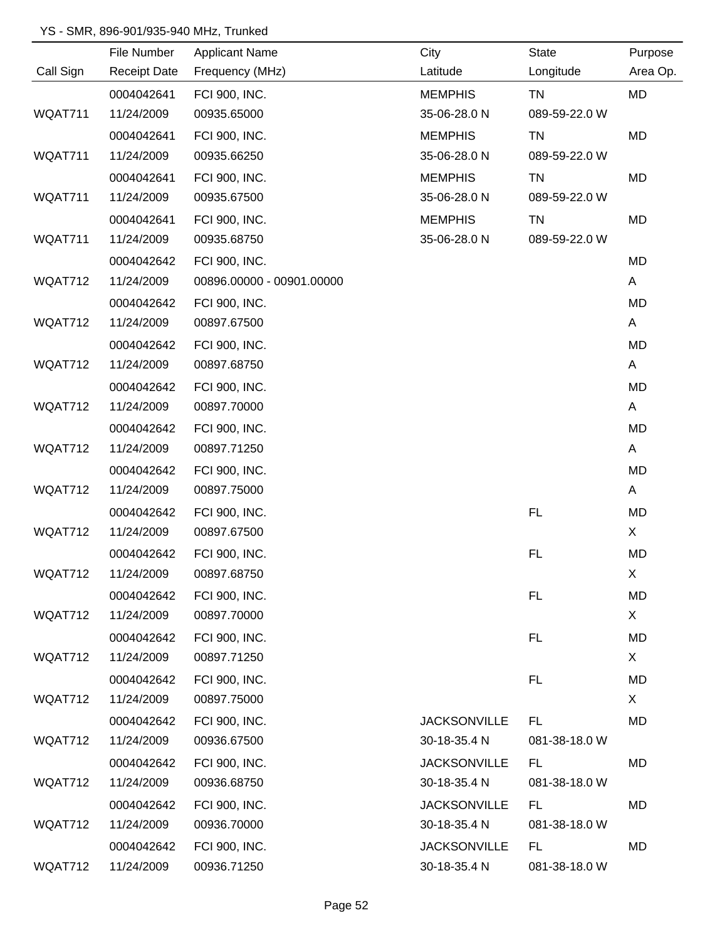|           | File Number         | <b>Applicant Name</b>     | City                | <b>State</b>  | Purpose   |
|-----------|---------------------|---------------------------|---------------------|---------------|-----------|
| Call Sign | <b>Receipt Date</b> | Frequency (MHz)           | Latitude            | Longitude     | Area Op.  |
|           | 0004042641          | FCI 900, INC.             | <b>MEMPHIS</b>      | <b>TN</b>     | <b>MD</b> |
| WQAT711   | 11/24/2009          | 00935.65000               | 35-06-28.0 N        | 089-59-22.0 W |           |
|           | 0004042641          | FCI 900, INC.             | <b>MEMPHIS</b>      | TN            | MD        |
| WQAT711   | 11/24/2009          | 00935.66250               | 35-06-28.0 N        | 089-59-22.0 W |           |
|           | 0004042641          | FCI 900, INC.             | <b>MEMPHIS</b>      | TN            | <b>MD</b> |
| WQAT711   | 11/24/2009          | 00935.67500               | 35-06-28.0 N        | 089-59-22.0 W |           |
|           | 0004042641          | FCI 900, INC.             | <b>MEMPHIS</b>      | TN            | MD        |
| WQAT711   | 11/24/2009          | 00935.68750               | 35-06-28.0 N        | 089-59-22.0 W |           |
|           | 0004042642          | FCI 900, INC.             |                     |               | MD        |
| WQAT712   | 11/24/2009          | 00896.00000 - 00901.00000 |                     |               | A         |
|           | 0004042642          | FCI 900, INC.             |                     |               | MD        |
| WQAT712   | 11/24/2009          | 00897.67500               |                     |               | A         |
|           | 0004042642          | FCI 900, INC.             |                     |               | MD        |
| WQAT712   | 11/24/2009          | 00897.68750               |                     |               | A         |
|           | 0004042642          | FCI 900, INC.             |                     |               | MD        |
| WQAT712   | 11/24/2009          | 00897.70000               |                     |               | A         |
|           | 0004042642          | FCI 900, INC.             |                     |               | MD        |
| WQAT712   | 11/24/2009          | 00897.71250               |                     |               | A         |
|           | 0004042642          | FCI 900, INC.             |                     |               | MD        |
| WQAT712   | 11/24/2009          | 00897.75000               |                     |               | A         |
|           | 0004042642          | FCI 900, INC.             |                     | <b>FL</b>     | MD        |
| WQAT712   | 11/24/2009          | 00897.67500               |                     |               | X.        |
|           | 0004042642          | FCI 900, INC.             |                     | FL            | MD        |
| WQAT712   | 11/24/2009          | 00897.68750               |                     |               | X         |
|           | 0004042642          | FCI 900, INC.             |                     | <b>FL</b>     | <b>MD</b> |
| WQAT712   | 11/24/2009          | 00897.70000               |                     |               | X.        |
|           | 0004042642          | FCI 900, INC.             |                     | FL            | MD        |
| WQAT712   | 11/24/2009          | 00897.71250               |                     |               | X.        |
|           | 0004042642          | FCI 900, INC.             |                     | FL            | MD        |
| WQAT712   | 11/24/2009          | 00897.75000               |                     |               | X         |
|           | 0004042642          | FCI 900, INC.             | <b>JACKSONVILLE</b> | FL            | MD        |
| WQAT712   | 11/24/2009          | 00936.67500               | 30-18-35.4 N        | 081-38-18.0 W |           |
|           | 0004042642          | FCI 900, INC.             | <b>JACKSONVILLE</b> | <b>FL</b>     | MD        |
| WQAT712   | 11/24/2009          | 00936.68750               | 30-18-35.4 N        | 081-38-18.0 W |           |
|           | 0004042642          | FCI 900, INC.             | <b>JACKSONVILLE</b> | FL            | MD        |
| WQAT712   | 11/24/2009          | 00936.70000               | 30-18-35.4 N        | 081-38-18.0 W |           |
|           | 0004042642          | FCI 900, INC.             | <b>JACKSONVILLE</b> | <b>FL</b>     | MD        |
| WQAT712   | 11/24/2009          | 00936.71250               | 30-18-35.4 N        | 081-38-18.0 W |           |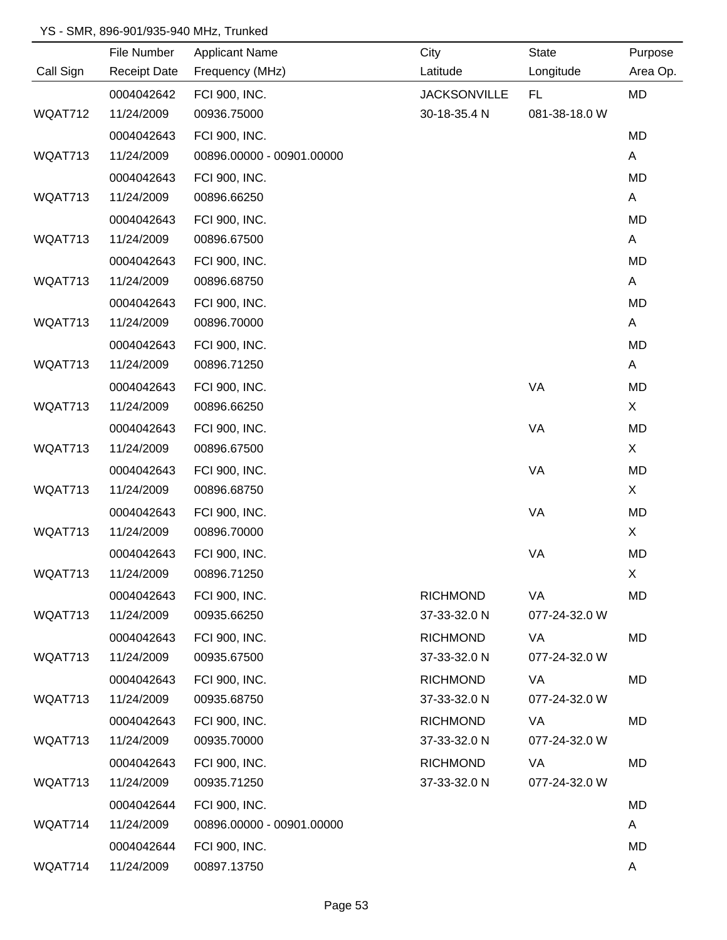|           | File Number         | <b>Applicant Name</b>     | City                | <b>State</b>  | Purpose  |
|-----------|---------------------|---------------------------|---------------------|---------------|----------|
| Call Sign | <b>Receipt Date</b> | Frequency (MHz)           | Latitude            | Longitude     | Area Op. |
|           | 0004042642          | FCI 900, INC.             | <b>JACKSONVILLE</b> | FL.           | MD       |
| WQAT712   | 11/24/2009          | 00936.75000               | 30-18-35.4 N        | 081-38-18.0 W |          |
|           | 0004042643          | FCI 900, INC.             |                     |               | MD       |
| WQAT713   | 11/24/2009          | 00896.00000 - 00901.00000 |                     |               | A        |
|           | 0004042643          | FCI 900, INC.             |                     |               | MD       |
| WQAT713   | 11/24/2009          | 00896.66250               |                     |               | A        |
|           | 0004042643          | FCI 900, INC.             |                     |               | MD       |
| WQAT713   | 11/24/2009          | 00896.67500               |                     |               | A        |
|           | 0004042643          | FCI 900, INC.             |                     |               | MD       |
| WQAT713   | 11/24/2009          | 00896.68750               |                     |               | A        |
|           | 0004042643          | FCI 900, INC.             |                     |               | MD       |
| WQAT713   | 11/24/2009          | 00896.70000               |                     |               | A        |
|           | 0004042643          | FCI 900, INC.             |                     |               | MD       |
| WQAT713   | 11/24/2009          | 00896.71250               |                     |               | A        |
|           | 0004042643          | FCI 900, INC.             |                     | VA            | MD       |
| WQAT713   | 11/24/2009          | 00896.66250               |                     |               | X        |
|           | 0004042643          | FCI 900, INC.             |                     | VA            | MD       |
| WQAT713   | 11/24/2009          | 00896.67500               |                     |               | X        |
|           | 0004042643          | FCI 900, INC.             |                     | VA            | MD       |
| WQAT713   | 11/24/2009          | 00896.68750               |                     |               | X        |
|           | 0004042643          | FCI 900, INC.             |                     | VA            | MD       |
| WQAT713   | 11/24/2009          | 00896.70000               |                     |               | X        |
|           | 0004042643          | FCI 900, INC.             |                     | VA            | MD       |
| WQAT713   | 11/24/2009          | 00896.71250               |                     |               | X        |
|           | 0004042643          | FCI 900, INC.             | <b>RICHMOND</b>     | VA            | MD       |
| WQAT713   | 11/24/2009          | 00935.66250               | 37-33-32.0 N        | 077-24-32.0 W |          |
|           | 0004042643          | FCI 900, INC.             | <b>RICHMOND</b>     | VA            | MD       |
| WQAT713   | 11/24/2009          | 00935.67500               | 37-33-32.0 N        | 077-24-32.0 W |          |
|           | 0004042643          | FCI 900, INC.             | <b>RICHMOND</b>     | VA            | MD       |
| WQAT713   | 11/24/2009          | 00935.68750               | 37-33-32.0 N        | 077-24-32.0 W |          |
|           | 0004042643          | FCI 900, INC.             | <b>RICHMOND</b>     | VA            | MD       |
| WQAT713   | 11/24/2009          | 00935.70000               | 37-33-32.0 N        | 077-24-32.0 W |          |
|           | 0004042643          | FCI 900, INC.             | <b>RICHMOND</b>     | VA            | MD       |
| WQAT713   | 11/24/2009          | 00935.71250               | 37-33-32.0 N        | 077-24-32.0 W |          |
|           | 0004042644          | FCI 900, INC.             |                     |               | MD       |
| WQAT714   | 11/24/2009          | 00896.00000 - 00901.00000 |                     |               | A        |
|           | 0004042644          | FCI 900, INC.             |                     |               | MD       |
| WQAT714   | 11/24/2009          | 00897.13750               |                     |               | A        |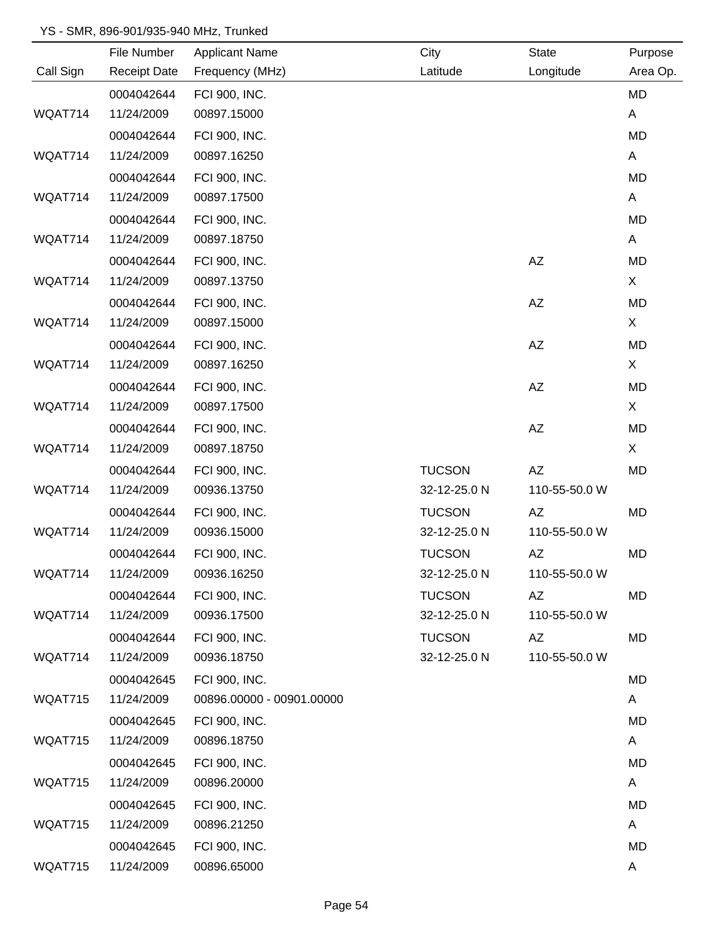|           | File Number         | <b>Applicant Name</b>     | City          | <b>State</b>  | Purpose  |
|-----------|---------------------|---------------------------|---------------|---------------|----------|
| Call Sign | <b>Receipt Date</b> | Frequency (MHz)           | Latitude      | Longitude     | Area Op. |
|           | 0004042644          | FCI 900, INC.             |               |               | MD       |
| WQAT714   | 11/24/2009          | 00897.15000               |               |               | A        |
|           | 0004042644          | FCI 900, INC.             |               |               | MD       |
| WQAT714   | 11/24/2009          | 00897.16250               |               |               | A        |
|           | 0004042644          | FCI 900, INC.             |               |               | MD       |
| WQAT714   | 11/24/2009          | 00897.17500               |               |               | A        |
|           | 0004042644          | FCI 900, INC.             |               |               | MD       |
| WQAT714   | 11/24/2009          | 00897.18750               |               |               | A        |
|           | 0004042644          | FCI 900, INC.             |               | AZ            | MD       |
| WQAT714   | 11/24/2009          | 00897.13750               |               |               | X        |
|           | 0004042644          | FCI 900, INC.             |               | <b>AZ</b>     | MD       |
| WQAT714   | 11/24/2009          | 00897.15000               |               |               | X        |
|           | 0004042644          | FCI 900, INC.             |               | <b>AZ</b>     | MD       |
| WQAT714   | 11/24/2009          | 00897.16250               |               |               | X        |
|           | 0004042644          | FCI 900, INC.             |               | <b>AZ</b>     | MD       |
| WQAT714   | 11/24/2009          | 00897.17500               |               |               | X        |
|           | 0004042644          | FCI 900, INC.             |               | AZ            | MD       |
| WQAT714   | 11/24/2009          | 00897.18750               |               |               | X        |
|           | 0004042644          | FCI 900, INC.             | <b>TUCSON</b> | <b>AZ</b>     | MD       |
| WQAT714   | 11/24/2009          | 00936.13750               | 32-12-25.0 N  | 110-55-50.0 W |          |
|           | 0004042644          | FCI 900, INC.             | <b>TUCSON</b> | AZ            | MD       |
| WQAT714   | 11/24/2009          | 00936.15000               | 32-12-25.0 N  | 110-55-50.0 W |          |
|           | 0004042644          | FCI 900, INC.             | <b>TUCSON</b> | AZ            | MD       |
| WQAT714   | 11/24/2009          | 00936.16250               | 32-12-25.0 N  | 110-55-50.0 W |          |
|           | 0004042644          | FCI 900, INC.             | <b>TUCSON</b> | AZ            | MD       |
| WQAT714   | 11/24/2009          | 00936.17500               | 32-12-25.0 N  | 110-55-50.0 W |          |
|           | 0004042644          | FCI 900, INC.             | <b>TUCSON</b> | AZ            | MD       |
| WQAT714   | 11/24/2009          | 00936.18750               | 32-12-25.0 N  | 110-55-50.0 W |          |
|           | 0004042645          | FCI 900, INC.             |               |               | MD       |
| WQAT715   | 11/24/2009          | 00896.00000 - 00901.00000 |               |               | A        |
|           | 0004042645          | FCI 900, INC.             |               |               | MD       |
| WQAT715   | 11/24/2009          | 00896.18750               |               |               | A        |
|           | 0004042645          | FCI 900, INC.             |               |               | MD       |
| WQAT715   | 11/24/2009          | 00896.20000               |               |               | A        |
|           | 0004042645          | FCI 900, INC.             |               |               | MD       |
| WQAT715   | 11/24/2009          | 00896.21250               |               |               | A        |
|           | 0004042645          | FCI 900, INC.             |               |               | MD       |
| WQAT715   | 11/24/2009          | 00896.65000               |               |               | A        |